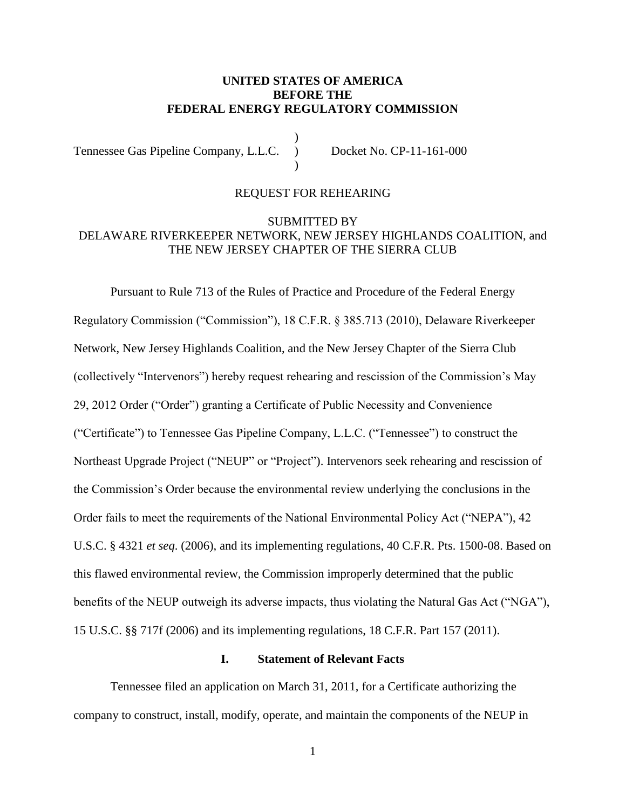### **UNITED STATES OF AMERICA BEFORE THE FEDERAL ENERGY REGULATORY COMMISSION**

) Tennessee Gas Pipeline Company, L.L.C. ) Docket No. CP-11-161-000 )

# REQUEST FOR REHEARING

## SUBMITTED BY DELAWARE RIVERKEEPER NETWORK, NEW JERSEY HIGHLANDS COALITION, and THE NEW JERSEY CHAPTER OF THE SIERRA CLUB

Pursuant to Rule 713 of the Rules of Practice and Procedure of the Federal Energy Regulatory Commission ("Commission"), 18 C.F.R. § 385.713 (2010), Delaware Riverkeeper Network, New Jersey Highlands Coalition, and the New Jersey Chapter of the Sierra Club (collectively "Intervenors") hereby request rehearing and rescission of the Commission's May 29, 2012 Order ("Order") granting a Certificate of Public Necessity and Convenience ("Certificate") to Tennessee Gas Pipeline Company, L.L.C. ("Tennessee") to construct the Northeast Upgrade Project ("NEUP" or "Project"). Intervenors seek rehearing and rescission of the Commission's Order because the environmental review underlying the conclusions in the Order fails to meet the requirements of the National Environmental Policy Act ("NEPA"), 42 U.S.C. § 4321 *et seq*. (2006), and its implementing regulations, 40 C.F.R. Pts. 1500-08. Based on this flawed environmental review, the Commission improperly determined that the public benefits of the NEUP outweigh its adverse impacts, thus violating the Natural Gas Act ("NGA"), 15 U.S.C. §§ 717f (2006) and its implementing regulations, 18 C.F.R. Part 157 (2011).

#### **I. Statement of Relevant Facts**

Tennessee filed an application on March 31, 2011, for a Certificate authorizing the company to construct, install, modify, operate, and maintain the components of the NEUP in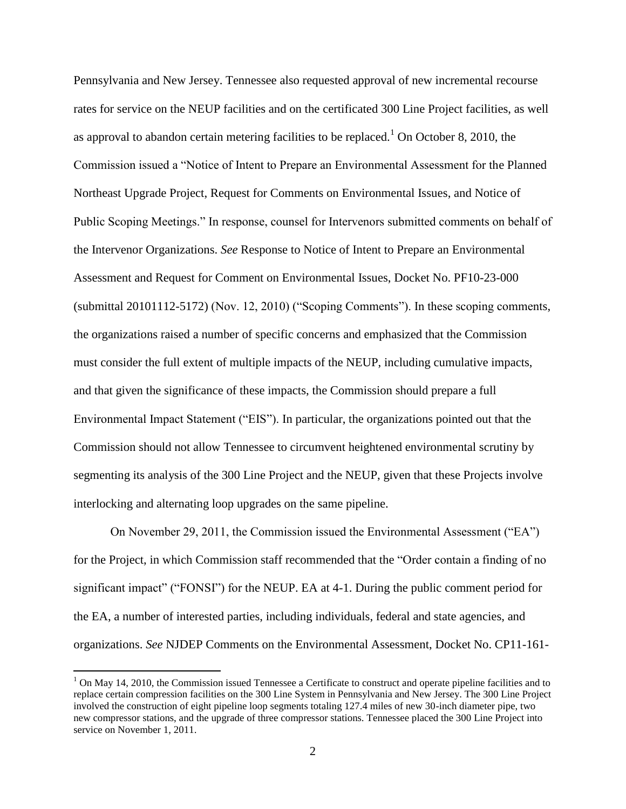Pennsylvania and New Jersey. Tennessee also requested approval of new incremental recourse rates for service on the NEUP facilities and on the certificated 300 Line Project facilities, as well as approval to abandon certain metering facilities to be replaced.<sup>1</sup> On October 8, 2010, the Commission issued a "Notice of Intent to Prepare an Environmental Assessment for the Planned Northeast Upgrade Project, Request for Comments on Environmental Issues, and Notice of Public Scoping Meetings." In response, counsel for Intervenors submitted comments on behalf of the Intervenor Organizations. *See* Response to Notice of Intent to Prepare an Environmental Assessment and Request for Comment on Environmental Issues, Docket No. PF10-23-000 (submittal 20101112-5172) (Nov. 12, 2010) ("Scoping Comments"). In these scoping comments, the organizations raised a number of specific concerns and emphasized that the Commission must consider the full extent of multiple impacts of the NEUP, including cumulative impacts, and that given the significance of these impacts, the Commission should prepare a full Environmental Impact Statement ("EIS"). In particular, the organizations pointed out that the Commission should not allow Tennessee to circumvent heightened environmental scrutiny by segmenting its analysis of the 300 Line Project and the NEUP, given that these Projects involve interlocking and alternating loop upgrades on the same pipeline.

On November 29, 2011, the Commission issued the Environmental Assessment ("EA") for the Project, in which Commission staff recommended that the "Order contain a finding of no significant impact" ("FONSI") for the NEUP. EA at 4-1. During the public comment period for the EA, a number of interested parties, including individuals, federal and state agencies, and organizations. *See* NJDEP Comments on the Environmental Assessment, Docket No. CP11-161-

 $1$  On May 14, 2010, the Commission issued Tennessee a Certificate to construct and operate pipeline facilities and to replace certain compression facilities on the 300 Line System in Pennsylvania and New Jersey. The 300 Line Project involved the construction of eight pipeline loop segments totaling 127.4 miles of new 30-inch diameter pipe, two new compressor stations, and the upgrade of three compressor stations. Tennessee placed the 300 Line Project into service on November 1, 2011.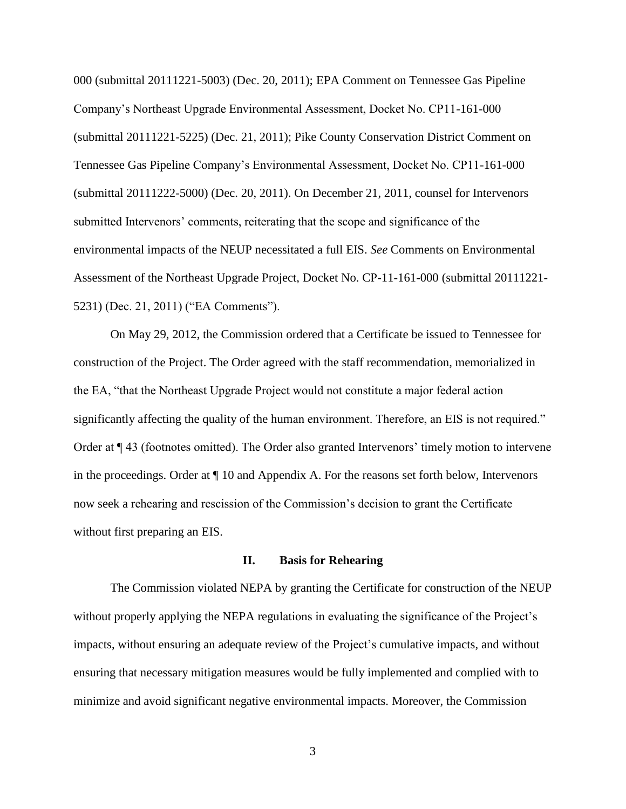000 (submittal 20111221-5003) (Dec. 20, 2011); EPA Comment on Tennessee Gas Pipeline Company's Northeast Upgrade Environmental Assessment, Docket No. CP11-161-000 (submittal 20111221-5225) (Dec. 21, 2011); Pike County Conservation District Comment on Tennessee Gas Pipeline Company's Environmental Assessment, Docket No. CP11-161-000 (submittal 20111222-5000) (Dec. 20, 2011). On December 21, 2011, counsel for Intervenors submitted Intervenors' comments, reiterating that the scope and significance of the environmental impacts of the NEUP necessitated a full EIS. *See* Comments on Environmental Assessment of the Northeast Upgrade Project, Docket No. CP-11-161-000 (submittal 20111221- 5231) (Dec. 21, 2011) ("EA Comments").

On May 29, 2012, the Commission ordered that a Certificate be issued to Tennessee for construction of the Project. The Order agreed with the staff recommendation, memorialized in the EA, "that the Northeast Upgrade Project would not constitute a major federal action significantly affecting the quality of the human environment. Therefore, an EIS is not required." Order at ¶ 43 (footnotes omitted). The Order also granted Intervenors' timely motion to intervene in the proceedings. Order at ¶ 10 and Appendix A. For the reasons set forth below, Intervenors now seek a rehearing and rescission of the Commission's decision to grant the Certificate without first preparing an EIS.

#### **II. Basis for Rehearing**

The Commission violated NEPA by granting the Certificate for construction of the NEUP without properly applying the NEPA regulations in evaluating the significance of the Project's impacts, without ensuring an adequate review of the Project's cumulative impacts, and without ensuring that necessary mitigation measures would be fully implemented and complied with to minimize and avoid significant negative environmental impacts. Moreover, the Commission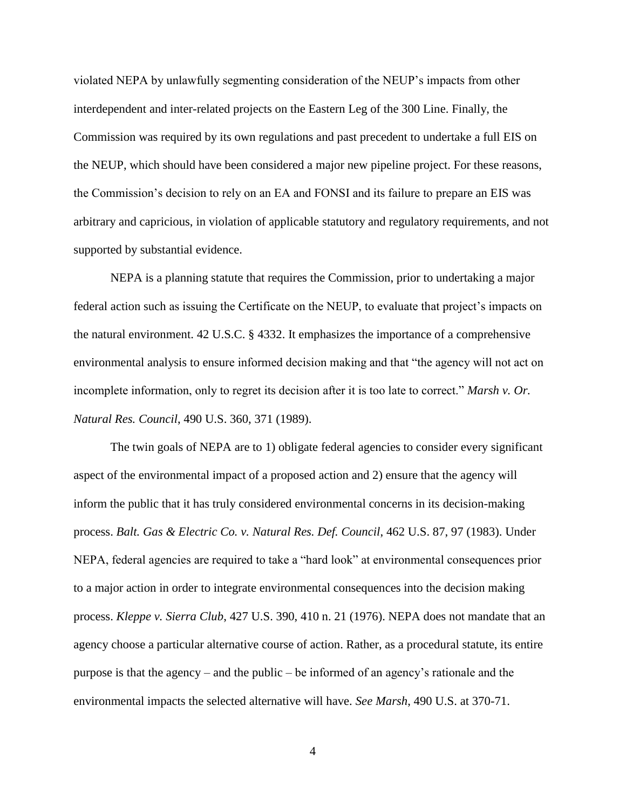violated NEPA by unlawfully segmenting consideration of the NEUP's impacts from other interdependent and inter-related projects on the Eastern Leg of the 300 Line. Finally, the Commission was required by its own regulations and past precedent to undertake a full EIS on the NEUP, which should have been considered a major new pipeline project. For these reasons, the Commission's decision to rely on an EA and FONSI and its failure to prepare an EIS was arbitrary and capricious, in violation of applicable statutory and regulatory requirements, and not supported by substantial evidence.

NEPA is a planning statute that requires the Commission, prior to undertaking a major federal action such as issuing the Certificate on the NEUP, to evaluate that project's impacts on the natural environment. 42 U.S.C. § 4332. It emphasizes the importance of a comprehensive environmental analysis to ensure informed decision making and that "the agency will not act on incomplete information, only to regret its decision after it is too late to correct." *Marsh v. Or. Natural Res. Council*, 490 U.S. 360, 371 (1989).

The twin goals of NEPA are to 1) obligate federal agencies to consider every significant aspect of the environmental impact of a proposed action and 2) ensure that the agency will inform the public that it has truly considered environmental concerns in its decision-making process. *Balt. Gas & Electric Co. v. Natural Res. Def. Council*, 462 U.S. 87, 97 (1983). Under NEPA, federal agencies are required to take a "hard look" at environmental consequences prior to a major action in order to integrate environmental consequences into the decision making process. *Kleppe v. Sierra Club*, 427 U.S. 390, 410 n. 21 (1976). NEPA does not mandate that an agency choose a particular alternative course of action. Rather, as a procedural statute, its entire purpose is that the agency – and the public – be informed of an agency's rationale and the environmental impacts the selected alternative will have. *See Marsh*, 490 U.S. at 370-71.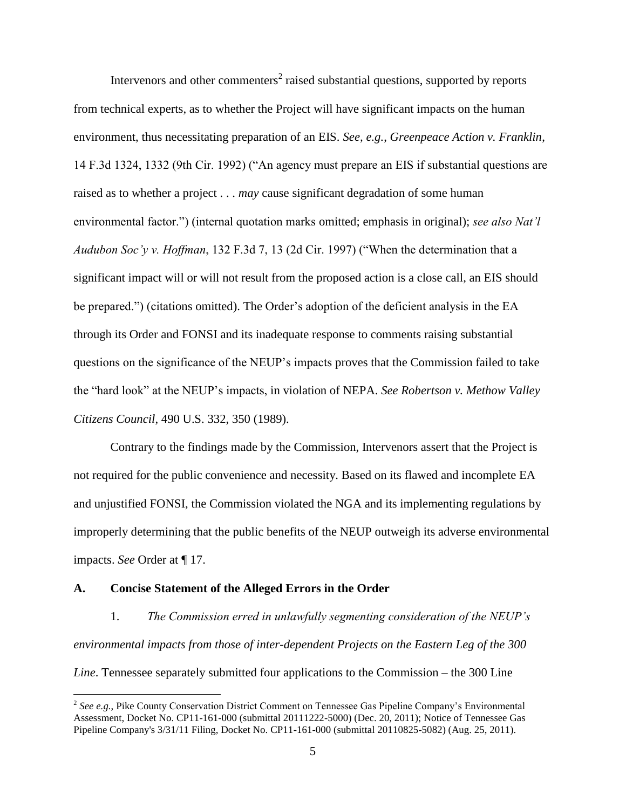Intervenors and other commenters<sup>2</sup> raised substantial questions, supported by reports from technical experts, as to whether the Project will have significant impacts on the human environment, thus necessitating preparation of an EIS. *See, e.g.*, *Greenpeace Action v. Franklin*, 14 F.3d 1324, 1332 (9th Cir. 1992) ("An agency must prepare an EIS if substantial questions are raised as to whether a project . . . *may* cause significant degradation of some human environmental factor.") (internal quotation marks omitted; emphasis in original); *see also Nat'l Audubon Soc'y v. Hoffman*, 132 F.3d 7, 13 (2d Cir. 1997) ("When the determination that a significant impact will or will not result from the proposed action is a close call, an EIS should be prepared.") (citations omitted). The Order's adoption of the deficient analysis in the EA through its Order and FONSI and its inadequate response to comments raising substantial questions on the significance of the NEUP's impacts proves that the Commission failed to take the "hard look" at the NEUP's impacts, in violation of NEPA. *See Robertson v. Methow Valley Citizens Council*, 490 U.S. 332, 350 (1989).

Contrary to the findings made by the Commission, Intervenors assert that the Project is not required for the public convenience and necessity. Based on its flawed and incomplete EA and unjustified FONSI, the Commission violated the NGA and its implementing regulations by improperly determining that the public benefits of the NEUP outweigh its adverse environmental impacts. *See* Order at ¶ 17.

#### **A. Concise Statement of the Alleged Errors in the Order**

 $\overline{a}$ 

1. *The Commission erred in unlawfully segmenting consideration of the NEUP's environmental impacts from those of inter-dependent Projects on the Eastern Leg of the 300 Line*. Tennessee separately submitted four applications to the Commission – the 300 Line

<sup>2</sup> *See e.g.*, Pike County Conservation District Comment on Tennessee Gas Pipeline Company's Environmental Assessment, Docket No. CP11-161-000 (submittal 20111222-5000) (Dec. 20, 2011); Notice of Tennessee Gas Pipeline Company's 3/31/11 Filing, Docket No. CP11-161-000 (submittal 20110825-5082) (Aug. 25, 2011).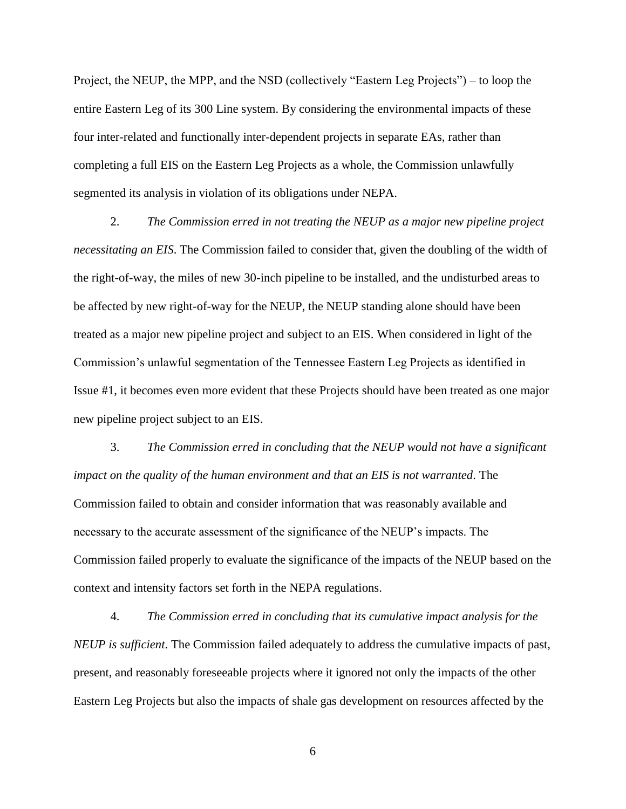Project, the NEUP, the MPP, and the NSD (collectively "Eastern Leg Projects") – to loop the entire Eastern Leg of its 300 Line system. By considering the environmental impacts of these four inter-related and functionally inter-dependent projects in separate EAs, rather than completing a full EIS on the Eastern Leg Projects as a whole, the Commission unlawfully segmented its analysis in violation of its obligations under NEPA.

2. *The Commission erred in not treating the NEUP as a major new pipeline project necessitating an EIS*. The Commission failed to consider that, given the doubling of the width of the right-of-way, the miles of new 30-inch pipeline to be installed, and the undisturbed areas to be affected by new right-of-way for the NEUP, the NEUP standing alone should have been treated as a major new pipeline project and subject to an EIS. When considered in light of the Commission's unlawful segmentation of the Tennessee Eastern Leg Projects as identified in Issue #1, it becomes even more evident that these Projects should have been treated as one major new pipeline project subject to an EIS.

3. *The Commission erred in concluding that the NEUP would not have a significant impact on the quality of the human environment and that an EIS is not warranted*. The Commission failed to obtain and consider information that was reasonably available and necessary to the accurate assessment of the significance of the NEUP's impacts. The Commission failed properly to evaluate the significance of the impacts of the NEUP based on the context and intensity factors set forth in the NEPA regulations.

4. *The Commission erred in concluding that its cumulative impact analysis for the NEUP is sufficient*. The Commission failed adequately to address the cumulative impacts of past, present, and reasonably foreseeable projects where it ignored not only the impacts of the other Eastern Leg Projects but also the impacts of shale gas development on resources affected by the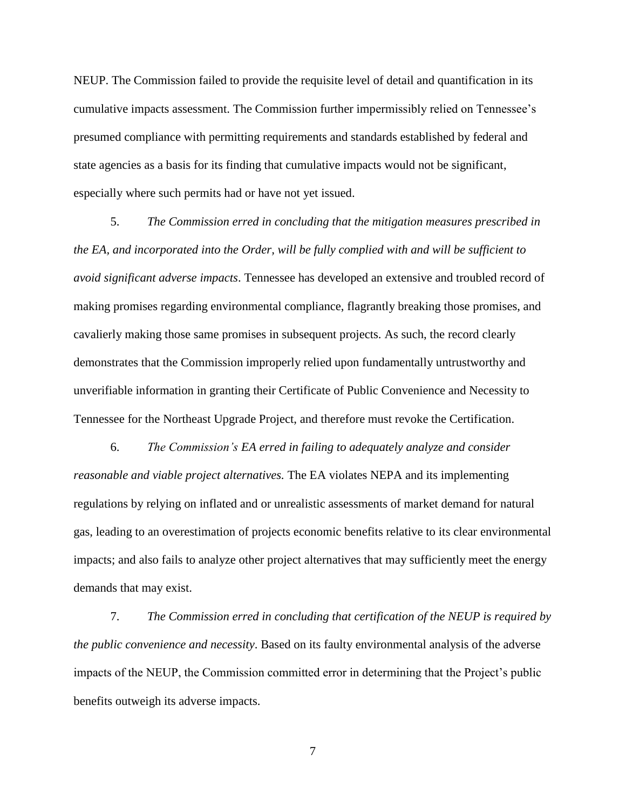NEUP. The Commission failed to provide the requisite level of detail and quantification in its cumulative impacts assessment. The Commission further impermissibly relied on Tennessee's presumed compliance with permitting requirements and standards established by federal and state agencies as a basis for its finding that cumulative impacts would not be significant, especially where such permits had or have not yet issued.

5. *The Commission erred in concluding that the mitigation measures prescribed in the EA, and incorporated into the Order, will be fully complied with and will be sufficient to avoid significant adverse impacts*. Tennessee has developed an extensive and troubled record of making promises regarding environmental compliance, flagrantly breaking those promises, and cavalierly making those same promises in subsequent projects. As such, the record clearly demonstrates that the Commission improperly relied upon fundamentally untrustworthy and unverifiable information in granting their Certificate of Public Convenience and Necessity to Tennessee for the Northeast Upgrade Project, and therefore must revoke the Certification.

6. *The Commission's EA erred in failing to adequately analyze and consider reasonable and viable project alternatives.* The EA violates NEPA and its implementing regulations by relying on inflated and or unrealistic assessments of market demand for natural gas, leading to an overestimation of projects economic benefits relative to its clear environmental impacts; and also fails to analyze other project alternatives that may sufficiently meet the energy demands that may exist.

7. *The Commission erred in concluding that certification of the NEUP is required by the public convenience and necessity*. Based on its faulty environmental analysis of the adverse impacts of the NEUP, the Commission committed error in determining that the Project's public benefits outweigh its adverse impacts.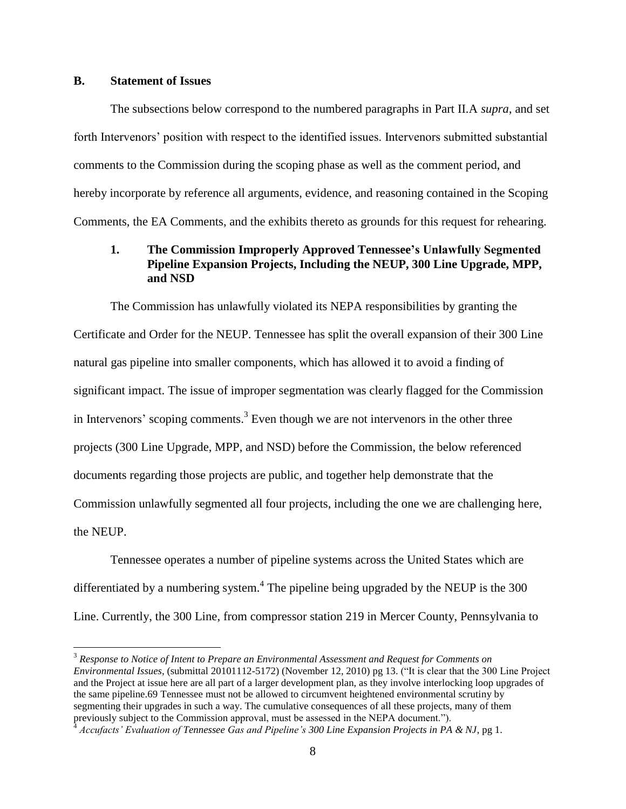#### **B. Statement of Issues**

 $\overline{a}$ 

The subsections below correspond to the numbered paragraphs in Part II.A *supra*, and set forth Intervenors' position with respect to the identified issues. Intervenors submitted substantial comments to the Commission during the scoping phase as well as the comment period, and hereby incorporate by reference all arguments, evidence, and reasoning contained in the Scoping Comments, the EA Comments, and the exhibits thereto as grounds for this request for rehearing.

### **1. The Commission Improperly Approved Tennessee's Unlawfully Segmented Pipeline Expansion Projects, Including the NEUP, 300 Line Upgrade, MPP, and NSD**

The Commission has unlawfully violated its NEPA responsibilities by granting the Certificate and Order for the NEUP. Tennessee has split the overall expansion of their 300 Line natural gas pipeline into smaller components, which has allowed it to avoid a finding of significant impact. The issue of improper segmentation was clearly flagged for the Commission in Intervenors' scoping comments.<sup>3</sup> Even though we are not intervenors in the other three projects (300 Line Upgrade, MPP, and NSD) before the Commission, the below referenced documents regarding those projects are public, and together help demonstrate that the Commission unlawfully segmented all four projects, including the one we are challenging here, the NEUP.

Tennessee operates a number of pipeline systems across the United States which are differentiated by a numbering system.<sup>4</sup> The pipeline being upgraded by the NEUP is the 300 Line. Currently, the 300 Line, from compressor station 219 in Mercer County, Pennsylvania to

<sup>3</sup> *Response to Notice of Intent to Prepare an Environmental Assessment and Request for Comments on Environmental Issues*, (submittal 20101112-5172) (November 12, 2010) pg 13. ("It is clear that the 300 Line Project and the Project at issue here are all part of a larger development plan, as they involve interlocking loop upgrades of the same pipeline.69 Tennessee must not be allowed to circumvent heightened environmental scrutiny by segmenting their upgrades in such a way. The cumulative consequences of all these projects, many of them previously subject to the Commission approval, must be assessed in the NEPA document.").

<sup>4</sup> *Accufacts' Evaluation of Tennessee Gas and Pipeline's 300 Line Expansion Projects in PA & NJ*, pg 1.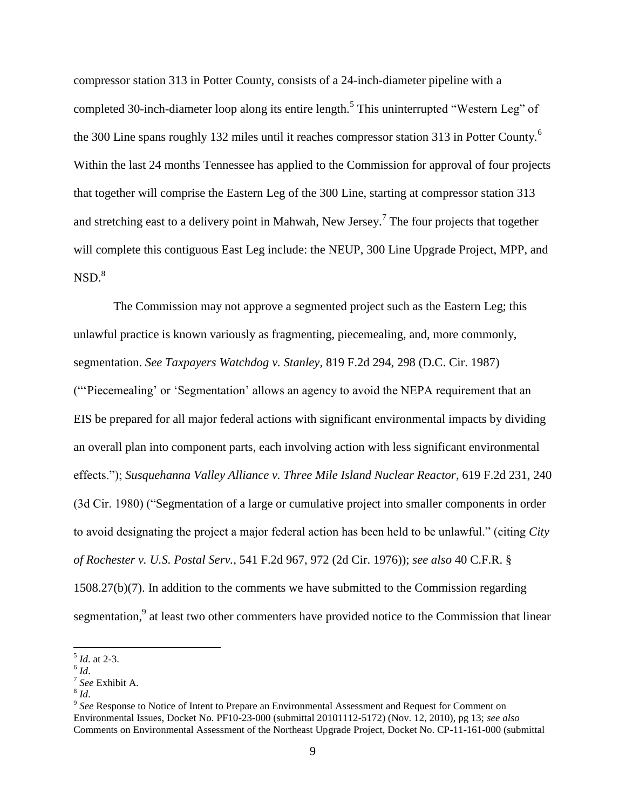compressor station 313 in Potter County, consists of a 24-inch-diameter pipeline with a completed 30-inch-diameter loop along its entire length.<sup>5</sup> This uninterrupted "Western Leg" of the 300 Line spans roughly 132 miles until it reaches compressor station 313 in Potter County.<sup>6</sup> Within the last 24 months Tennessee has applied to the Commission for approval of four projects that together will comprise the Eastern Leg of the 300 Line, starting at compressor station 313 and stretching east to a delivery point in Mahwah, New Jersey.<sup>7</sup> The four projects that together will complete this contiguous East Leg include: the NEUP, 300 Line Upgrade Project, MPP, and  $NSD.<sup>8</sup>$ 

The Commission may not approve a segmented project such as the Eastern Leg; this unlawful practice is known variously as fragmenting, piecemealing, and, more commonly, segmentation. *See Taxpayers Watchdog v. Stanley,* 819 F.2d 294, 298 (D.C. Cir. 1987) ("'Piecemealing' or 'Segmentation' allows an agency to avoid the NEPA requirement that an EIS be prepared for all major federal actions with significant environmental impacts by dividing an overall plan into component parts, each involving action with less significant environmental effects."); *Susquehanna Valley Alliance v. Three Mile Island Nuclear Reactor*, 619 F.2d 231, 240 (3d Cir. 1980) ("Segmentation of a large or cumulative project into smaller components in order to avoid designating the project a major federal action has been held to be unlawful." (citing *City of Rochester v. U.S. Postal Serv.*, 541 F.2d 967, 972 (2d Cir. 1976)); *see also* 40 C.F.R. §  $1508.27(b)(7)$ . In addition to the comments we have submitted to the Commission regarding segmentation,<sup>9</sup> at least two other commenters have provided notice to the Commission that linear

<sup>5</sup> *Id*. at 2-3.

<sup>6</sup> *Id*.

<sup>7</sup> *See* Exhibit A.

<sup>8</sup> *Id*.

<sup>&</sup>lt;sup>9</sup> See Response to Notice of Intent to Prepare an Environmental Assessment and Request for Comment on Environmental Issues, Docket No. PF10-23-000 (submittal 20101112-5172) (Nov. 12, 2010), pg 13; *see also* Comments on Environmental Assessment of the Northeast Upgrade Project, Docket No. CP-11-161-000 (submittal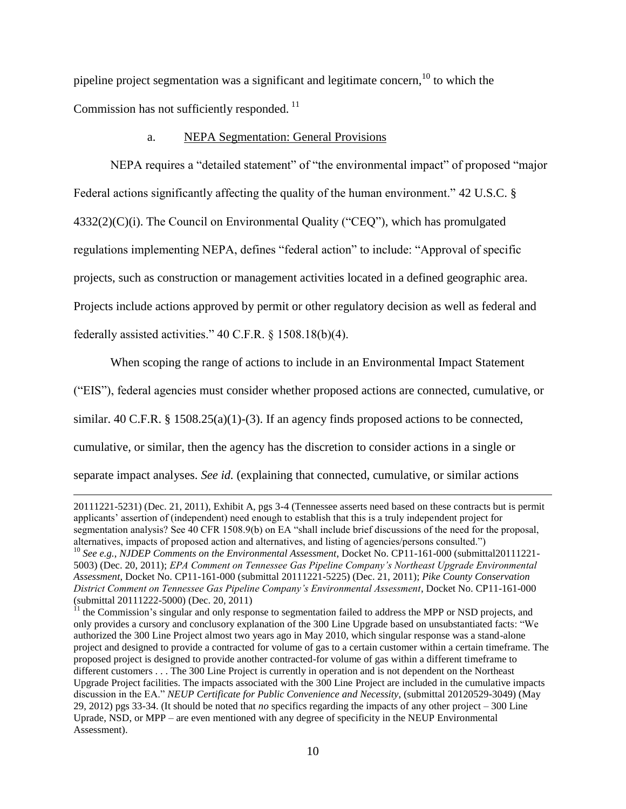pipeline project segmentation was a significant and legitimate concern, $^{10}$  to which the Commission has not sufficiently responded.<sup>11</sup>

### a. NEPA Segmentation: General Provisions

NEPA requires a "detailed statement" of "the environmental impact" of proposed "major Federal actions significantly affecting the quality of the human environment." 42 U.S.C. §  $4332(2)(C)(i)$ . The Council on Environmental Quality ("CEQ"), which has promulgated regulations implementing NEPA, defines "federal action" to include: "Approval of specific projects, such as construction or management activities located in a defined geographic area. Projects include actions approved by permit or other regulatory decision as well as federal and federally assisted activities." 40 C.F.R. § 1508.18(b)(4).

When scoping the range of actions to include in an Environmental Impact Statement

("EIS"), federal agencies must consider whether proposed actions are connected, cumulative, or

similar. 40 C.F.R. § 1508.25(a)(1)-(3). If an agency finds proposed actions to be connected,

cumulative, or similar, then the agency has the discretion to consider actions in a single or

separate impact analyses. *See id.* (explaining that connected, cumulative, or similar actions

<sup>20111221-5231) (</sup>Dec. 21, 2011), Exhibit A, pgs 3-4 (Tennessee asserts need based on these contracts but is permit applicants' assertion of (independent) need enough to establish that this is a truly independent project for segmentation analysis? See 40 CFR 1508.9(b) on EA "shall include brief discussions of the need for the proposal, alternatives, impacts of proposed action and alternatives, and listing of agencies/persons consulted.")

<sup>10</sup> *See e.g.*, *NJDEP Comments on the Environmental Assessment*, Docket No. CP11-161-000 (submittal20111221- 5003) (Dec. 20, 2011); *EPA Comment on Tennessee Gas Pipeline Company's Northeast Upgrade Environmental Assessment*, Docket No. CP11-161-000 (submittal 20111221-5225) (Dec. 21, 2011); *Pike County Conservation District Comment on Tennessee Gas Pipeline Company's Environmental Assessment*, Docket No. CP11-161-000 (submittal 20111222-5000) (Dec. 20, 2011)

 $11$  the Commission's singular and only response to segmentation failed to address the MPP or NSD projects, and only provides a cursory and conclusory explanation of the 300 Line Upgrade based on unsubstantiated facts: "We authorized the 300 Line Project almost two years ago in May 2010, which singular response was a stand-alone project and designed to provide a contracted for volume of gas to a certain customer within a certain timeframe. The proposed project is designed to provide another contracted-for volume of gas within a different timeframe to different customers . . . The 300 Line Project is currently in operation and is not dependent on the Northeast Upgrade Project facilities. The impacts associated with the 300 Line Project are included in the cumulative impacts discussion in the EA." *NEUP Certificate for Public Convenience and Necessity*, (submittal 20120529-3049) (May 29, 2012) pgs 33-34. (It should be noted that *no* specifics regarding the impacts of any other project – 300 Line Uprade, NSD, or MPP – are even mentioned with any degree of specificity in the NEUP Environmental Assessment).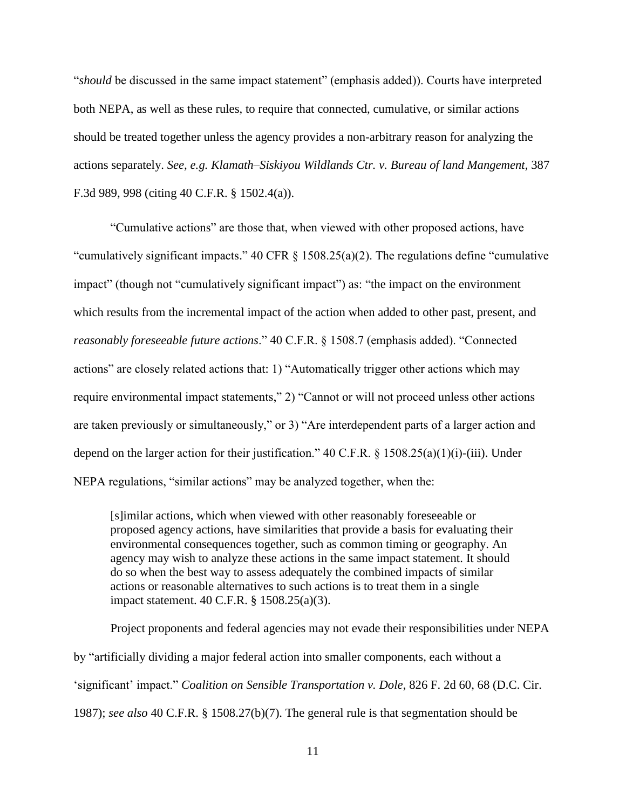"*should* be discussed in the same impact statement" (emphasis added)). Courts have interpreted both NEPA, as well as these rules, to require that connected, cumulative, or similar actions should be treated together unless the agency provides a non-arbitrary reason for analyzing the actions separately. *See, e.g. Klamath–Siskiyou Wildlands Ctr. v. Bureau of land Mangement,* 387 F.3d 989, 998 (citing 40 C.F.R. § 1502.4(a)).

"Cumulative actions" are those that, when viewed with other proposed actions, have "cumulatively significant impacts." 40 CFR § 1508.25(a)(2). The regulations define "cumulative impact" (though not "cumulatively significant impact") as: "the impact on the environment which results from the incremental impact of the action when added to other past, present, and *reasonably foreseeable future actions*." 40 C.F.R. § 1508.7 (emphasis added). "Connected actions" are closely related actions that: 1) "Automatically trigger other actions which may require environmental impact statements," 2) "Cannot or will not proceed unless other actions are taken previously or simultaneously," or 3) "Are interdependent parts of a larger action and depend on the larger action for their justification." 40 C.F.R.  $\S$  1508.25(a)(1)(i)-(iii). Under NEPA regulations, "similar actions" may be analyzed together, when the:

[s]imilar actions, which when viewed with other reasonably foreseeable or proposed agency actions, have similarities that provide a basis for evaluating their environmental consequences together, such as common timing or geography. An agency may wish to analyze these actions in the same impact statement. It should do so when the best way to assess adequately the combined impacts of similar actions or reasonable alternatives to such actions is to treat them in a single impact statement. 40 C.F.R. § 1508.25(a)(3).

Project proponents and federal agencies may not evade their responsibilities under NEPA by "artificially dividing a major federal action into smaller components, each without a 'significant' impact." *Coalition on Sensible Transportation v. Dole*, 826 F. 2d 60, 68 (D.C. Cir. 1987); *see also* 40 C.F.R. § 1508.27(b)(7). The general rule is that segmentation should be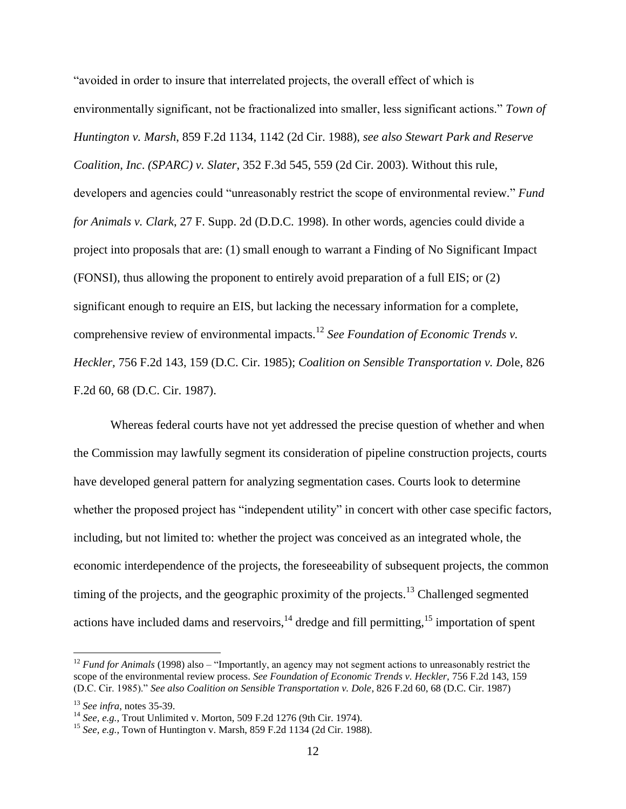"avoided in order to insure that interrelated projects, the overall effect of which is environmentally significant, not be fractionalized into smaller, less significant actions." *Town of Huntington v. Marsh*, 859 F.2d 1134, 1142 (2d Cir. 1988), *see also Stewart Park and Reserve Coalition, Inc*. *(SPARC) v. Slater*, 352 F.3d 545, 559 (2d Cir. 2003). Without this rule, developers and agencies could "unreasonably restrict the scope of environmental review." *Fund for Animals v. Clark*, 27 F. Supp. 2d (D.D.C. 1998). In other words, agencies could divide a project into proposals that are: (1) small enough to warrant a Finding of No Significant Impact (FONSI), thus allowing the proponent to entirely avoid preparation of a full EIS; or (2) significant enough to require an EIS, but lacking the necessary information for a complete, comprehensive review of environmental impacts.<sup>12</sup> *See Foundation of Economic Trends v. Heckler,* 756 F.2d 143, 159 (D.C. Cir. 1985); *Coalition on Sensible Transportation v. Do*le, 826 F.2d 60, 68 (D.C. Cir. 1987).

Whereas federal courts have not yet addressed the precise question of whether and when the Commission may lawfully segment its consideration of pipeline construction projects, courts have developed general pattern for analyzing segmentation cases. Courts look to determine whether the proposed project has "independent utility" in concert with other case specific factors, including, but not limited to: whether the project was conceived as an integrated whole, the economic interdependence of the projects, the foreseeability of subsequent projects, the common timing of the projects, and the geographic proximity of the projects.<sup>13</sup> Challenged segmented actions have included dams and reservoirs, $14$  dredge and fill permitting, $15$  importation of spent

<sup>&</sup>lt;sup>12</sup> *Fund for Animals* (1998) also – "Importantly, an agency may not segment actions to unreasonably restrict the scope of the environmental review process. *See Foundation of Economic Trends v. Heckler,* 756 F.2d 143, 159 (D.C. Cir. 1985)." *See also Coalition on Sensible Transportation v. Dole*, 826 F.2d 60, 68 (D.C. Cir. 1987)

<sup>13</sup> *See infra*, notes 35-39.

<sup>14</sup> *See, e.g.*, Trout Unlimited v. Morton, 509 F.2d 1276 (9th Cir. 1974).

<sup>15</sup> *See, e.g.*, Town of Huntington v. Marsh, 859 F.2d 1134 (2d Cir. 1988).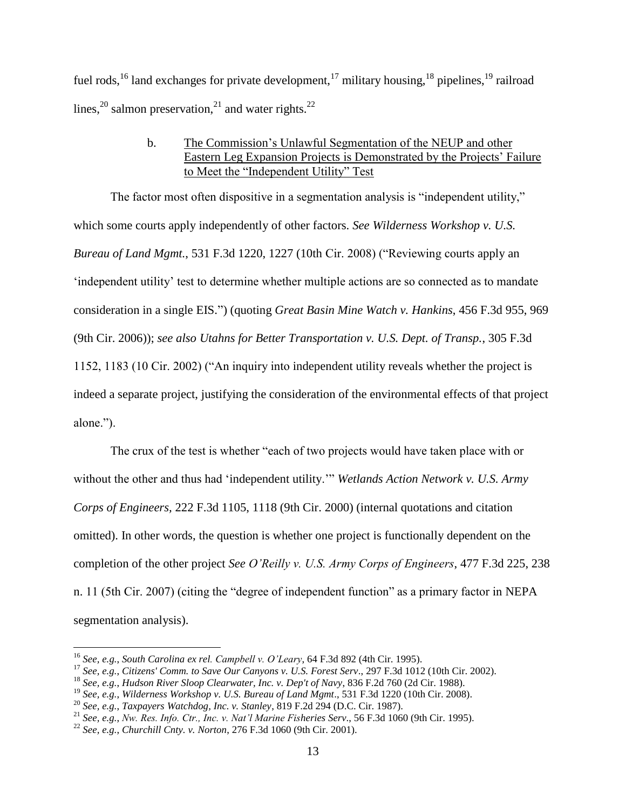fuel rods,<sup>16</sup> land exchanges for private development,<sup>17</sup> military housing,<sup>18</sup> pipelines,<sup>19</sup> railroad lines,<sup>20</sup> salmon preservation,<sup>21</sup> and water rights.<sup>22</sup>

# b. The Commission's Unlawful Segmentation of the NEUP and other Eastern Leg Expansion Projects is Demonstrated by the Projects' Failure to Meet the "Independent Utility" Test

The factor most often dispositive in a segmentation analysis is "independent utility," which some courts apply independently of other factors. *See Wilderness Workshop v. U.S. Bureau of Land Mgmt.*, 531 F.3d 1220, 1227 (10th Cir. 2008) ("Reviewing courts apply an 'independent utility' test to determine whether multiple actions are so connected as to mandate consideration in a single EIS.") (quoting *Great Basin Mine Watch v. Hankins*, 456 F.3d 955, 969 (9th Cir. 2006)); *see also Utahns for Better Transportation v. U.S. Dept. of Transp.*, 305 F.3d 1152, 1183 (10 Cir. 2002) ("An inquiry into independent utility reveals whether the project is indeed a separate project, justifying the consideration of the environmental effects of that project alone.").

The crux of the test is whether "each of two projects would have taken place with or without the other and thus had 'independent utility.'" *Wetlands Action Network v. U.S. Army Corps of Engineers,* 222 F.3d 1105, 1118 (9th Cir. 2000) (internal quotations and citation omitted). In other words, the question is whether one project is functionally dependent on the completion of the other project *See O'Reilly v. U.S. Army Corps of Engineers*, 477 F.3d 225, 238 n. 11 (5th Cir. 2007) (citing the "degree of independent function" as a primary factor in NEPA segmentation analysis).

<sup>16</sup> *See, e.g.*, *South Carolina ex rel. Campbell v. O'Leary*, 64 F.3d 892 (4th Cir. 1995).

<sup>17</sup> *See, e.g.*, *Citizens' Comm. to Save Our Canyons v. U.S. Forest Serv*., 297 F.3d 1012 (10th Cir. 2002).

<sup>18</sup> *See, e.g.*, *Hudson River Sloop Clearwater, Inc. v. Dep't of Navy*, 836 F.2d 760 (2d Cir. 1988).

<sup>19</sup> *See, e.g.*, *Wilderness Workshop v. U.S. Bureau of Land Mgmt*., 531 F.3d 1220 (10th Cir. 2008).

<sup>20</sup> *See, e.g.*, *Taxpayers Watchdog, Inc. v. Stanley*, 819 F.2d 294 (D.C. Cir. 1987).

<sup>21</sup> *See, e.g.*, *Nw. Res. Info. Ctr., Inc. v. Nat'l Marine Fisheries Serv*., 56 F.3d 1060 (9th Cir. 1995).

<sup>22</sup> *See, e.g.*, *Churchill Cnty. v. Norton*, 276 F.3d 1060 (9th Cir. 2001).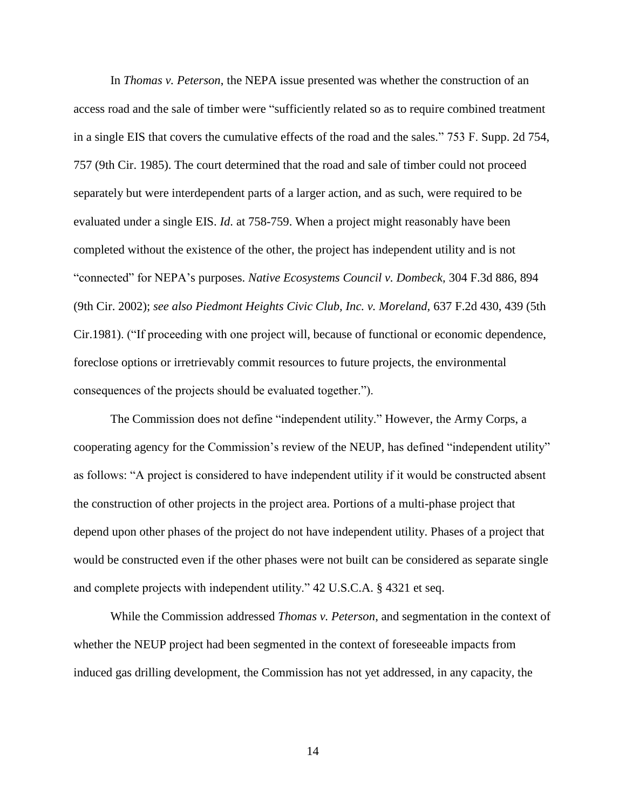In *Thomas v. Peterson*, the NEPA issue presented was whether the construction of an access road and the sale of timber were "sufficiently related so as to require combined treatment in a single EIS that covers the cumulative effects of the road and the sales." 753 F. Supp. 2d 754, 757 (9th Cir. 1985). The court determined that the road and sale of timber could not proceed separately but were interdependent parts of a larger action, and as such, were required to be evaluated under a single EIS. *Id*. at 758-759. When a project might reasonably have been completed without the existence of the other, the project has independent utility and is not "connected" for NEPA's purposes. *Native Ecosystems Council v. Dombeck,* 304 F.3d 886, 894 (9th Cir. 2002); *see also Piedmont Heights Civic Club, Inc. v. Moreland,* 637 F.2d 430, 439 (5th Cir.1981). ("If proceeding with one project will, because of functional or economic dependence, foreclose options or irretrievably commit resources to future projects, the environmental consequences of the projects should be evaluated together.").

The Commission does not define "independent utility." However, the Army Corps, a cooperating agency for the Commission's review of the NEUP, has defined "independent utility" as follows: "A project is considered to have independent utility if it would be constructed absent the construction of other projects in the project area. Portions of a multi-phase project that depend upon other phases of the project do not have independent utility. Phases of a project that would be constructed even if the other phases were not built can be considered as separate single and complete projects with independent utility." 42 U.S.C.A. § 4321 et seq.

While the Commission addressed *Thomas v. Peterson*, and segmentation in the context of whether the NEUP project had been segmented in the context of foreseeable impacts from induced gas drilling development, the Commission has not yet addressed, in any capacity, the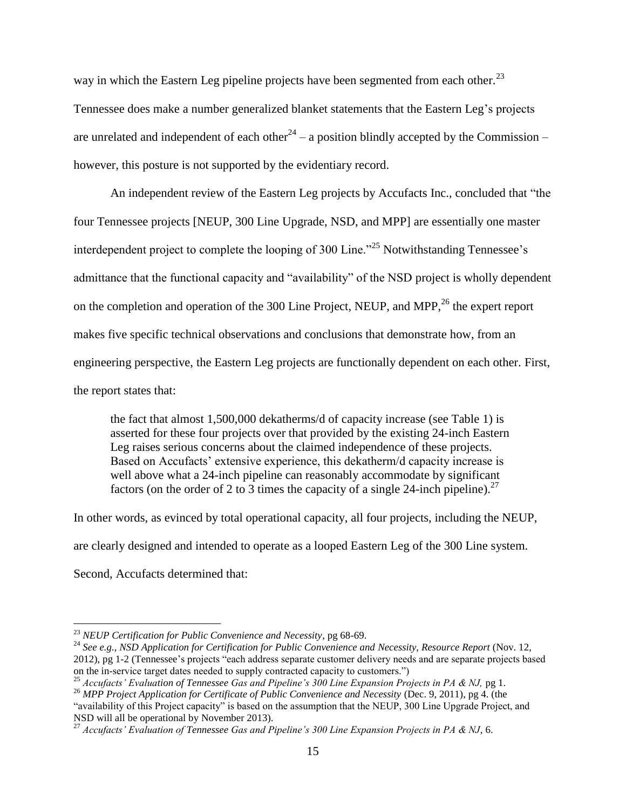way in which the Eastern Leg pipeline projects have been segmented from each other.<sup>23</sup> Tennessee does make a number generalized blanket statements that the Eastern Leg's projects are unrelated and independent of each other<sup>24</sup> – a position blindly accepted by the Commission – however, this posture is not supported by the evidentiary record.

An independent review of the Eastern Leg projects by Accufacts Inc., concluded that "the four Tennessee projects [NEUP, 300 Line Upgrade, NSD, and MPP] are essentially one master interdependent project to complete the looping of 300 Line."<sup>25</sup> Notwithstanding Tennessee's admittance that the functional capacity and "availability" of the NSD project is wholly dependent on the completion and operation of the 300 Line Project, NEUP, and MPP, $^{26}$  the expert report makes five specific technical observations and conclusions that demonstrate how, from an engineering perspective, the Eastern Leg projects are functionally dependent on each other. First, the report states that:

the fact that almost 1,500,000 dekatherms/d of capacity increase (see Table 1) is asserted for these four projects over that provided by the existing 24-inch Eastern Leg raises serious concerns about the claimed independence of these projects. Based on Accufacts' extensive experience, this dekatherm/d capacity increase is well above what a 24-inch pipeline can reasonably accommodate by significant factors (on the order of 2 to 3 times the capacity of a single 24-inch pipeline).<sup>27</sup>

In other words, as evinced by total operational capacity, all four projects, including the NEUP, are clearly designed and intended to operate as a looped Eastern Leg of the 300 Line system. Second, Accufacts determined that:

<sup>23</sup> *NEUP Certification for Public Convenience and Necessity*, pg 68-69.

<sup>24</sup> *See e.g.*, *NSD Application for Certification for Public Convenience and Necessity*, *Resource Report* (Nov. 12, 2012), pg 1-2 (Tennessee's projects "each address separate customer delivery needs and are separate projects based on the in-service target dates needed to supply contracted capacity to customers.")

<sup>25</sup> *Accufacts' Evaluation of Tennessee Gas and Pipeline's 300 Line Expansion Projects in PA & NJ,* pg 1.

<sup>26</sup> *MPP Project Application for Certificate of Public Convenience and Necessity* (Dec. 9, 2011), pg 4. (the "availability of this Project capacity" is based on the assumption that the NEUP, 300 Line Upgrade Project, and NSD will all be operational by November 2013).

<sup>27</sup> *Accufacts' Evaluation of Tennessee Gas and Pipeline's 300 Line Expansion Projects in PA & NJ*, 6.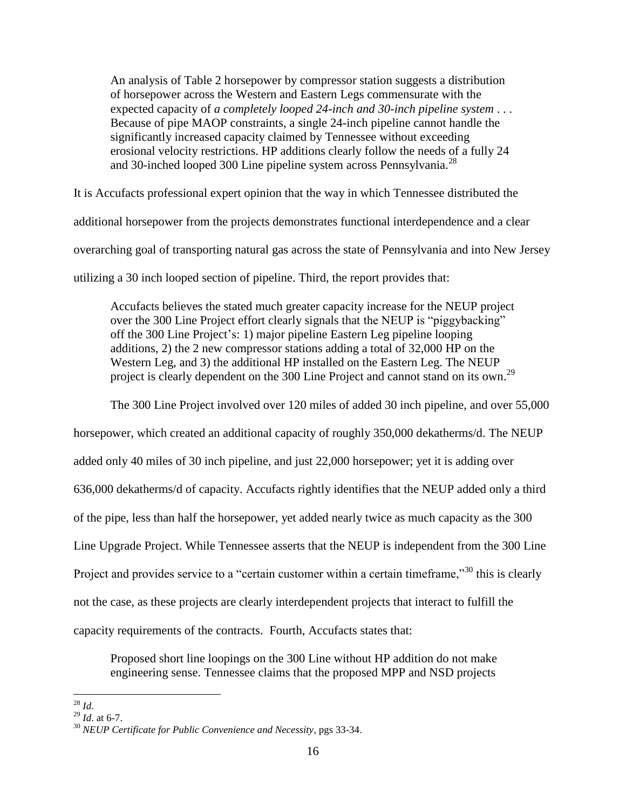An analysis of Table 2 horsepower by compressor station suggests a distribution of horsepower across the Western and Eastern Legs commensurate with the expected capacity of *a completely looped 24-inch and 30-inch pipeline system* . . . Because of pipe MAOP constraints, a single 24-inch pipeline cannot handle the significantly increased capacity claimed by Tennessee without exceeding erosional velocity restrictions. HP additions clearly follow the needs of a fully 24 and 30-inched looped 300 Line pipeline system across Pennsylvania.<sup>28</sup>

It is Accufacts professional expert opinion that the way in which Tennessee distributed the additional horsepower from the projects demonstrates functional interdependence and a clear overarching goal of transporting natural gas across the state of Pennsylvania and into New Jersey utilizing a 30 inch looped section of pipeline. Third, the report provides that:

Accufacts believes the stated much greater capacity increase for the NEUP project over the 300 Line Project effort clearly signals that the NEUP is "piggybacking" off the 300 Line Project's: 1) major pipeline Eastern Leg pipeline looping additions, 2) the 2 new compressor stations adding a total of 32,000 HP on the Western Leg, and 3) the additional HP installed on the Eastern Leg. The NEUP project is clearly dependent on the 300 Line Project and cannot stand on its own.<sup>29</sup>

The 300 Line Project involved over 120 miles of added 30 inch pipeline, and over 55,000

horsepower, which created an additional capacity of roughly 350,000 dekatherms/d. The NEUP added only 40 miles of 30 inch pipeline, and just 22,000 horsepower; yet it is adding over 636,000 dekatherms/d of capacity. Accufacts rightly identifies that the NEUP added only a third of the pipe, less than half the horsepower, yet added nearly twice as much capacity as the 300 Line Upgrade Project. While Tennessee asserts that the NEUP is independent from the 300 Line Project and provides service to a "certain customer within a certain timeframe,"<sup>30</sup> this is clearly not the case, as these projects are clearly interdependent projects that interact to fulfill the capacity requirements of the contracts. Fourth, Accufacts states that:

Proposed short line loopings on the 300 Line without HP addition do not make engineering sense. Tennessee claims that the proposed MPP and NSD projects

 $\overline{a}$ <sup>28</sup> *Id*.

 $^{29}$  *Id* at 6-7.

<sup>30</sup> *NEUP Certificate for Public Convenience and Necessity*, pgs 33-34.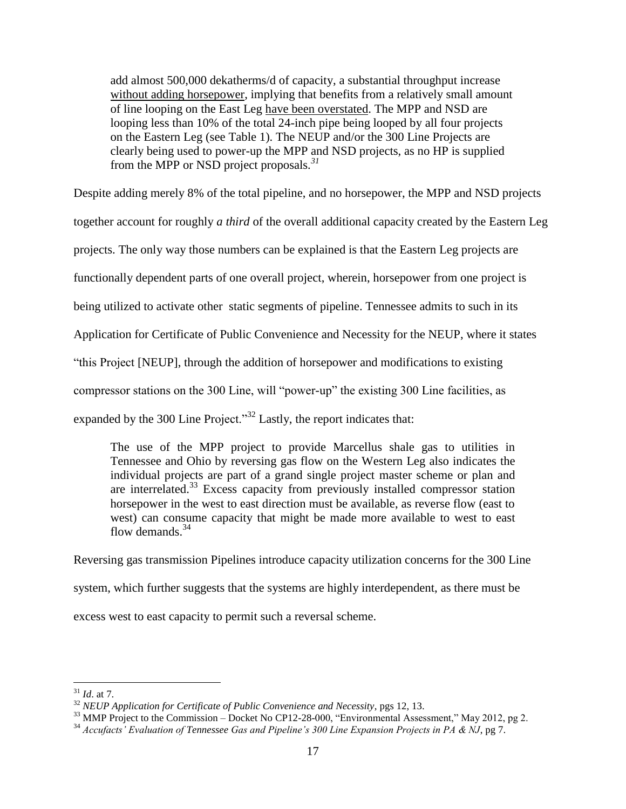add almost 500,000 dekatherms/d of capacity, a substantial throughput increase without adding horsepower, implying that benefits from a relatively small amount of line looping on the East Leg have been overstated. The MPP and NSD are looping less than 10% of the total 24-inch pipe being looped by all four projects on the Eastern Leg (see Table 1). The NEUP and/or the 300 Line Projects are clearly being used to power-up the MPP and NSD projects, as no HP is supplied from the MPP or NSD project proposals*. 31*

Despite adding merely 8% of the total pipeline, and no horsepower, the MPP and NSD projects

together account for roughly *a third* of the overall additional capacity created by the Eastern Leg

projects. The only way those numbers can be explained is that the Eastern Leg projects are

functionally dependent parts of one overall project, wherein, horsepower from one project is

being utilized to activate other static segments of pipeline. Tennessee admits to such in its

Application for Certificate of Public Convenience and Necessity for the NEUP, where it states

"this Project [NEUP], through the addition of horsepower and modifications to existing

compressor stations on the 300 Line, will "power-up" the existing 300 Line facilities, as

expanded by the 300 Line Project.<sup>33</sup> Lastly, the report indicates that:

The use of the MPP project to provide Marcellus shale gas to utilities in Tennessee and Ohio by reversing gas flow on the Western Leg also indicates the individual projects are part of a grand single project master scheme or plan and are interrelated. <sup>33</sup> Excess capacity from previously installed compressor station horsepower in the west to east direction must be available, as reverse flow (east to west) can consume capacity that might be made more available to west to east flow demands.<sup>34</sup>

Reversing gas transmission Pipelines introduce capacity utilization concerns for the 300 Line system, which further suggests that the systems are highly interdependent, as there must be excess west to east capacity to permit such a reversal scheme.

 $\overline{a}$ <sup>31</sup> *Id*. at 7.

<sup>32</sup> *NEUP Application for Certificate of Public Convenience and Necessity*, pgs 12, 13.

 $33$  MMP Project to the Commission – Docket No CP12-28-000, "Environmental Assessment," May 2012, pg 2.

<sup>34</sup> *Accufacts' Evaluation of Tennessee Gas and Pipeline's 300 Line Expansion Projects in PA & NJ*, pg 7.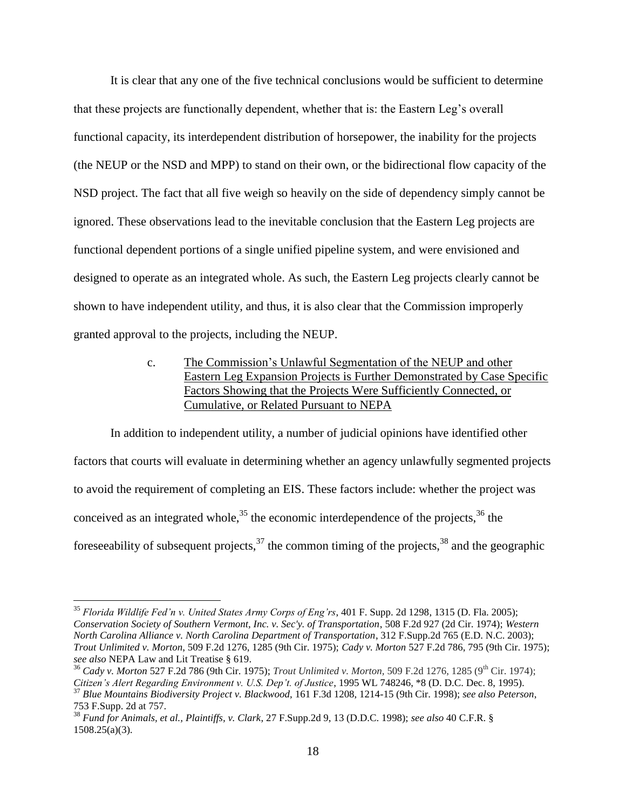It is clear that any one of the five technical conclusions would be sufficient to determine that these projects are functionally dependent, whether that is: the Eastern Leg's overall functional capacity, its interdependent distribution of horsepower, the inability for the projects (the NEUP or the NSD and MPP) to stand on their own, or the bidirectional flow capacity of the NSD project. The fact that all five weigh so heavily on the side of dependency simply cannot be ignored. These observations lead to the inevitable conclusion that the Eastern Leg projects are functional dependent portions of a single unified pipeline system, and were envisioned and designed to operate as an integrated whole. As such, the Eastern Leg projects clearly cannot be shown to have independent utility, and thus, it is also clear that the Commission improperly granted approval to the projects, including the NEUP.

> c. The Commission's Unlawful Segmentation of the NEUP and other Eastern Leg Expansion Projects is Further Demonstrated by Case Specific Factors Showing that the Projects Were Sufficiently Connected, or Cumulative, or Related Pursuant to NEPA

In addition to independent utility, a number of judicial opinions have identified other factors that courts will evaluate in determining whether an agency unlawfully segmented projects to avoid the requirement of completing an EIS. These factors include: whether the project was conceived as an integrated whole,  $35$  the economic interdependence of the projects,  $36$  the foreseeability of subsequent projects,  $37$  the common timing of the projects,  $38$  and the geographic

<sup>35</sup> *Florida Wildlife Fed'n v. United States Army Corps of Eng'rs*, 401 F. Supp. 2d 1298, 1315 (D. Fla. 2005); *Conservation Society of Southern Vermont, Inc. v. Sec'y. of Transportation*, 508 F.2d 927 (2d Cir. 1974); *Western North Carolina Alliance v. North Carolina Department of Transportation*, 312 F.Supp.2d 765 (E.D. N.C. 2003); *Trout Unlimited v. Morton*, 509 F.2d 1276, 1285 (9th Cir. 1975); *Cady v. Morton* 527 F.2d 786, 795 (9th Cir. 1975); *see also* NEPA Law and Lit Treatise § 619.

<sup>36</sup> *Cady v. Morton* 527 F.2d 786 (9th Cir. 1975); *Trout Unlimited v. Morton,* 509 F.2d 1276, 1285 (9th Cir. 1974); *Citizen's Alert Regarding Environment v. U.S. Dep't. of Justice*, 1995 WL 748246, \*8 (D. D.C. Dec. 8, 1995). <sup>37</sup> *Blue Mountains Biodiversity Project v. Blackwood,* 161 F.3d 1208, 1214-15 (9th Cir. 1998); *see also Peterson*,

<sup>753</sup> F.Supp. 2d at 757.

<sup>38</sup> *Fund for Animals, et al., Plaintiffs, v. Clark*, 27 F.Supp.2d 9, 13 (D.D.C. 1998); *see also* 40 C.F.R. § 1508.25(a)(3).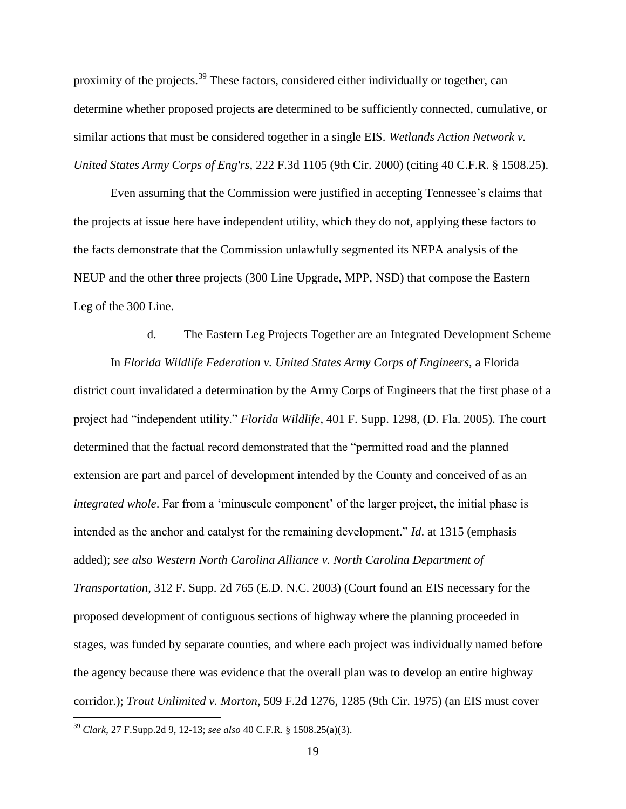proximity of the projects.<sup>39</sup> These factors, considered either individually or together, can determine whether proposed projects are determined to be sufficiently connected, cumulative, or similar actions that must be considered together in a single EIS. *Wetlands Action Network v. United States Army Corps of Eng'rs,* 222 F.3d 1105 (9th Cir. 2000) (citing 40 C.F.R. § 1508.25).

Even assuming that the Commission were justified in accepting Tennessee's claims that the projects at issue here have independent utility, which they do not, applying these factors to the facts demonstrate that the Commission unlawfully segmented its NEPA analysis of the NEUP and the other three projects (300 Line Upgrade, MPP, NSD) that compose the Eastern Leg of the 300 Line.

#### d. The Eastern Leg Projects Together are an Integrated Development Scheme

In *Florida Wildlife Federation v. United States Army Corps of Engineers*, a Florida district court invalidated a determination by the Army Corps of Engineers that the first phase of a project had "independent utility." *Florida Wildlife*, 401 F. Supp. 1298, (D. Fla. 2005). The court determined that the factual record demonstrated that the "permitted road and the planned extension are part and parcel of development intended by the County and conceived of as an *integrated whole*. Far from a 'minuscule component' of the larger project, the initial phase is intended as the anchor and catalyst for the remaining development." *Id*. at 1315 (emphasis added); *see also Western North Carolina Alliance v. North Carolina Department of Transportation*, 312 F. Supp. 2d 765 (E.D. N.C. 2003) (Court found an EIS necessary for the proposed development of contiguous sections of highway where the planning proceeded in stages, was funded by separate counties, and where each project was individually named before the agency because there was evidence that the overall plan was to develop an entire highway corridor.); *Trout Unlimited v. Morton*, 509 F.2d 1276, 1285 (9th Cir. 1975) (an EIS must cover  $\overline{a}$ 

<sup>39</sup> *Clark*, 27 F.Supp.2d 9, 12-13; *see also* 40 C.F.R. § 1508.25(a)(3).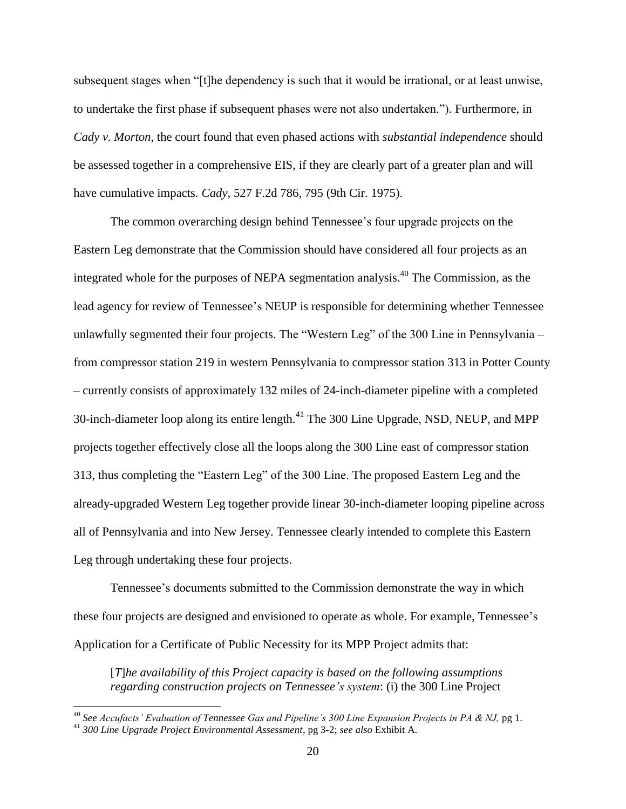subsequent stages when "[t]he dependency is such that it would be irrational, or at least unwise, to undertake the first phase if subsequent phases were not also undertaken."). Furthermore, in *Cady v. Morton*, the court found that even phased actions with *substantial independence* should be assessed together in a comprehensive EIS, if they are clearly part of a greater plan and will have cumulative impacts. *Cady*, 527 F.2d 786, 795 (9th Cir. 1975).

The common overarching design behind Tennessee's four upgrade projects on the Eastern Leg demonstrate that the Commission should have considered all four projects as an integrated whole for the purposes of NEPA segmentation analysis. <sup>40</sup> The Commission, as the lead agency for review of Tennessee's NEUP is responsible for determining whether Tennessee unlawfully segmented their four projects. The "Western Leg" of the 300 Line in Pennsylvania – from compressor station 219 in western Pennsylvania to compressor station 313 in Potter County – currently consists of approximately 132 miles of 24-inch-diameter pipeline with a completed 30-inch-diameter loop along its entire length.<sup>41</sup> The 300 Line Upgrade, NSD, NEUP, and MPP projects together effectively close all the loops along the 300 Line east of compressor station 313, thus completing the "Eastern Leg" of the 300 Line. The proposed Eastern Leg and the already-upgraded Western Leg together provide linear 30-inch-diameter looping pipeline across all of Pennsylvania and into New Jersey. Tennessee clearly intended to complete this Eastern Leg through undertaking these four projects.

Tennessee's documents submitted to the Commission demonstrate the way in which these four projects are designed and envisioned to operate as whole. For example, Tennessee's Application for a Certificate of Public Necessity for its MPP Project admits that:

[*T*]*he availability of this Project capacity is based on the following assumptions regarding construction projects on Tennessee's system*: (i) the 300 Line Project

<sup>40</sup> *See Accufacts' Evaluation of Tennessee Gas and Pipeline's 300 Line Expansion Projects in PA & NJ,* pg 1.

<sup>41</sup> *300 Line Upgrade Project Environmental Assessment*, pg 3-2; *see also* Exhibit A.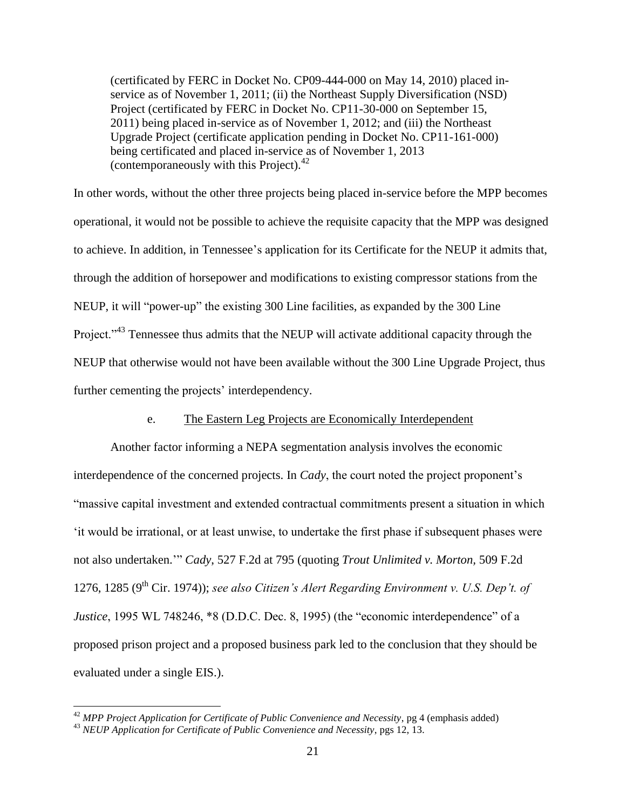(certificated by FERC in Docket No. CP09-444-000 on May 14, 2010) placed inservice as of November 1, 2011; (ii) the Northeast Supply Diversification (NSD) Project (certificated by FERC in Docket No. CP11-30-000 on September 15, 2011) being placed in-service as of November 1, 2012; and (iii) the Northeast Upgrade Project (certificate application pending in Docket No. CP11-161-000) being certificated and placed in-service as of November 1, 2013 (contemporaneously with this Project).<sup>42</sup>

In other words, without the other three projects being placed in-service before the MPP becomes operational, it would not be possible to achieve the requisite capacity that the MPP was designed to achieve. In addition, in Tennessee's application for its Certificate for the NEUP it admits that, through the addition of horsepower and modifications to existing compressor stations from the NEUP, it will "power-up" the existing 300 Line facilities, as expanded by the 300 Line Project."<sup>43</sup> Tennessee thus admits that the NEUP will activate additional capacity through the NEUP that otherwise would not have been available without the 300 Line Upgrade Project, thus further cementing the projects' interdependency.

#### e. The Eastern Leg Projects are Economically Interdependent

Another factor informing a NEPA segmentation analysis involves the economic interdependence of the concerned projects. In *Cady*, the court noted the project proponent's "massive capital investment and extended contractual commitments present a situation in which 'it would be irrational, or at least unwise, to undertake the first phase if subsequent phases were not also undertaken.'" *Cady*, 527 F.2d at 795 (quoting *Trout Unlimited v. Morton,* 509 F.2d 1276, 1285 ( $9<sup>th</sup>$  Cir. 1974)); *see also Citizen's Alert Regarding Environment v. U.S. Dep't. of Justice*, 1995 WL 748246, \*8 (D.D.C. Dec. 8, 1995) (the "economic interdependence" of a proposed prison project and a proposed business park led to the conclusion that they should be evaluated under a single EIS.).

<sup>42</sup> *MPP Project Application for Certificate of Public Convenience and Necessity*, pg 4 (emphasis added)

<sup>43</sup> *NEUP Application for Certificate of Public Convenience and Necessity*, pgs 12, 13.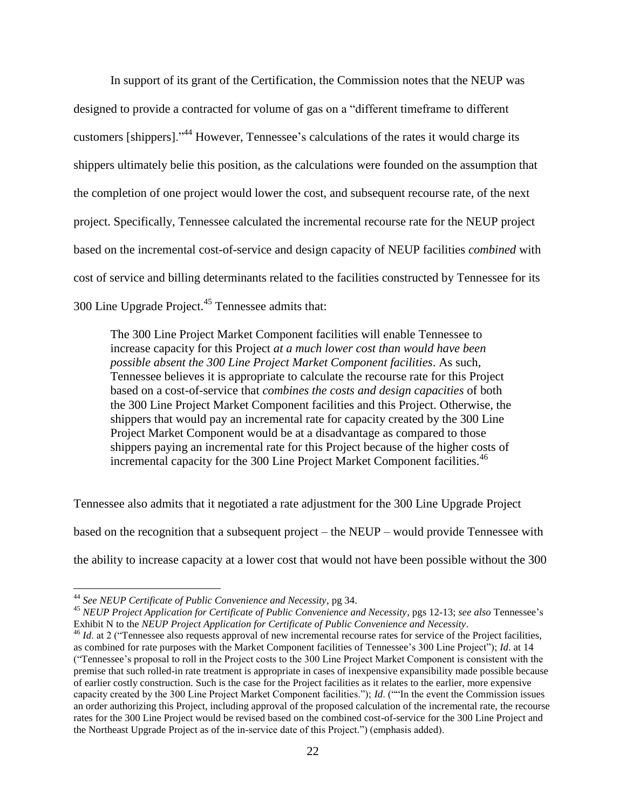In support of its grant of the Certification, the Commission notes that the NEUP was designed to provide a contracted for volume of gas on a "different timeframe to different customers [shippers]."<sup>44</sup> However, Tennessee's calculations of the rates it would charge its shippers ultimately belie this position, as the calculations were founded on the assumption that the completion of one project would lower the cost, and subsequent recourse rate, of the next project. Specifically, Tennessee calculated the incremental recourse rate for the NEUP project based on the incremental cost-of-service and design capacity of NEUP facilities *combined* with cost of service and billing determinants related to the facilities constructed by Tennessee for its 300 Line Upgrade Project.<sup>45</sup> Tennessee admits that:

The 300 Line Project Market Component facilities will enable Tennessee to increase capacity for this Project *at a much lower cost than would have been possible absent the 300 Line Project Market Component facilities*. As such, Tennessee believes it is appropriate to calculate the recourse rate for this Project based on a cost-of-service that *combines the costs and design capacities* of both the 300 Line Project Market Component facilities and this Project. Otherwise, the shippers that would pay an incremental rate for capacity created by the 300 Line Project Market Component would be at a disadvantage as compared to those shippers paying an incremental rate for this Project because of the higher costs of incremental capacity for the 300 Line Project Market Component facilities.<sup>46</sup>

Tennessee also admits that it negotiated a rate adjustment for the 300 Line Upgrade Project based on the recognition that a subsequent project – the NEUP – would provide Tennessee with the ability to increase capacity at a lower cost that would not have been possible without the 300

<sup>44</sup> *See NEUP Certificate of Public Convenience and Necessity*, pg 34.

<sup>45</sup> *NEUP Project Application for Certificate of Public Convenience and Necessity*, pgs 12-13; *see also* Tennessee's Exhibit N to the *NEUP Project Application for Certificate of Public Convenience and Necessity*.

<sup>&</sup>lt;sup>46</sup> *Id.* at 2 ("Tennessee also requests approval of new incremental recourse rates for service of the Project facilities, as combined for rate purposes with the Market Component facilities of Tennessee's 300 Line Project"); *Id*. at 14 ("Tennessee's proposal to roll in the Project costs to the 300 Line Project Market Component is consistent with the premise that such rolled-in rate treatment is appropriate in cases of inexpensive expansibility made possible because of earlier costly construction. Such is the case for the Project facilities as it relates to the earlier, more expensive capacity created by the 300 Line Project Market Component facilities."); *Id*. (""In the event the Commission issues an order authorizing this Project, including approval of the proposed calculation of the incremental rate, the recourse rates for the 300 Line Project would be revised based on the combined cost-of-service for the 300 Line Project and the Northeast Upgrade Project as of the in-service date of this Project.") (emphasis added).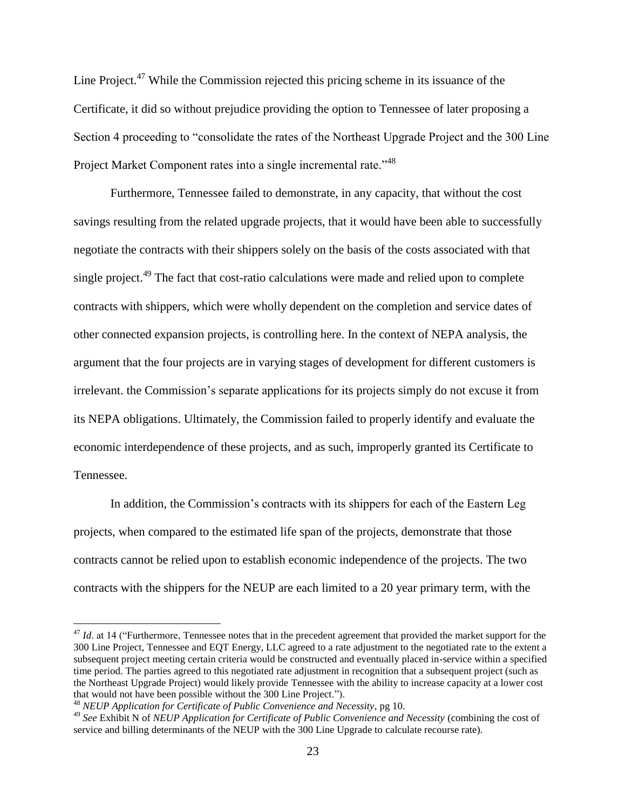Line Project.<sup>47</sup> While the Commission rejected this pricing scheme in its issuance of the Certificate, it did so without prejudice providing the option to Tennessee of later proposing a Section 4 proceeding to "consolidate the rates of the Northeast Upgrade Project and the 300 Line Project Market Component rates into a single incremental rate."<sup>48</sup>

Furthermore, Tennessee failed to demonstrate, in any capacity, that without the cost savings resulting from the related upgrade projects, that it would have been able to successfully negotiate the contracts with their shippers solely on the basis of the costs associated with that single project.<sup>49</sup> The fact that cost-ratio calculations were made and relied upon to complete contracts with shippers, which were wholly dependent on the completion and service dates of other connected expansion projects, is controlling here. In the context of NEPA analysis, the argument that the four projects are in varying stages of development for different customers is irrelevant. the Commission's separate applications for its projects simply do not excuse it from its NEPA obligations. Ultimately, the Commission failed to properly identify and evaluate the economic interdependence of these projects, and as such, improperly granted its Certificate to Tennessee.

In addition, the Commission's contracts with its shippers for each of the Eastern Leg projects, when compared to the estimated life span of the projects, demonstrate that those contracts cannot be relied upon to establish economic independence of the projects. The two contracts with the shippers for the NEUP are each limited to a 20 year primary term, with the

<sup>&</sup>lt;sup>47</sup> *Id.* at 14 ("Furthermore, Tennessee notes that in the precedent agreement that provided the market support for the 300 Line Project, Tennessee and EQT Energy, LLC agreed to a rate adjustment to the negotiated rate to the extent a subsequent project meeting certain criteria would be constructed and eventually placed in-service within a specified time period. The parties agreed to this negotiated rate adjustment in recognition that a subsequent project (such as the Northeast Upgrade Project) would likely provide Tennessee with the ability to increase capacity at a lower cost that would not have been possible without the 300 Line Project.").

<sup>48</sup> *NEUP Application for Certificate of Public Convenience and Necessity*, pg 10.

<sup>49</sup> *See* Exhibit N of *NEUP Application for Certificate of Public Convenience and Necessity* (combining the cost of service and billing determinants of the NEUP with the 300 Line Upgrade to calculate recourse rate).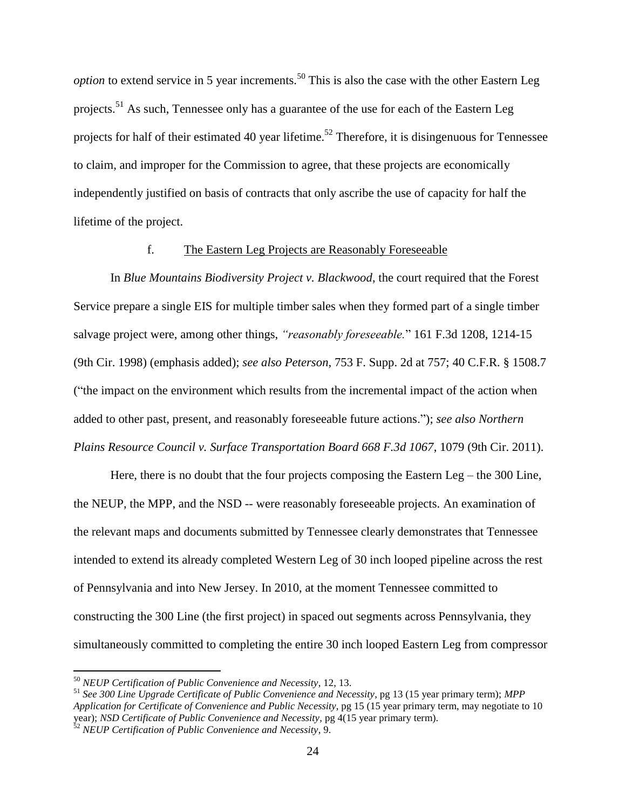*option* to extend service in 5 year increments.<sup>50</sup> This is also the case with the other Eastern Leg projects.<sup>51</sup> As such, Tennessee only has a guarantee of the use for each of the Eastern Leg projects for half of their estimated 40 year lifetime.<sup>52</sup> Therefore, it is disingenuous for Tennessee to claim, and improper for the Commission to agree, that these projects are economically independently justified on basis of contracts that only ascribe the use of capacity for half the lifetime of the project.

#### f. The Eastern Leg Projects are Reasonably Foreseeable

In *Blue Mountains Biodiversity Project v. Blackwood*, the court required that the Forest Service prepare a single EIS for multiple timber sales when they formed part of a single timber salvage project were, among other things, *"reasonably foreseeable.*" 161 F.3d 1208, 1214-15 (9th Cir. 1998) (emphasis added); *see also Peterson*, 753 F. Supp. 2d at 757; 40 C.F.R. § 1508.7 ("the impact on the environment which results from the incremental impact of the action when added to other past, present, and reasonably foreseeable future actions."); *see also Northern Plains Resource Council v. Surface Transportation Board 668 F.3d 1067*, 1079 (9th Cir. 2011).

Here, there is no doubt that the four projects composing the Eastern Leg – the 300 Line, the NEUP, the MPP, and the NSD -- were reasonably foreseeable projects. An examination of the relevant maps and documents submitted by Tennessee clearly demonstrates that Tennessee intended to extend its already completed Western Leg of 30 inch looped pipeline across the rest of Pennsylvania and into New Jersey. In 2010, at the moment Tennessee committed to constructing the 300 Line (the first project) in spaced out segments across Pennsylvania, they simultaneously committed to completing the entire 30 inch looped Eastern Leg from compressor

<sup>50</sup> *NEUP Certification of Public Convenience and Necessity*, 12, 13.

<sup>51</sup> *See 300 Line Upgrade Certificate of Public Convenience and Necessity*, pg 13 (15 year primary term); *MPP Application for Certificate of Convenience and Public Necessity*, pg 15 (15 year primary term, may negotiate to 10 year); *NSD Certificate of Public Convenience and Necessity*, pg 4(15 year primary term). <sup>52</sup> *NEUP Certification of Public Convenience and Necessity*, 9.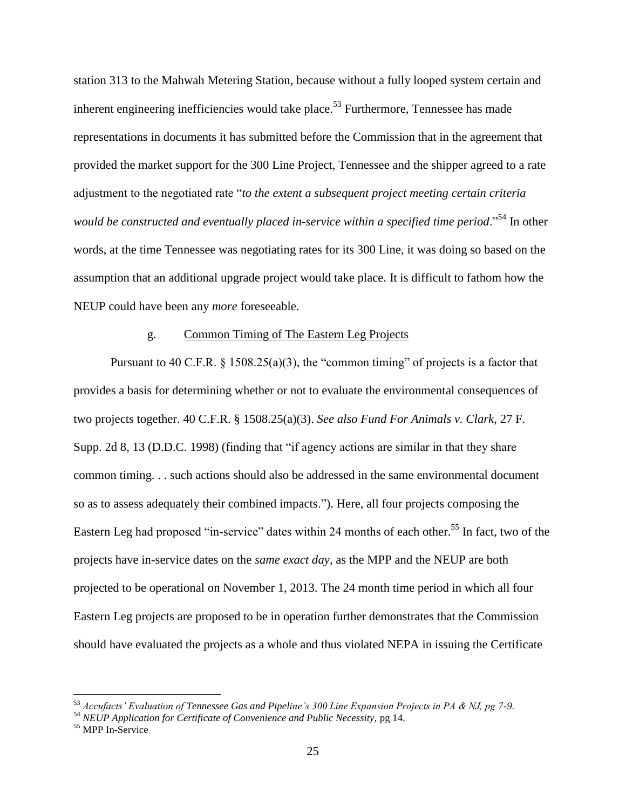station 313 to the Mahwah Metering Station, because without a fully looped system certain and inherent engineering inefficiencies would take place.<sup>53</sup> Furthermore, Tennessee has made representations in documents it has submitted before the Commission that in the agreement that provided the market support for the 300 Line Project, Tennessee and the shipper agreed to a rate adjustment to the negotiated rate "*to the extent a subsequent project meeting certain criteria would be constructed and eventually placed in-service within a specified time period*."<sup>54</sup> In other words, at the time Tennessee was negotiating rates for its 300 Line, it was doing so based on the assumption that an additional upgrade project would take place. It is difficult to fathom how the NEUP could have been any *more* foreseeable.

### g. Common Timing of The Eastern Leg Projects

Pursuant to 40 C.F.R.  $\S$  1508.25(a)(3), the "common timing" of projects is a factor that provides a basis for determining whether or not to evaluate the environmental consequences of two projects together. 40 C.F.R. § 1508.25(a)(3). *See also Fund For Animals v. Clark*, 27 F. Supp. 2d 8, 13 (D.D.C. 1998) (finding that "if agency actions are similar in that they share common timing. . . such actions should also be addressed in the same environmental document so as to assess adequately their combined impacts."). Here, all four projects composing the Eastern Leg had proposed "in-service" dates within 24 months of each other.<sup>55</sup> In fact, two of the projects have in-service dates on the *same exact day,* as the MPP and the NEUP are both projected to be operational on November 1, 2013. The 24 month time period in which all four Eastern Leg projects are proposed to be in operation further demonstrates that the Commission should have evaluated the projects as a whole and thus violated NEPA in issuing the Certificate

<sup>53</sup> *Accufacts' Evaluation of Tennessee Gas and Pipeline's 300 Line Expansion Projects in PA & NJ, pg 7-9.*

<sup>54</sup> *NEUP Application for Certificate of Convenience and Public Necessity,* pg 14.

<sup>&</sup>lt;sup>55</sup> MPP In-Service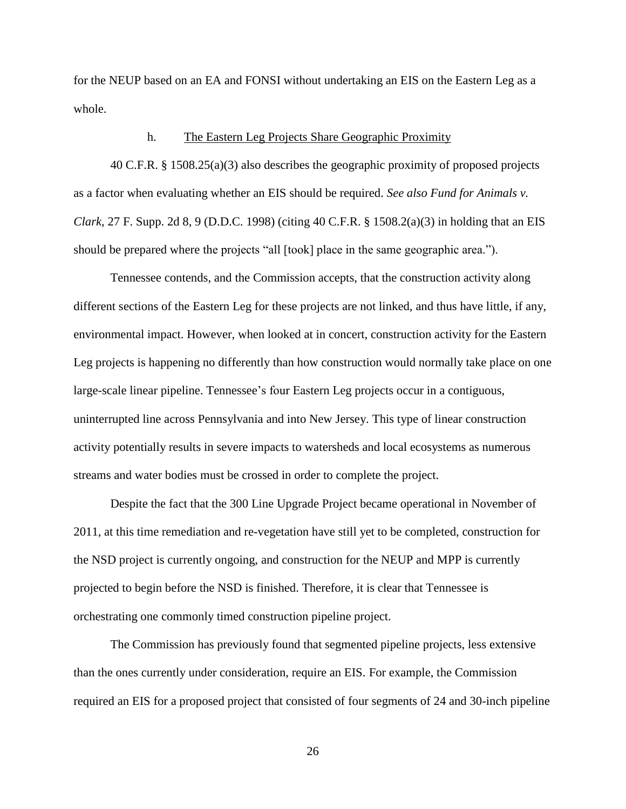for the NEUP based on an EA and FONSI without undertaking an EIS on the Eastern Leg as a whole.

#### h. The Eastern Leg Projects Share Geographic Proximity

40 C.F.R. § 1508.25(a)(3) also describes the geographic proximity of proposed projects as a factor when evaluating whether an EIS should be required. *See also Fund for Animals v. Clark*, 27 F. Supp. 2d 8, 9 (D.D.C. 1998) (citing 40 C.F.R. § 1508.2(a)(3) in holding that an EIS should be prepared where the projects "all [took] place in the same geographic area.").

Tennessee contends, and the Commission accepts, that the construction activity along different sections of the Eastern Leg for these projects are not linked, and thus have little, if any, environmental impact. However, when looked at in concert, construction activity for the Eastern Leg projects is happening no differently than how construction would normally take place on one large-scale linear pipeline. Tennessee's four Eastern Leg projects occur in a contiguous, uninterrupted line across Pennsylvania and into New Jersey. This type of linear construction activity potentially results in severe impacts to watersheds and local ecosystems as numerous streams and water bodies must be crossed in order to complete the project.

Despite the fact that the 300 Line Upgrade Project became operational in November of 2011, at this time remediation and re-vegetation have still yet to be completed, construction for the NSD project is currently ongoing, and construction for the NEUP and MPP is currently projected to begin before the NSD is finished. Therefore, it is clear that Tennessee is orchestrating one commonly timed construction pipeline project.

The Commission has previously found that segmented pipeline projects, less extensive than the ones currently under consideration, require an EIS. For example, the Commission required an EIS for a proposed project that consisted of four segments of 24 and 30-inch pipeline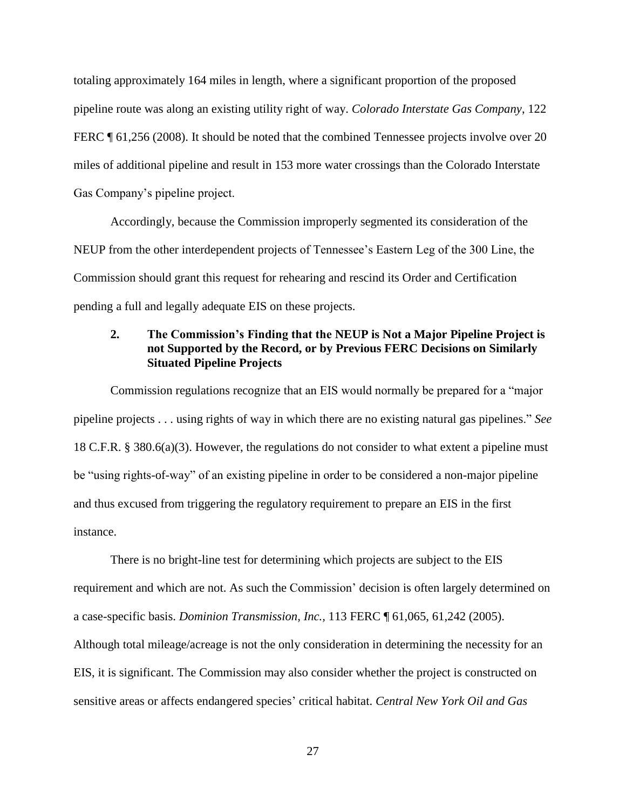totaling approximately 164 miles in length, where a significant proportion of the proposed pipeline route was along an existing utility right of way. *Colorado Interstate Gas Company*, 122 FERC  $\parallel$  61,256 (2008). It should be noted that the combined Tennessee projects involve over 20 miles of additional pipeline and result in 153 more water crossings than the Colorado Interstate Gas Company's pipeline project.

Accordingly, because the Commission improperly segmented its consideration of the NEUP from the other interdependent projects of Tennessee's Eastern Leg of the 300 Line, the Commission should grant this request for rehearing and rescind its Order and Certification pending a full and legally adequate EIS on these projects.

# **2. The Commission's Finding that the NEUP is Not a Major Pipeline Project is not Supported by the Record, or by Previous FERC Decisions on Similarly Situated Pipeline Projects**

Commission regulations recognize that an EIS would normally be prepared for a "major pipeline projects . . . using rights of way in which there are no existing natural gas pipelines." *See*  18 C.F.R. § 380.6(a)(3). However, the regulations do not consider to what extent a pipeline must be "using rights-of-way" of an existing pipeline in order to be considered a non-major pipeline and thus excused from triggering the regulatory requirement to prepare an EIS in the first instance.

There is no bright-line test for determining which projects are subject to the EIS requirement and which are not. As such the Commission' decision is often largely determined on a case-specific basis. *Dominion Transmission, Inc.,* 113 FERC ¶ 61,065, 61,242 (2005). Although total mileage/acreage is not the only consideration in determining the necessity for an EIS, it is significant. The Commission may also consider whether the project is constructed on sensitive areas or affects endangered species' critical habitat. *Central New York Oil and Gas*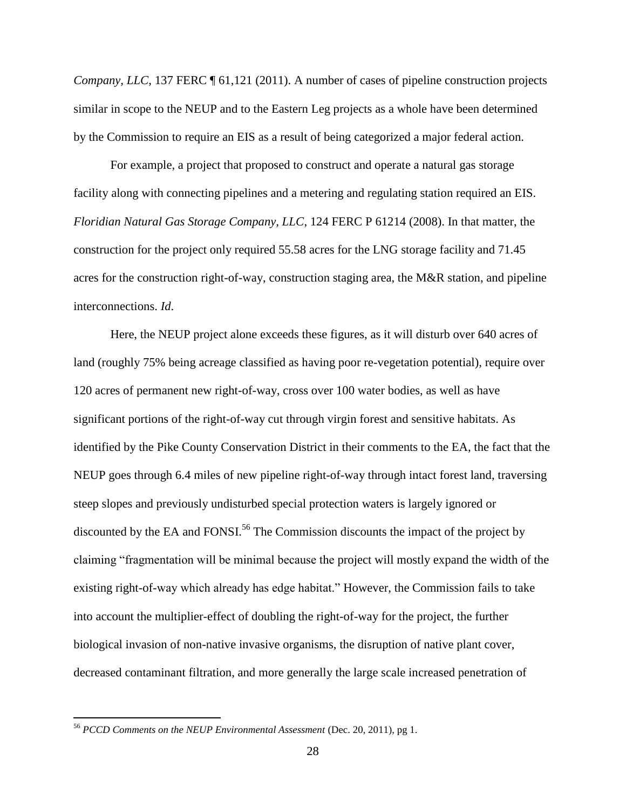*Company, LLC,* 137 FERC  $\P$  61,121 (2011). A number of cases of pipeline construction projects similar in scope to the NEUP and to the Eastern Leg projects as a whole have been determined by the Commission to require an EIS as a result of being categorized a major federal action.

For example, a project that proposed to construct and operate a natural gas storage facility along with connecting pipelines and a metering and regulating station required an EIS. *Floridian Natural Gas Storage Company, LLC*, 124 FERC P 61214 (2008). In that matter, the construction for the project only required 55.58 acres for the LNG storage facility and 71.45 acres for the construction right-of-way, construction staging area, the M&R station, and pipeline interconnections. *Id*.

Here, the NEUP project alone exceeds these figures, as it will disturb over 640 acres of land (roughly 75% being acreage classified as having poor re-vegetation potential), require over 120 acres of permanent new right-of-way, cross over 100 water bodies, as well as have significant portions of the right-of-way cut through virgin forest and sensitive habitats. As identified by the Pike County Conservation District in their comments to the EA, the fact that the NEUP goes through 6.4 miles of new pipeline right-of-way through intact forest land, traversing steep slopes and previously undisturbed special protection waters is largely ignored or discounted by the EA and FONSI.<sup>56</sup> The Commission discounts the impact of the project by claiming "fragmentation will be minimal because the project will mostly expand the width of the existing right-of-way which already has edge habitat." However, the Commission fails to take into account the multiplier-effect of doubling the right-of-way for the project, the further biological invasion of non-native invasive organisms, the disruption of native plant cover, decreased contaminant filtration, and more generally the large scale increased penetration of

<sup>56</sup> *PCCD Comments on the NEUP Environmental Assessment* (Dec. 20, 2011), pg 1.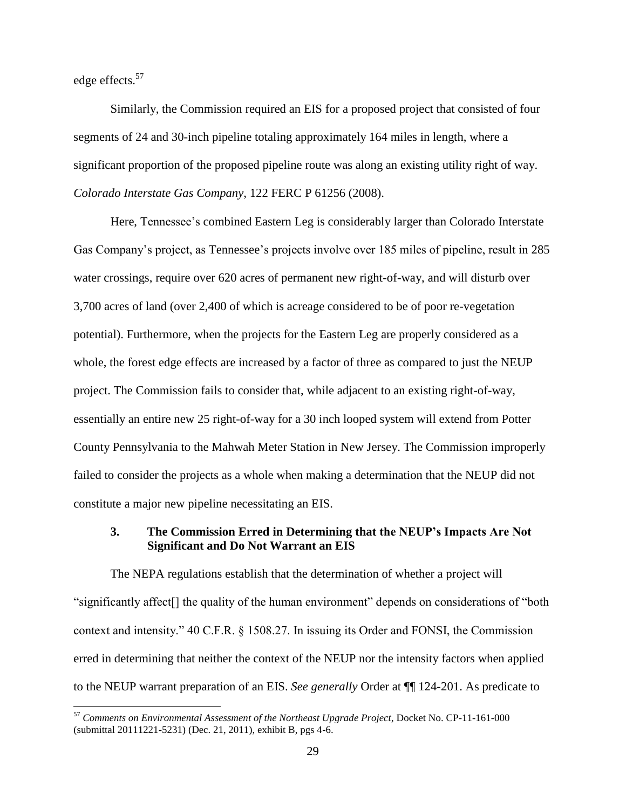edge effects.<sup>57</sup>

 $\overline{a}$ 

Similarly, the Commission required an EIS for a proposed project that consisted of four segments of 24 and 30-inch pipeline totaling approximately 164 miles in length, where a significant proportion of the proposed pipeline route was along an existing utility right of way. *Colorado Interstate Gas Company*, 122 FERC P 61256 (2008).

Here, Tennessee's combined Eastern Leg is considerably larger than Colorado Interstate Gas Company's project, as Tennessee's projects involve over 185 miles of pipeline, result in 285 water crossings, require over 620 acres of permanent new right-of-way, and will disturb over 3,700 acres of land (over 2,400 of which is acreage considered to be of poor re-vegetation potential). Furthermore, when the projects for the Eastern Leg are properly considered as a whole, the forest edge effects are increased by a factor of three as compared to just the NEUP project. The Commission fails to consider that, while adjacent to an existing right-of-way, essentially an entire new 25 right-of-way for a 30 inch looped system will extend from Potter County Pennsylvania to the Mahwah Meter Station in New Jersey. The Commission improperly failed to consider the projects as a whole when making a determination that the NEUP did not constitute a major new pipeline necessitating an EIS.

#### **3. The Commission Erred in Determining that the NEUP's Impacts Are Not Significant and Do Not Warrant an EIS**

The NEPA regulations establish that the determination of whether a project will "significantly affect[] the quality of the human environment" depends on considerations of "both context and intensity." 40 C.F.R. § 1508.27. In issuing its Order and FONSI, the Commission erred in determining that neither the context of the NEUP nor the intensity factors when applied to the NEUP warrant preparation of an EIS. *See generally* Order at ¶¶ 124-201. As predicate to

<sup>57</sup> *Comments on Environmental Assessment of the Northeast Upgrade Project*, Docket No. CP-11-161-000 (submittal 20111221-5231) (Dec. 21, 2011), exhibit B, pgs 4-6.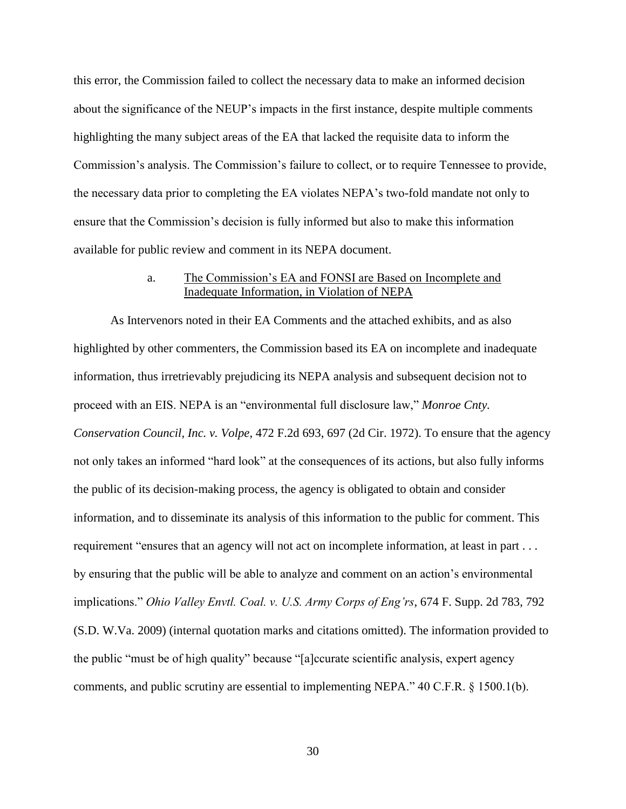this error, the Commission failed to collect the necessary data to make an informed decision about the significance of the NEUP's impacts in the first instance, despite multiple comments highlighting the many subject areas of the EA that lacked the requisite data to inform the Commission's analysis. The Commission's failure to collect, or to require Tennessee to provide, the necessary data prior to completing the EA violates NEPA's two-fold mandate not only to ensure that the Commission's decision is fully informed but also to make this information available for public review and comment in its NEPA document.

#### a. The Commission's EA and FONSI are Based on Incomplete and Inadequate Information, in Violation of NEPA

As Intervenors noted in their EA Comments and the attached exhibits, and as also highlighted by other commenters, the Commission based its EA on incomplete and inadequate information, thus irretrievably prejudicing its NEPA analysis and subsequent decision not to proceed with an EIS. NEPA is an "environmental full disclosure law," *Monroe Cnty. Conservation Council, Inc. v. Volpe*, 472 F.2d 693, 697 (2d Cir. 1972). To ensure that the agency not only takes an informed "hard look" at the consequences of its actions, but also fully informs the public of its decision-making process, the agency is obligated to obtain and consider information, and to disseminate its analysis of this information to the public for comment. This requirement "ensures that an agency will not act on incomplete information, at least in part . . . by ensuring that the public will be able to analyze and comment on an action's environmental implications." *Ohio Valley Envtl. Coal. v. U.S. Army Corps of Eng'rs*, 674 F. Supp. 2d 783, 792 (S.D. W.Va. 2009) (internal quotation marks and citations omitted). The information provided to the public "must be of high quality" because "[a]ccurate scientific analysis, expert agency comments, and public scrutiny are essential to implementing NEPA." 40 C.F.R. § 1500.1(b).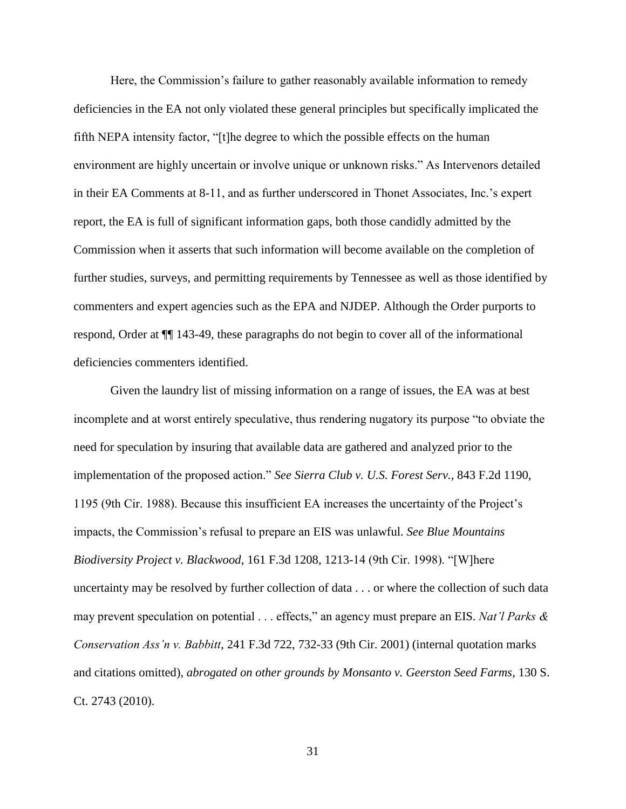Here, the Commission's failure to gather reasonably available information to remedy deficiencies in the EA not only violated these general principles but specifically implicated the fifth NEPA intensity factor, "[t]he degree to which the possible effects on the human environment are highly uncertain or involve unique or unknown risks." As Intervenors detailed in their EA Comments at 8-11, and as further underscored in Thonet Associates, Inc.'s expert report, the EA is full of significant information gaps, both those candidly admitted by the Commission when it asserts that such information will become available on the completion of further studies, surveys, and permitting requirements by Tennessee as well as those identified by commenters and expert agencies such as the EPA and NJDEP. Although the Order purports to respond, Order at ¶¶ 143-49, these paragraphs do not begin to cover all of the informational deficiencies commenters identified.

Given the laundry list of missing information on a range of issues, the EA was at best incomplete and at worst entirely speculative, thus rendering nugatory its purpose "to obviate the need for speculation by insuring that available data are gathered and analyzed prior to the implementation of the proposed action." *See Sierra Club v. U.S. Forest Serv.*, 843 F.2d 1190, 1195 (9th Cir. 1988). Because this insufficient EA increases the uncertainty of the Project's impacts, the Commission's refusal to prepare an EIS was unlawful. *See Blue Mountains Biodiversity Project v. Blackwood*, 161 F.3d 1208, 1213-14 (9th Cir. 1998). "[W]here uncertainty may be resolved by further collection of data . . . or where the collection of such data may prevent speculation on potential . . . effects," an agency must prepare an EIS. *Nat'l Parks & Conservation Ass'n v. Babbitt*, 241 F.3d 722, 732-33 (9th Cir. 2001) (internal quotation marks and citations omitted), *abrogated on other grounds by Monsanto v. Geerston Seed Farms*, 130 S. Ct. 2743 (2010).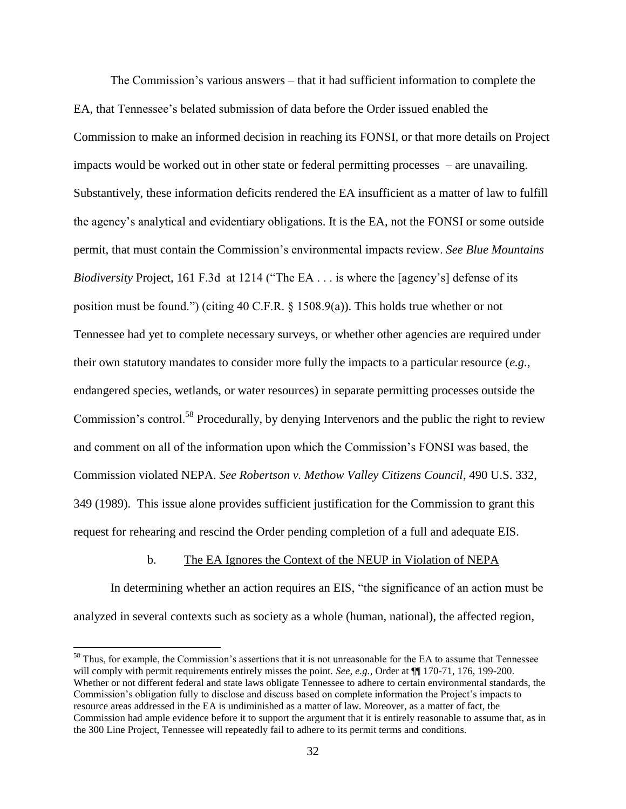The Commission's various answers – that it had sufficient information to complete the EA, that Tennessee's belated submission of data before the Order issued enabled the Commission to make an informed decision in reaching its FONSI, or that more details on Project impacts would be worked out in other state or federal permitting processes – are unavailing. Substantively, these information deficits rendered the EA insufficient as a matter of law to fulfill the agency's analytical and evidentiary obligations. It is the EA, not the FONSI or some outside permit, that must contain the Commission's environmental impacts review. *See Blue Mountains Biodiversity* Project, 161 F.3d at 1214 ("The EA . . . is where the [agency's] defense of its position must be found.") (citing 40 C.F.R. § 1508.9(a)). This holds true whether or not Tennessee had yet to complete necessary surveys, or whether other agencies are required under their own statutory mandates to consider more fully the impacts to a particular resource (*e.g.*, endangered species, wetlands, or water resources) in separate permitting processes outside the Commission's control.<sup>58</sup> Procedurally, by denying Intervenors and the public the right to review and comment on all of the information upon which the Commission's FONSI was based, the Commission violated NEPA. *See Robertson v. Methow Valley Citizens Council*, 490 U.S. 332, 349 (1989). This issue alone provides sufficient justification for the Commission to grant this request for rehearing and rescind the Order pending completion of a full and adequate EIS.

#### b. The EA Ignores the Context of the NEUP in Violation of NEPA

In determining whether an action requires an EIS, "the significance of an action must be analyzed in several contexts such as society as a whole (human, national), the affected region,

<sup>&</sup>lt;sup>58</sup> Thus, for example, the Commission's assertions that it is not unreasonable for the EA to assume that Tennessee will comply with permit requirements entirely misses the point. *See, e.g.*, Order at  $\P$  170-71, 176, 199-200. Whether or not different federal and state laws obligate Tennessee to adhere to certain environmental standards, the Commission's obligation fully to disclose and discuss based on complete information the Project's impacts to resource areas addressed in the EA is undiminished as a matter of law. Moreover, as a matter of fact, the Commission had ample evidence before it to support the argument that it is entirely reasonable to assume that, as in the 300 Line Project, Tennessee will repeatedly fail to adhere to its permit terms and conditions.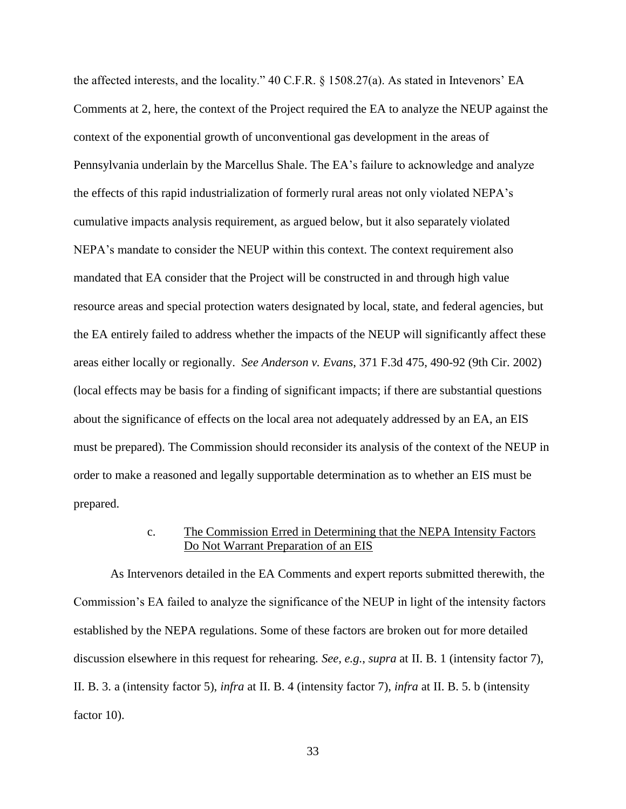the affected interests, and the locality." 40 C.F.R. § 1508.27(a). As stated in Intevenors' EA Comments at 2, here, the context of the Project required the EA to analyze the NEUP against the context of the exponential growth of unconventional gas development in the areas of Pennsylvania underlain by the Marcellus Shale. The EA's failure to acknowledge and analyze the effects of this rapid industrialization of formerly rural areas not only violated NEPA's cumulative impacts analysis requirement, as argued below, but it also separately violated NEPA's mandate to consider the NEUP within this context. The context requirement also mandated that EA consider that the Project will be constructed in and through high value resource areas and special protection waters designated by local, state, and federal agencies, but the EA entirely failed to address whether the impacts of the NEUP will significantly affect these areas either locally or regionally. *See Anderson v. Evans*, 371 F.3d 475, 490-92 (9th Cir. 2002) (local effects may be basis for a finding of significant impacts; if there are substantial questions about the significance of effects on the local area not adequately addressed by an EA, an EIS must be prepared). The Commission should reconsider its analysis of the context of the NEUP in order to make a reasoned and legally supportable determination as to whether an EIS must be prepared.

### c. The Commission Erred in Determining that the NEPA Intensity Factors Do Not Warrant Preparation of an EIS

As Intervenors detailed in the EA Comments and expert reports submitted therewith, the Commission's EA failed to analyze the significance of the NEUP in light of the intensity factors established by the NEPA regulations. Some of these factors are broken out for more detailed discussion elsewhere in this request for rehearing. *See, e.g.*, *supra* at II. B. 1 (intensity factor 7), II. B. 3. a (intensity factor 5), *infra* at II. B. 4 (intensity factor 7), *infra* at II. B. 5. b (intensity factor 10).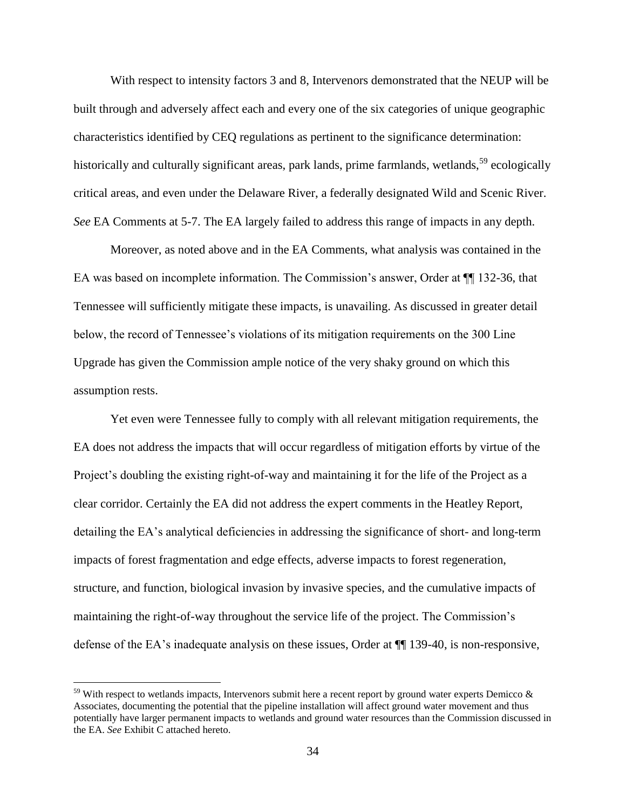With respect to intensity factors 3 and 8, Intervenors demonstrated that the NEUP will be built through and adversely affect each and every one of the six categories of unique geographic characteristics identified by CEQ regulations as pertinent to the significance determination: historically and culturally significant areas, park lands, prime farmlands, wetlands,  $59$  ecologically critical areas, and even under the Delaware River, a federally designated Wild and Scenic River. *See* EA Comments at 5-7. The EA largely failed to address this range of impacts in any depth.

Moreover, as noted above and in the EA Comments, what analysis was contained in the EA was based on incomplete information. The Commission's answer, Order at ¶¶ 132-36, that Tennessee will sufficiently mitigate these impacts, is unavailing. As discussed in greater detail below, the record of Tennessee's violations of its mitigation requirements on the 300 Line Upgrade has given the Commission ample notice of the very shaky ground on which this assumption rests.

Yet even were Tennessee fully to comply with all relevant mitigation requirements, the EA does not address the impacts that will occur regardless of mitigation efforts by virtue of the Project's doubling the existing right-of-way and maintaining it for the life of the Project as a clear corridor. Certainly the EA did not address the expert comments in the Heatley Report, detailing the EA's analytical deficiencies in addressing the significance of short- and long-term impacts of forest fragmentation and edge effects, adverse impacts to forest regeneration, structure, and function, biological invasion by invasive species, and the cumulative impacts of maintaining the right-of-way throughout the service life of the project. The Commission's defense of the EA's inadequate analysis on these issues, Order at ¶¶ 139-40, is non-responsive,

 $59$  With respect to wetlands impacts, Intervenors submit here a recent report by ground water experts Demicco  $\&$ Associates, documenting the potential that the pipeline installation will affect ground water movement and thus potentially have larger permanent impacts to wetlands and ground water resources than the Commission discussed in the EA. *See* Exhibit C attached hereto.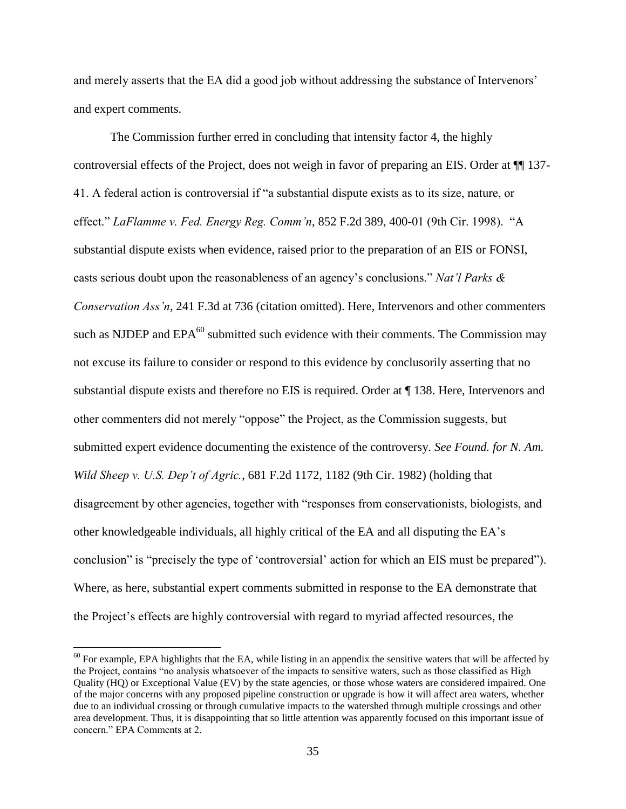and merely asserts that the EA did a good job without addressing the substance of Intervenors' and expert comments.

The Commission further erred in concluding that intensity factor 4, the highly controversial effects of the Project, does not weigh in favor of preparing an EIS. Order at ¶¶ 137- 41. A federal action is controversial if "a substantial dispute exists as to its size, nature, or effect." *LaFlamme v. Fed. Energy Reg. Comm'n*, 852 F.2d 389, 400-01 (9th Cir. 1998). "A substantial dispute exists when evidence, raised prior to the preparation of an EIS or FONSI, casts serious doubt upon the reasonableness of an agency's conclusions." *Nat'l Parks & Conservation Ass'n*, 241 F.3d at 736 (citation omitted). Here, Intervenors and other commenters such as NJDEP and  $EPA^{60}$  submitted such evidence with their comments. The Commission may not excuse its failure to consider or respond to this evidence by conclusorily asserting that no substantial dispute exists and therefore no EIS is required. Order at ¶ 138. Here, Intervenors and other commenters did not merely "oppose" the Project, as the Commission suggests, but submitted expert evidence documenting the existence of the controversy. *See Found. for N. Am. Wild Sheep v. U.S. Dep't of Agric.*, 681 F.2d 1172, 1182 (9th Cir. 1982) (holding that disagreement by other agencies, together with "responses from conservationists, biologists, and other knowledgeable individuals, all highly critical of the EA and all disputing the EA's conclusion" is "precisely the type of 'controversial' action for which an EIS must be prepared"). Where, as here, substantial expert comments submitted in response to the EA demonstrate that the Project's effects are highly controversial with regard to myriad affected resources, the

 $60$  For example, EPA highlights that the EA, while listing in an appendix the sensitive waters that will be affected by the Project, contains "no analysis whatsoever of the impacts to sensitive waters, such as those classified as High Quality (HQ) or Exceptional Value (EV) by the state agencies, or those whose waters are considered impaired. One of the major concerns with any proposed pipeline construction or upgrade is how it will affect area waters, whether due to an individual crossing or through cumulative impacts to the watershed through multiple crossings and other area development. Thus, it is disappointing that so little attention was apparently focused on this important issue of concern." EPA Comments at 2.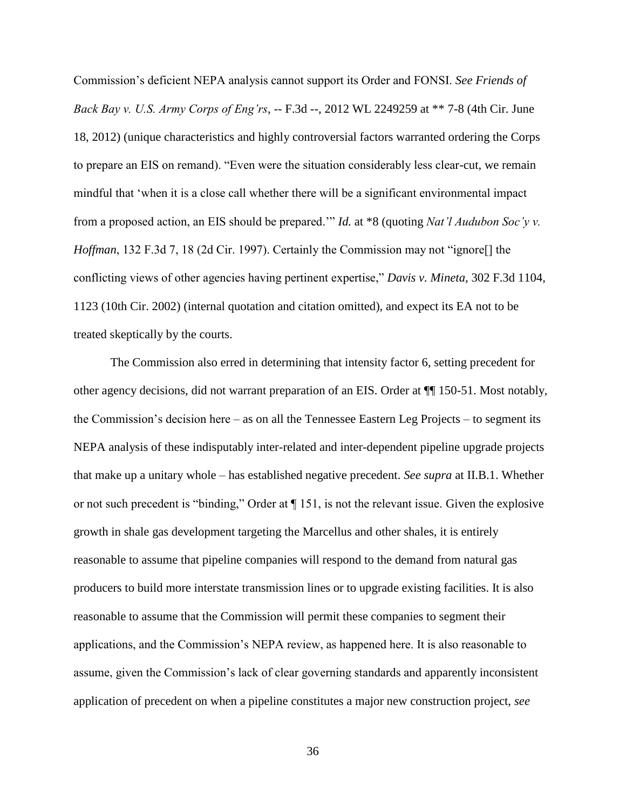Commission's deficient NEPA analysis cannot support its Order and FONSI. *See Friends of Back Bay v. U.S. Army Corps of Eng'rs*, -- F.3d --, 2012 WL 2249259 at \*\* 7-8 (4th Cir. June 18, 2012) (unique characteristics and highly controversial factors warranted ordering the Corps to prepare an EIS on remand). "Even were the situation considerably less clear-cut, we remain mindful that 'when it is a close call whether there will be a significant environmental impact from a proposed action, an EIS should be prepared.'" *Id.* at \*8 (quoting *Nat'l Audubon Soc'y v. Hoffman*, 132 F.3d 7, 18 (2d Cir. 1997). Certainly the Commission may not "ignore<sup>[]</sup> the conflicting views of other agencies having pertinent expertise," *Davis v. Mineta*, 302 F.3d 1104, 1123 (10th Cir. 2002) (internal quotation and citation omitted), and expect its EA not to be treated skeptically by the courts.

The Commission also erred in determining that intensity factor 6, setting precedent for other agency decisions, did not warrant preparation of an EIS. Order at ¶¶ 150-51. Most notably, the Commission's decision here – as on all the Tennessee Eastern Leg Projects – to segment its NEPA analysis of these indisputably inter-related and inter-dependent pipeline upgrade projects that make up a unitary whole – has established negative precedent. *See supra* at II.B.1. Whether or not such precedent is "binding," Order at ¶ 151, is not the relevant issue. Given the explosive growth in shale gas development targeting the Marcellus and other shales, it is entirely reasonable to assume that pipeline companies will respond to the demand from natural gas producers to build more interstate transmission lines or to upgrade existing facilities. It is also reasonable to assume that the Commission will permit these companies to segment their applications, and the Commission's NEPA review, as happened here. It is also reasonable to assume, given the Commission's lack of clear governing standards and apparently inconsistent application of precedent on when a pipeline constitutes a major new construction project, *see*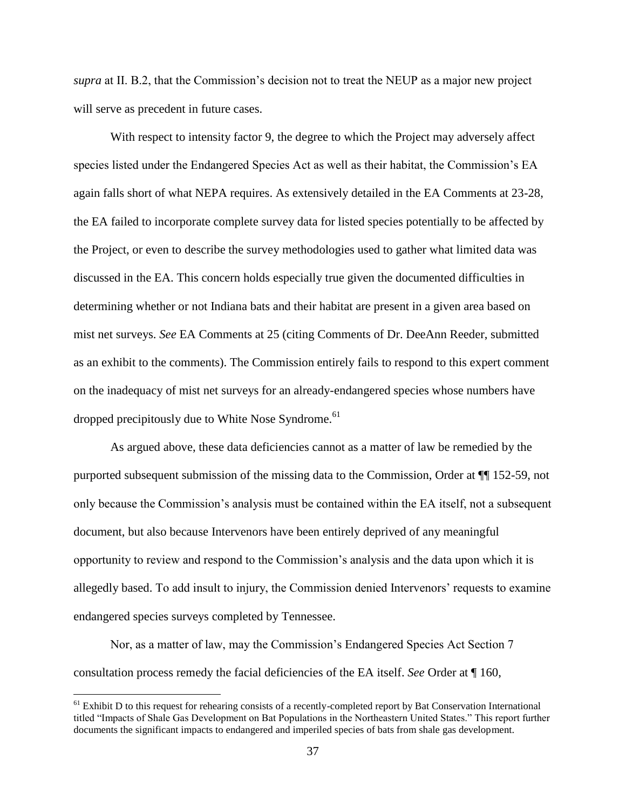*supra* at II. B.2, that the Commission's decision not to treat the NEUP as a major new project will serve as precedent in future cases.

With respect to intensity factor 9, the degree to which the Project may adversely affect species listed under the Endangered Species Act as well as their habitat, the Commission's EA again falls short of what NEPA requires. As extensively detailed in the EA Comments at 23-28, the EA failed to incorporate complete survey data for listed species potentially to be affected by the Project, or even to describe the survey methodologies used to gather what limited data was discussed in the EA. This concern holds especially true given the documented difficulties in determining whether or not Indiana bats and their habitat are present in a given area based on mist net surveys. *See* EA Comments at 25 (citing Comments of Dr. DeeAnn Reeder, submitted as an exhibit to the comments). The Commission entirely fails to respond to this expert comment on the inadequacy of mist net surveys for an already-endangered species whose numbers have dropped precipitously due to White Nose Syndrome.<sup>61</sup>

As argued above, these data deficiencies cannot as a matter of law be remedied by the purported subsequent submission of the missing data to the Commission, Order at ¶¶ 152-59, not only because the Commission's analysis must be contained within the EA itself, not a subsequent document, but also because Intervenors have been entirely deprived of any meaningful opportunity to review and respond to the Commission's analysis and the data upon which it is allegedly based. To add insult to injury, the Commission denied Intervenors' requests to examine endangered species surveys completed by Tennessee.

Nor, as a matter of law, may the Commission's Endangered Species Act Section 7 consultation process remedy the facial deficiencies of the EA itself. *See* Order at ¶ 160,

 $<sup>61</sup>$  Exhibit D to this request for rehearing consists of a recently-completed report by Bat Conservation International</sup> titled "Impacts of Shale Gas Development on Bat Populations in the Northeastern United States." This report further documents the significant impacts to endangered and imperiled species of bats from shale gas development.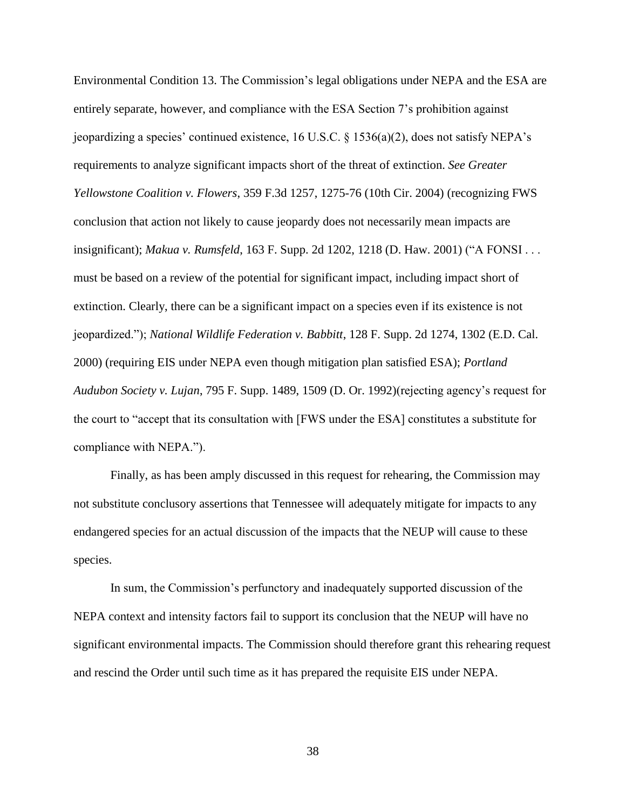Environmental Condition 13. The Commission's legal obligations under NEPA and the ESA are entirely separate, however, and compliance with the ESA Section 7's prohibition against jeopardizing a species' continued existence,  $16 \text{ U.S.C.} \& 1536(a)(2)$ , does not satisfy NEPA's requirements to analyze significant impacts short of the threat of extinction. *See Greater Yellowstone Coalition v. Flowers*, 359 F.3d 1257, 1275-76 (10th Cir. 2004) (recognizing FWS conclusion that action not likely to cause jeopardy does not necessarily mean impacts are insignificant); *Makua v. Rumsfeld*, 163 F. Supp. 2d 1202, 1218 (D. Haw. 2001) ("A FONSI . . . must be based on a review of the potential for significant impact, including impact short of extinction. Clearly, there can be a significant impact on a species even if its existence is not jeopardized."); *National Wildlife Federation v. Babbitt*, 128 F. Supp. 2d 1274, 1302 (E.D. Cal. 2000) (requiring EIS under NEPA even though mitigation plan satisfied ESA); *Portland Audubon Society v. Lujan*, 795 F. Supp. 1489, 1509 (D. Or. 1992)(rejecting agency's request for the court to "accept that its consultation with [FWS under the ESA] constitutes a substitute for compliance with NEPA.").

Finally, as has been amply discussed in this request for rehearing, the Commission may not substitute conclusory assertions that Tennessee will adequately mitigate for impacts to any endangered species for an actual discussion of the impacts that the NEUP will cause to these species.

In sum, the Commission's perfunctory and inadequately supported discussion of the NEPA context and intensity factors fail to support its conclusion that the NEUP will have no significant environmental impacts. The Commission should therefore grant this rehearing request and rescind the Order until such time as it has prepared the requisite EIS under NEPA.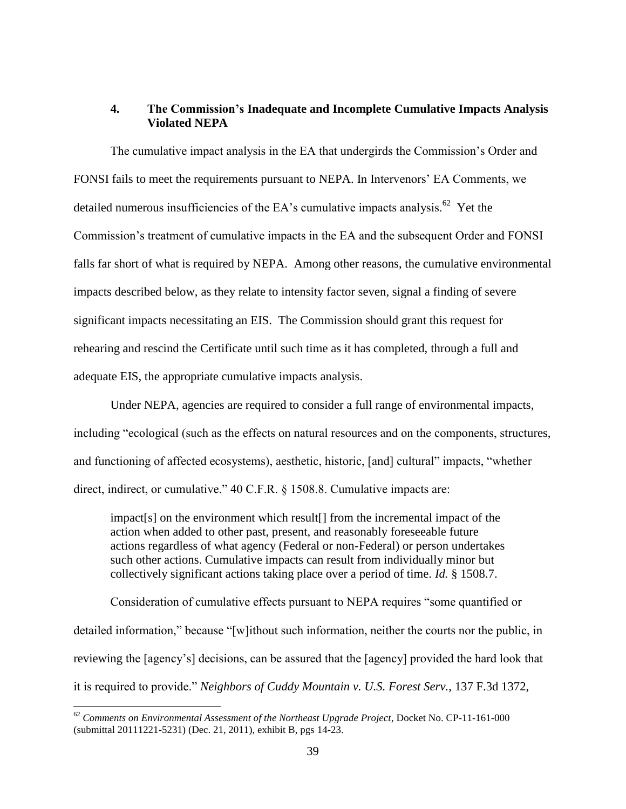# **4. The Commission's Inadequate and Incomplete Cumulative Impacts Analysis Violated NEPA**

The cumulative impact analysis in the EA that undergirds the Commission's Order and FONSI fails to meet the requirements pursuant to NEPA. In Intervenors' EA Comments, we detailed numerous insufficiencies of the EA's cumulative impacts analysis.<sup>62</sup> Yet the Commission's treatment of cumulative impacts in the EA and the subsequent Order and FONSI falls far short of what is required by NEPA. Among other reasons, the cumulative environmental impacts described below, as they relate to intensity factor seven, signal a finding of severe significant impacts necessitating an EIS. The Commission should grant this request for rehearing and rescind the Certificate until such time as it has completed, through a full and adequate EIS, the appropriate cumulative impacts analysis.

Under NEPA, agencies are required to consider a full range of environmental impacts, including "ecological (such as the effects on natural resources and on the components, structures, and functioning of affected ecosystems), aesthetic, historic, [and] cultural" impacts, "whether direct, indirect, or cumulative." 40 C.F.R. § 1508.8. Cumulative impacts are:

impact[s] on the environment which result[] from the incremental impact of the action when added to other past, present, and reasonably foreseeable future actions regardless of what agency (Federal or non-Federal) or person undertakes such other actions. Cumulative impacts can result from individually minor but collectively significant actions taking place over a period of time. *Id.* § 1508.7.

Consideration of cumulative effects pursuant to NEPA requires "some quantified or detailed information," because "[w]ithout such information, neither the courts nor the public, in reviewing the [agency's] decisions, can be assured that the [agency] provided the hard look that it is required to provide." *Neighbors of Cuddy Mountain v. U.S. Forest Serv.*, 137 F.3d 1372,

<sup>62</sup> *Comments on Environmental Assessment of the Northeast Upgrade Project*, Docket No. CP-11-161-000 (submittal 20111221-5231) (Dec. 21, 2011), exhibit B, pgs 14-23.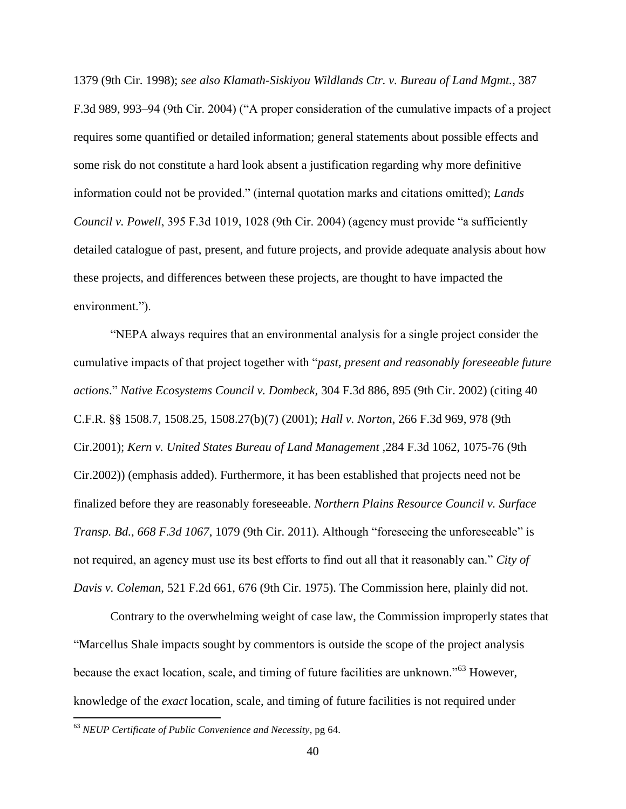1379 (9th Cir. 1998); *see also Klamath-Siskiyou Wildlands Ctr. v. Bureau of Land Mgmt.*, 387 F.3d 989, 993–94 (9th Cir. 2004) ("A proper consideration of the cumulative impacts of a project requires some quantified or detailed information; general statements about possible effects and some risk do not constitute a hard look absent a justification regarding why more definitive information could not be provided." (internal quotation marks and citations omitted); *Lands Council v. Powell*, 395 F.3d 1019, 1028 (9th Cir. 2004) (agency must provide "a sufficiently detailed catalogue of past, present, and future projects, and provide adequate analysis about how these projects, and differences between these projects, are thought to have impacted the environment.").

"NEPA always requires that an environmental analysis for a single project consider the cumulative impacts of that project together with "*past, present and reasonably foreseeable future actions*." *Native Ecosystems Council v. Dombeck,* 304 F.3d 886, 895 (9th Cir. 2002) (citing 40 C.F.R. §§ 1508.7, 1508.25, 1508.27(b)(7) (2001); *Hall v. Norton*, 266 F.3d 969, 978 (9th Cir.2001); *Kern v. United States Bureau of Land Management ,*284 F.3d 1062, 1075-76 (9th Cir.2002)) (emphasis added). Furthermore, it has been established that projects need not be finalized before they are reasonably foreseeable. *Northern Plains Resource Council v. Surface Transp. Bd.*, *668 F.3d 1067*, 1079 (9th Cir. 2011). Although "foreseeing the unforeseeable" is not required, an agency must use its best efforts to find out all that it reasonably can." *City of Davis v. Coleman*, 521 F.2d 661, 676 (9th Cir. 1975). The Commission here, plainly did not.

Contrary to the overwhelming weight of case law, the Commission improperly states that "Marcellus Shale impacts sought by commentors is outside the scope of the project analysis because the exact location, scale, and timing of future facilities are unknown."<sup>63</sup> However, knowledge of the *exact* location, scale, and timing of future facilities is not required under

<sup>63</sup> *NEUP Certificate of Public Convenience and Necessity*, pg 64.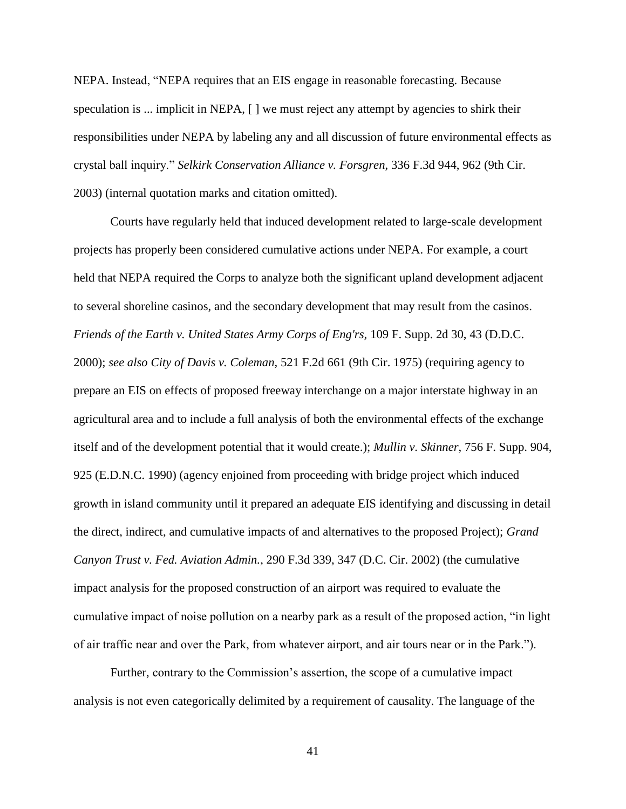NEPA. Instead, "NEPA requires that an EIS engage in reasonable forecasting. Because speculation is ... implicit in NEPA,  $\lceil \cdot \rceil$  we must reject any attempt by agencies to shirk their responsibilities under NEPA by labeling any and all discussion of future environmental effects as crystal ball inquiry." *Selkirk Conservation Alliance v. Forsgren,* 336 F.3d 944, 962 (9th Cir. 2003) (internal quotation marks and citation omitted).

Courts have regularly held that induced development related to large-scale development projects has properly been considered cumulative actions under NEPA. For example, a court held that NEPA required the Corps to analyze both the significant upland development adjacent to several shoreline casinos, and the secondary development that may result from the casinos. *Friends of the Earth v. United States Army Corps of Eng'rs,* 109 F. Supp. 2d 30, 43 (D.D.C. 2000); *see also City of Davis v. Coleman,* 521 F.2d 661 (9th Cir. 1975) (requiring agency to prepare an EIS on effects of proposed freeway interchange on a major interstate highway in an agricultural area and to include a full analysis of both the environmental effects of the exchange itself and of the development potential that it would create.); *Mullin v. Skinner*, 756 F. Supp. 904, 925 (E.D.N.C. 1990) (agency enjoined from proceeding with bridge project which induced growth in island community until it prepared an adequate EIS identifying and discussing in detail the direct, indirect, and cumulative impacts of and alternatives to the proposed Project); *Grand Canyon Trust v. Fed. Aviation Admin.*, 290 F.3d 339, 347 (D.C. Cir. 2002) (the cumulative impact analysis for the proposed construction of an airport was required to evaluate the cumulative impact of noise pollution on a nearby park as a result of the proposed action, "in light of air traffic near and over the Park, from whatever airport, and air tours near or in the Park.").

Further, contrary to the Commission's assertion, the scope of a cumulative impact analysis is not even categorically delimited by a requirement of causality. The language of the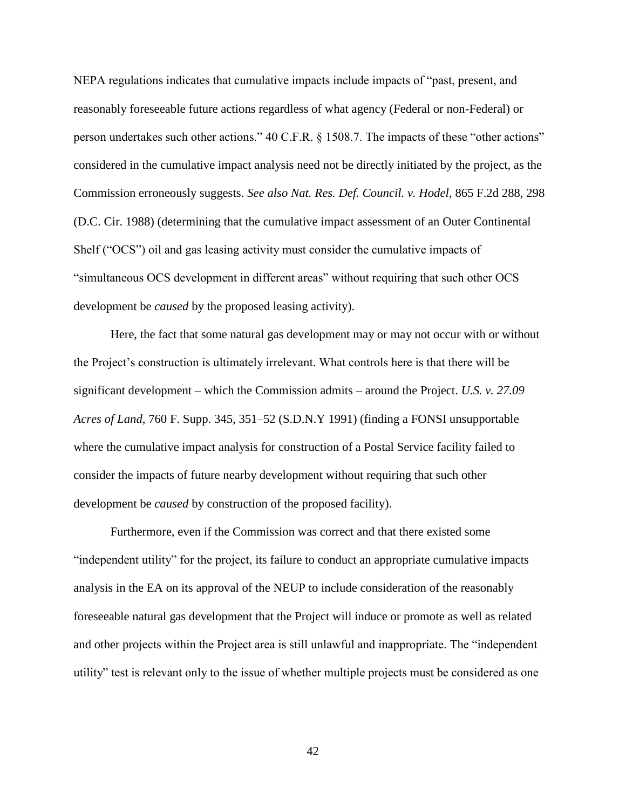NEPA regulations indicates that cumulative impacts include impacts of "past, present, and reasonably foreseeable future actions regardless of what agency (Federal or non-Federal) or person undertakes such other actions." 40 C.F.R. § 1508.7. The impacts of these "other actions" considered in the cumulative impact analysis need not be directly initiated by the project, as the Commission erroneously suggests. *See also Nat. Res. Def. Council. v. Hodel*, 865 F.2d 288, 298 (D.C. Cir. 1988) (determining that the cumulative impact assessment of an Outer Continental Shelf ("OCS") oil and gas leasing activity must consider the cumulative impacts of "simultaneous OCS development in different areas" without requiring that such other OCS development be *caused* by the proposed leasing activity).

Here, the fact that some natural gas development may or may not occur with or without the Project's construction is ultimately irrelevant. What controls here is that there will be significant development – which the Commission admits – around the Project. *U.S. v. 27.09 Acres of Land*, 760 F. Supp. 345, 351–52 (S.D.N.Y 1991) (finding a FONSI unsupportable where the cumulative impact analysis for construction of a Postal Service facility failed to consider the impacts of future nearby development without requiring that such other development be *caused* by construction of the proposed facility).

Furthermore, even if the Commission was correct and that there existed some "independent utility" for the project, its failure to conduct an appropriate cumulative impacts analysis in the EA on its approval of the NEUP to include consideration of the reasonably foreseeable natural gas development that the Project will induce or promote as well as related and other projects within the Project area is still unlawful and inappropriate. The "independent utility" test is relevant only to the issue of whether multiple projects must be considered as one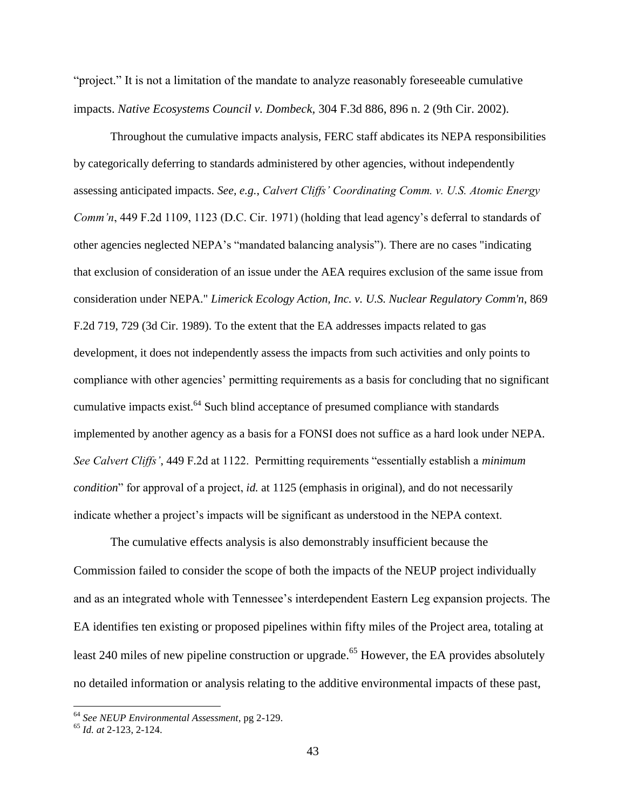"project." It is not a limitation of the mandate to analyze reasonably foreseeable cumulative impacts. *Native Ecosystems Council v. Dombeck,* 304 F.3d 886, 896 n. 2 (9th Cir. 2002).

Throughout the cumulative impacts analysis, FERC staff abdicates its NEPA responsibilities by categorically deferring to standards administered by other agencies, without independently assessing anticipated impacts. *See, e.g.*, *Calvert Cliffs' Coordinating Comm. v. U.S. Atomic Energy Comm'n*, 449 F.2d 1109, 1123 (D.C. Cir. 1971) (holding that lead agency's deferral to standards of other agencies neglected NEPA's "mandated balancing analysis"). There are no cases "indicating that exclusion of consideration of an issue under the AEA requires exclusion of the same issue from consideration under NEPA." *Limerick Ecology Action, Inc. v. U.S. Nuclear Regulatory Comm'n*, 869 F.2d 719, 729 (3d Cir. 1989). To the extent that the EA addresses impacts related to gas development, it does not independently assess the impacts from such activities and only points to compliance with other agencies' permitting requirements as a basis for concluding that no significant cumulative impacts exist.<sup>64</sup> Such blind acceptance of presumed compliance with standards implemented by another agency as a basis for a FONSI does not suffice as a hard look under NEPA. *See Calvert Cliffs'*, 449 F.2d at 1122. Permitting requirements "essentially establish a *minimum condition*" for approval of a project, *id.* at 1125 (emphasis in original), and do not necessarily indicate whether a project's impacts will be significant as understood in the NEPA context.

The cumulative effects analysis is also demonstrably insufficient because the Commission failed to consider the scope of both the impacts of the NEUP project individually and as an integrated whole with Tennessee's interdependent Eastern Leg expansion projects. The EA identifies ten existing or proposed pipelines within fifty miles of the Project area, totaling at least 240 miles of new pipeline construction or upgrade.<sup>65</sup> However, the EA provides absolutely no detailed information or analysis relating to the additive environmental impacts of these past,

<sup>64</sup> *See NEUP Environmental Assessment*, pg 2-129.

<sup>65</sup> *Id. at* 2-123, 2-124.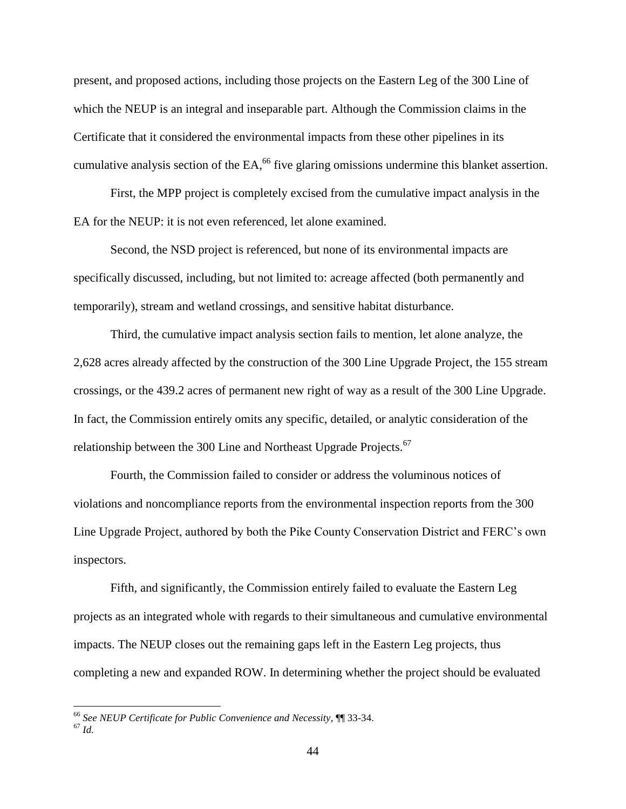present, and proposed actions, including those projects on the Eastern Leg of the 300 Line of which the NEUP is an integral and inseparable part. Although the Commission claims in the Certificate that it considered the environmental impacts from these other pipelines in its cumulative analysis section of the EA, $^{66}$  five glaring omissions undermine this blanket assertion.

First, the MPP project is completely excised from the cumulative impact analysis in the EA for the NEUP: it is not even referenced, let alone examined.

Second, the NSD project is referenced, but none of its environmental impacts are specifically discussed, including, but not limited to: acreage affected (both permanently and temporarily), stream and wetland crossings, and sensitive habitat disturbance.

Third, the cumulative impact analysis section fails to mention, let alone analyze, the 2,628 acres already affected by the construction of the 300 Line Upgrade Project, the 155 stream crossings, or the 439.2 acres of permanent new right of way as a result of the 300 Line Upgrade. In fact, the Commission entirely omits any specific, detailed, or analytic consideration of the relationship between the 300 Line and Northeast Upgrade Projects.<sup>67</sup>

Fourth, the Commission failed to consider or address the voluminous notices of violations and noncompliance reports from the environmental inspection reports from the 300 Line Upgrade Project, authored by both the Pike County Conservation District and FERC's own inspectors.

Fifth, and significantly, the Commission entirely failed to evaluate the Eastern Leg projects as an integrated whole with regards to their simultaneous and cumulative environmental impacts. The NEUP closes out the remaining gaps left in the Eastern Leg projects, thus completing a new and expanded ROW. In determining whether the project should be evaluated

<sup>66</sup> *See NEUP Certificate for Public Convenience and Necessity*, ¶¶ 33-34.

 $67 \overline{1d}$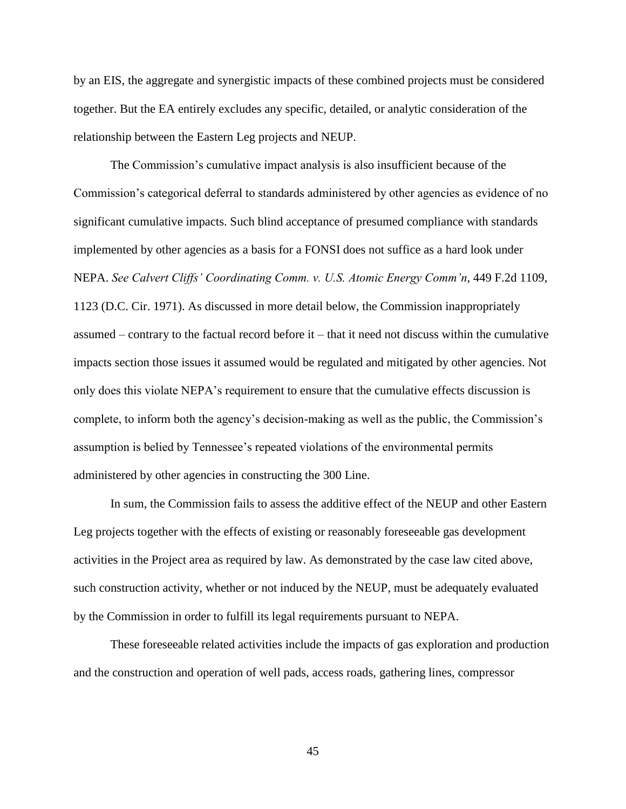by an EIS, the aggregate and synergistic impacts of these combined projects must be considered together. But the EA entirely excludes any specific, detailed, or analytic consideration of the relationship between the Eastern Leg projects and NEUP.

The Commission's cumulative impact analysis is also insufficient because of the Commission's categorical deferral to standards administered by other agencies as evidence of no significant cumulative impacts. Such blind acceptance of presumed compliance with standards implemented by other agencies as a basis for a FONSI does not suffice as a hard look under NEPA. *See Calvert Cliffs' Coordinating Comm. v. U.S. Atomic Energy Comm'n*, 449 F.2d 1109, 1123 (D.C. Cir. 1971). As discussed in more detail below, the Commission inappropriately assumed – contrary to the factual record before it – that it need not discuss within the cumulative impacts section those issues it assumed would be regulated and mitigated by other agencies. Not only does this violate NEPA's requirement to ensure that the cumulative effects discussion is complete, to inform both the agency's decision-making as well as the public, the Commission's assumption is belied by Tennessee's repeated violations of the environmental permits administered by other agencies in constructing the 300 Line.

In sum, the Commission fails to assess the additive effect of the NEUP and other Eastern Leg projects together with the effects of existing or reasonably foreseeable gas development activities in the Project area as required by law. As demonstrated by the case law cited above, such construction activity, whether or not induced by the NEUP, must be adequately evaluated by the Commission in order to fulfill its legal requirements pursuant to NEPA.

These foreseeable related activities include the impacts of gas exploration and production and the construction and operation of well pads, access roads, gathering lines, compressor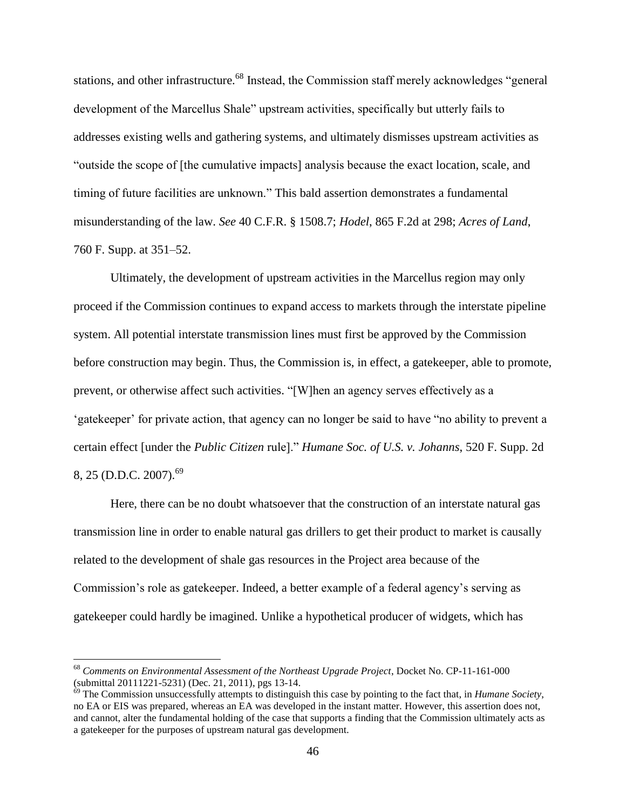stations, and other infrastructure.<sup>68</sup> Instead, the Commission staff merely acknowledges "general development of the Marcellus Shale" upstream activities, specifically but utterly fails to addresses existing wells and gathering systems, and ultimately dismisses upstream activities as "outside the scope of [the cumulative impacts] analysis because the exact location, scale, and timing of future facilities are unknown." This bald assertion demonstrates a fundamental misunderstanding of the law. *See* 40 C.F.R. § 1508.7; *Hodel*, 865 F.2d at 298; *Acres of Land*, 760 F. Supp. at 351–52.

Ultimately, the development of upstream activities in the Marcellus region may only proceed if the Commission continues to expand access to markets through the interstate pipeline system. All potential interstate transmission lines must first be approved by the Commission before construction may begin. Thus, the Commission is, in effect, a gatekeeper, able to promote, prevent, or otherwise affect such activities. "[W]hen an agency serves effectively as a 'gatekeeper' for private action, that agency can no longer be said to have "no ability to prevent a certain effect [under the *Public Citizen* rule]." *Humane Soc. of U.S. v. Johanns*, 520 F. Supp. 2d 8, 25 (D.D.C. 2007).<sup>69</sup>

Here, there can be no doubt whatsoever that the construction of an interstate natural gas transmission line in order to enable natural gas drillers to get their product to market is causally related to the development of shale gas resources in the Project area because of the Commission's role as gatekeeper. Indeed, a better example of a federal agency's serving as gatekeeper could hardly be imagined. Unlike a hypothetical producer of widgets, which has

<sup>68</sup> *Comments on Environmental Assessment of the Northeast Upgrade Project*, Docket No. CP-11-161-000 (submittal 20111221-5231) (Dec. 21, 2011), pgs 13-14.

<sup>69</sup> The Commission unsuccessfully attempts to distinguish this case by pointing to the fact that, in *Humane Society*, no EA or EIS was prepared, whereas an EA was developed in the instant matter. However, this assertion does not, and cannot, alter the fundamental holding of the case that supports a finding that the Commission ultimately acts as a gatekeeper for the purposes of upstream natural gas development.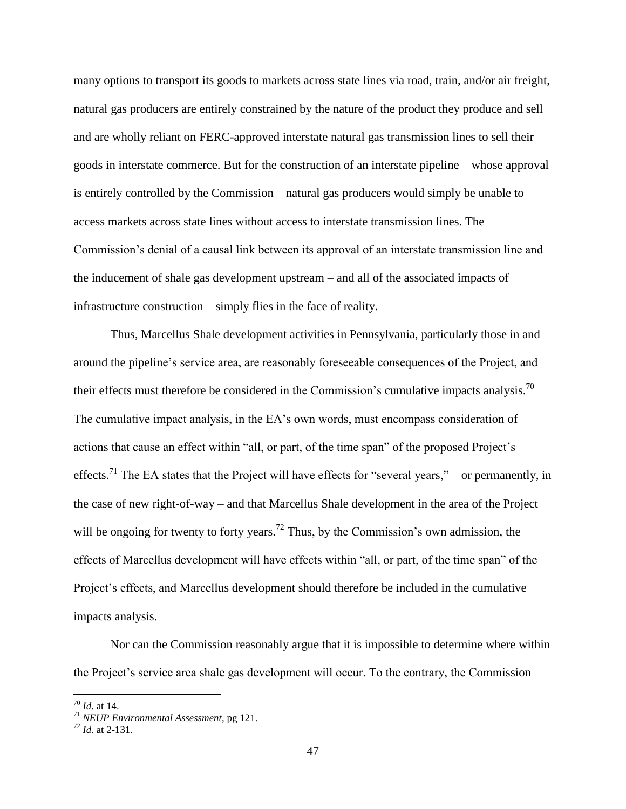many options to transport its goods to markets across state lines via road, train, and/or air freight, natural gas producers are entirely constrained by the nature of the product they produce and sell and are wholly reliant on FERC-approved interstate natural gas transmission lines to sell their goods in interstate commerce. But for the construction of an interstate pipeline – whose approval is entirely controlled by the Commission – natural gas producers would simply be unable to access markets across state lines without access to interstate transmission lines. The Commission's denial of a causal link between its approval of an interstate transmission line and the inducement of shale gas development upstream – and all of the associated impacts of infrastructure construction – simply flies in the face of reality.

Thus, Marcellus Shale development activities in Pennsylvania, particularly those in and around the pipeline's service area, are reasonably foreseeable consequences of the Project, and their effects must therefore be considered in the Commission's cumulative impacts analysis.<sup>70</sup> The cumulative impact analysis, in the EA's own words, must encompass consideration of actions that cause an effect within "all, or part, of the time span" of the proposed Project's effects.<sup>71</sup> The EA states that the Project will have effects for "several years," – or permanently, in the case of new right-of-way – and that Marcellus Shale development in the area of the Project will be ongoing for twenty to forty years.<sup>72</sup> Thus, by the Commission's own admission, the effects of Marcellus development will have effects within "all, or part, of the time span" of the Project's effects, and Marcellus development should therefore be included in the cumulative impacts analysis.

Nor can the Commission reasonably argue that it is impossible to determine where within the Project's service area shale gas development will occur. To the contrary, the Commission

<sup>70</sup> *Id*. at 14.

<sup>71</sup> *NEUP Environmental Assessment*, pg 121.

<sup>72</sup> *Id*. at 2-131.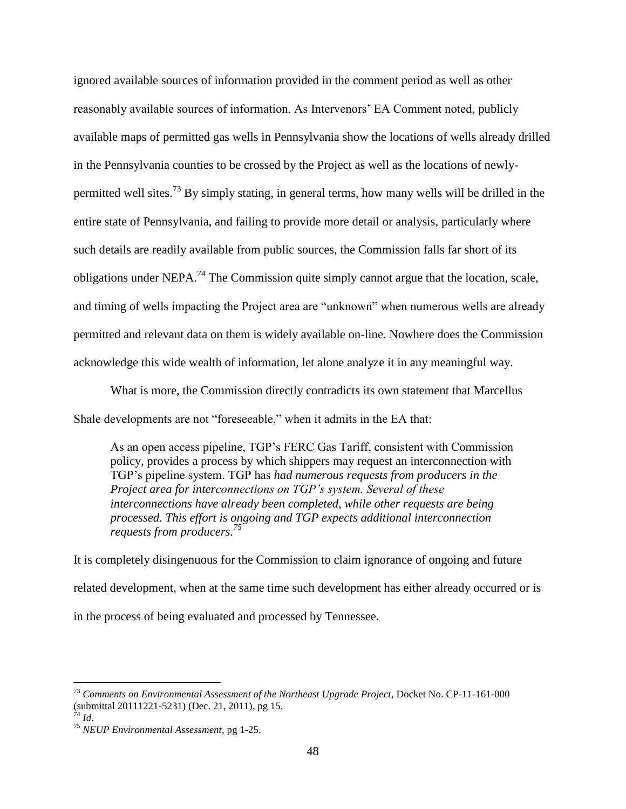ignored available sources of information provided in the comment period as well as other reasonably available sources of information. As Intervenors' EA Comment noted, publicly available maps of permitted gas wells in Pennsylvania show the locations of wells already drilled in the Pennsylvania counties to be crossed by the Project as well as the locations of newlypermitted well sites.<sup>73</sup> By simply stating, in general terms, how many wells will be drilled in the entire state of Pennsylvania, and failing to provide more detail or analysis, particularly where such details are readily available from public sources, the Commission falls far short of its obligations under NEPA.<sup>74</sup> The Commission quite simply cannot argue that the location, scale, and timing of wells impacting the Project area are "unknown" when numerous wells are already permitted and relevant data on them is widely available on-line. Nowhere does the Commission acknowledge this wide wealth of information, let alone analyze it in any meaningful way.

What is more, the Commission directly contradicts its own statement that Marcellus Shale developments are not "foreseeable," when it admits in the EA that:

As an open access pipeline, TGP's FERC Gas Tariff, consistent with Commission policy, provides a process by which shippers may request an interconnection with TGP's pipeline system. TGP has *had numerous requests from producers in the Project area for interconnections on TGP's system. Several of these interconnections have already been completed, while other requests are being processed. This effort is ongoing and TGP expects additional interconnection requests from producers.<sup>75</sup>*

It is completely disingenuous for the Commission to claim ignorance of ongoing and future related development, when at the same time such development has either already occurred or is in the process of being evaluated and processed by Tennessee.

<sup>73</sup> *Comments on Environmental Assessment of the Northeast Upgrade Project*, Docket No. CP-11-161-000 (submittal 20111221-5231) (Dec. 21, 2011), pg 15.

<sup>74</sup> *Id*.

<sup>75</sup> *NEUP Environmental Assessment*, pg 1-25.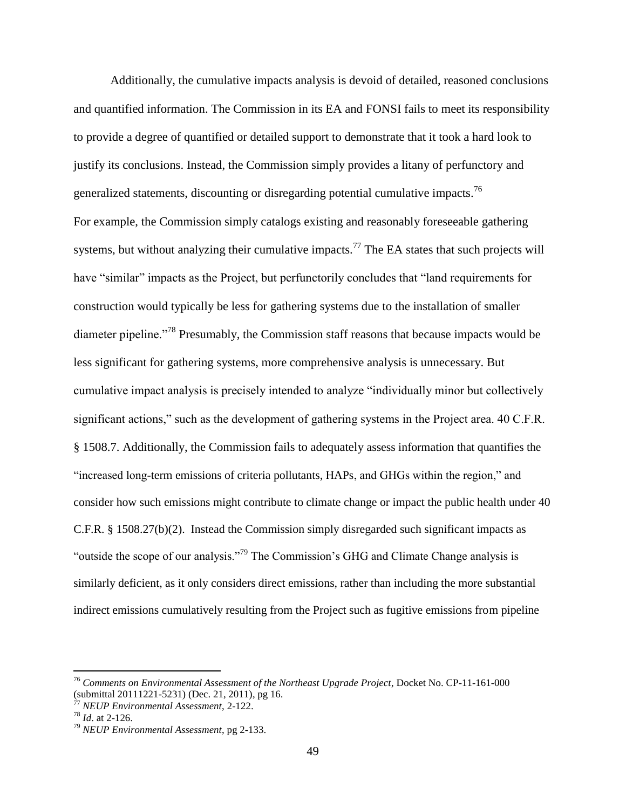Additionally, the cumulative impacts analysis is devoid of detailed, reasoned conclusions and quantified information. The Commission in its EA and FONSI fails to meet its responsibility to provide a degree of quantified or detailed support to demonstrate that it took a hard look to justify its conclusions. Instead, the Commission simply provides a litany of perfunctory and generalized statements, discounting or disregarding potential cumulative impacts.<sup>76</sup> For example, the Commission simply catalogs existing and reasonably foreseeable gathering systems, but without analyzing their cumulative impacts.<sup>77</sup> The EA states that such projects will have "similar" impacts as the Project, but perfunctorily concludes that "land requirements for construction would typically be less for gathering systems due to the installation of smaller diameter pipeline."<sup>78</sup> Presumably, the Commission staff reasons that because impacts would be less significant for gathering systems, more comprehensive analysis is unnecessary. But cumulative impact analysis is precisely intended to analyze "individually minor but collectively significant actions," such as the development of gathering systems in the Project area. 40 C.F.R. § 1508.7. Additionally, the Commission fails to adequately assess information that quantifies the "increased long-term emissions of criteria pollutants, HAPs, and GHGs within the region," and consider how such emissions might contribute to climate change or impact the public health under 40 C.F.R. § 1508.27(b)(2). Instead the Commission simply disregarded such significant impacts as "outside the scope of our analysis."<sup>79</sup> The Commission's GHG and Climate Change analysis is similarly deficient, as it only considers direct emissions, rather than including the more substantial indirect emissions cumulatively resulting from the Project such as fugitive emissions from pipeline

<sup>76</sup> *Comments on Environmental Assessment of the Northeast Upgrade Project*, Docket No. CP-11-161-000 (submittal 20111221-5231) (Dec. 21, 2011), pg 16.

<sup>77</sup> *NEUP Environmental Assessment*, 2-122.

<sup>78</sup> *Id*. at 2-126.

<sup>79</sup> *NEUP Environmental Assessment*, pg 2-133.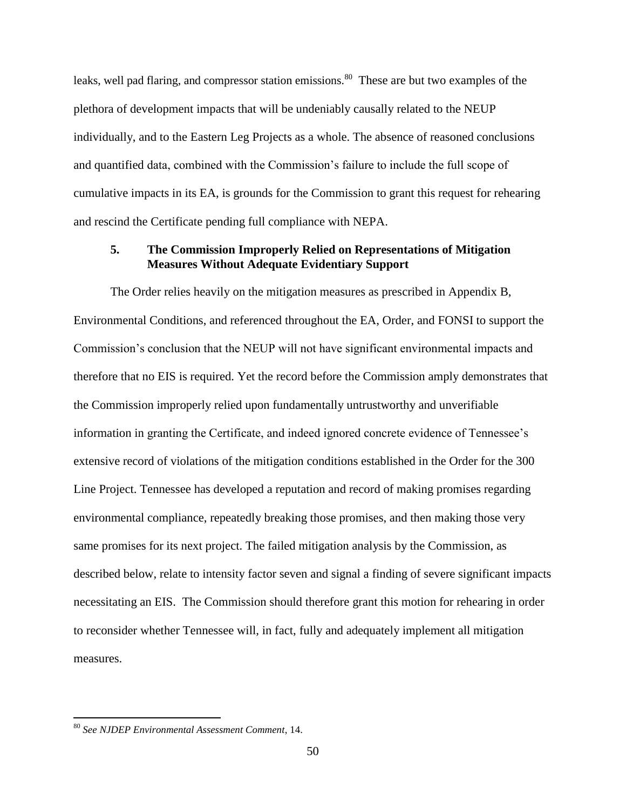leaks, well pad flaring, and compressor station emissions.<sup>80</sup> These are but two examples of the plethora of development impacts that will be undeniably causally related to the NEUP individually, and to the Eastern Leg Projects as a whole. The absence of reasoned conclusions and quantified data, combined with the Commission's failure to include the full scope of cumulative impacts in its EA, is grounds for the Commission to grant this request for rehearing and rescind the Certificate pending full compliance with NEPA.

### **5. The Commission Improperly Relied on Representations of Mitigation Measures Without Adequate Evidentiary Support**

The Order relies heavily on the mitigation measures as prescribed in Appendix B, Environmental Conditions, and referenced throughout the EA, Order, and FONSI to support the Commission's conclusion that the NEUP will not have significant environmental impacts and therefore that no EIS is required. Yet the record before the Commission amply demonstrates that the Commission improperly relied upon fundamentally untrustworthy and unverifiable information in granting the Certificate, and indeed ignored concrete evidence of Tennessee's extensive record of violations of the mitigation conditions established in the Order for the 300 Line Project. Tennessee has developed a reputation and record of making promises regarding environmental compliance, repeatedly breaking those promises, and then making those very same promises for its next project. The failed mitigation analysis by the Commission, as described below, relate to intensity factor seven and signal a finding of severe significant impacts necessitating an EIS. The Commission should therefore grant this motion for rehearing in order to reconsider whether Tennessee will, in fact, fully and adequately implement all mitigation measures.

<sup>80</sup> *See NJDEP Environmental Assessment Comment*, 14.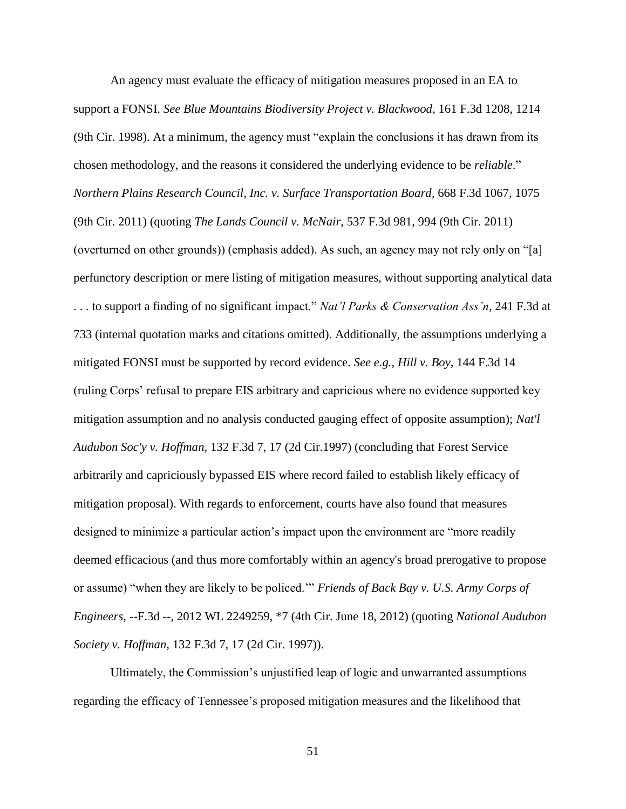An agency must evaluate the efficacy of mitigation measures proposed in an EA to support a FONSI. *See Blue Mountains Biodiversity Project v. Blackwood*, 161 F.3d 1208, 1214 (9th Cir. 1998). At a minimum, the agency must "explain the conclusions it has drawn from its chosen methodology, and the reasons it considered the underlying evidence to be *reliable*." *Northern Plains Research Council, Inc. v. Surface Transportation Board*, 668 F.3d 1067, 1075 (9th Cir. 2011) (quoting *The Lands Council v. McNair*, 537 F.3d 981, 994 (9th Cir. 2011) (overturned on other grounds)) (emphasis added). As such, an agency may not rely only on "[a] perfunctory description or mere listing of mitigation measures, without supporting analytical data . . . to support a finding of no significant impact." *Nat'l Parks & Conservation Ass'n*, 241 F.3d at 733 (internal quotation marks and citations omitted). Additionally, the assumptions underlying a mitigated FONSI must be supported by record evidence. *See e.g., Hill v. Boy*, 144 F.3d 14 (ruling Corps' refusal to prepare EIS arbitrary and capricious where no evidence supported key mitigation assumption and no analysis conducted gauging effect of opposite assumption); *Nat'l Audubon Soc'y v. Hoffman,* 132 F.3d 7, 17 (2d Cir.1997) (concluding that Forest Service arbitrarily and capriciously bypassed EIS where record failed to establish likely efficacy of mitigation proposal). With regards to enforcement, courts have also found that measures designed to minimize a particular action's impact upon the environment are "more readily deemed efficacious (and thus more comfortably within an agency's broad prerogative to propose or assume) "when they are likely to be policed.'" *Friends of Back Bay v. U.S. Army Corps of Engineers*, --F.3d --, 2012 WL 2249259, \*7 (4th Cir. June 18, 2012) (quoting *National Audubon Society v. Hoffman,* 132 F.3d 7, 17 (2d Cir. 1997)).

Ultimately, the Commission's unjustified leap of logic and unwarranted assumptions regarding the efficacy of Tennessee's proposed mitigation measures and the likelihood that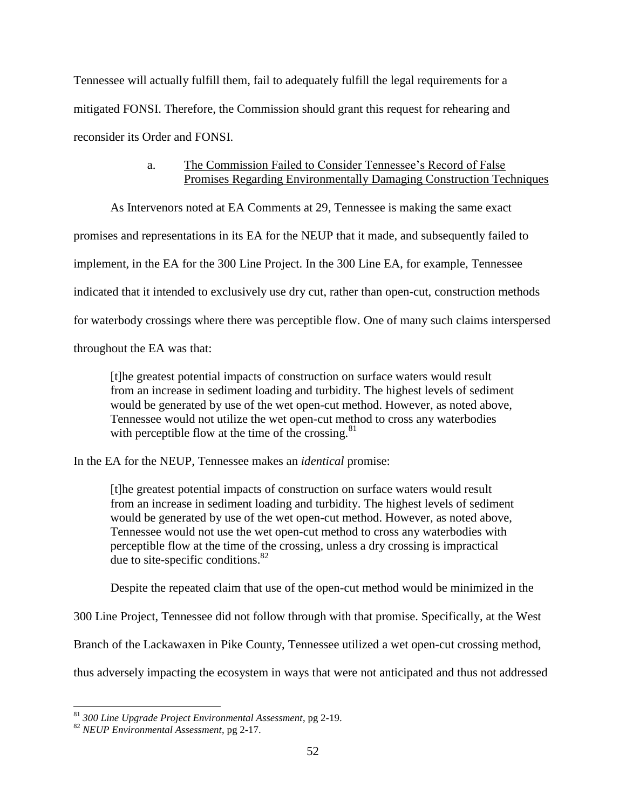Tennessee will actually fulfill them, fail to adequately fulfill the legal requirements for a mitigated FONSI. Therefore, the Commission should grant this request for rehearing and reconsider its Order and FONSI.

# a. The Commission Failed to Consider Tennessee's Record of False Promises Regarding Environmentally Damaging Construction Techniques

As Intervenors noted at EA Comments at 29, Tennessee is making the same exact

promises and representations in its EA for the NEUP that it made, and subsequently failed to

implement, in the EA for the 300 Line Project. In the 300 Line EA, for example, Tennessee

indicated that it intended to exclusively use dry cut, rather than open-cut, construction methods

for waterbody crossings where there was perceptible flow. One of many such claims interspersed

throughout the EA was that:

[t]he greatest potential impacts of construction on surface waters would result from an increase in sediment loading and turbidity. The highest levels of sediment would be generated by use of the wet open-cut method. However, as noted above, Tennessee would not utilize the wet open-cut method to cross any waterbodies with perceptible flow at the time of the crossing. $81$ 

In the EA for the NEUP, Tennessee makes an *identical* promise:

[t]he greatest potential impacts of construction on surface waters would result from an increase in sediment loading and turbidity. The highest levels of sediment would be generated by use of the wet open-cut method. However, as noted above, Tennessee would not use the wet open-cut method to cross any waterbodies with perceptible flow at the time of the crossing, unless a dry crossing is impractical due to site-specific conditions. $82$ 

Despite the repeated claim that use of the open-cut method would be minimized in the

300 Line Project, Tennessee did not follow through with that promise. Specifically, at the West

Branch of the Lackawaxen in Pike County, Tennessee utilized a wet open-cut crossing method,

thus adversely impacting the ecosystem in ways that were not anticipated and thus not addressed

<sup>81</sup> *300 Line Upgrade Project Environmental Assessment*, pg 2-19.

<sup>82</sup> *NEUP Environmental Assessment*, pg 2-17.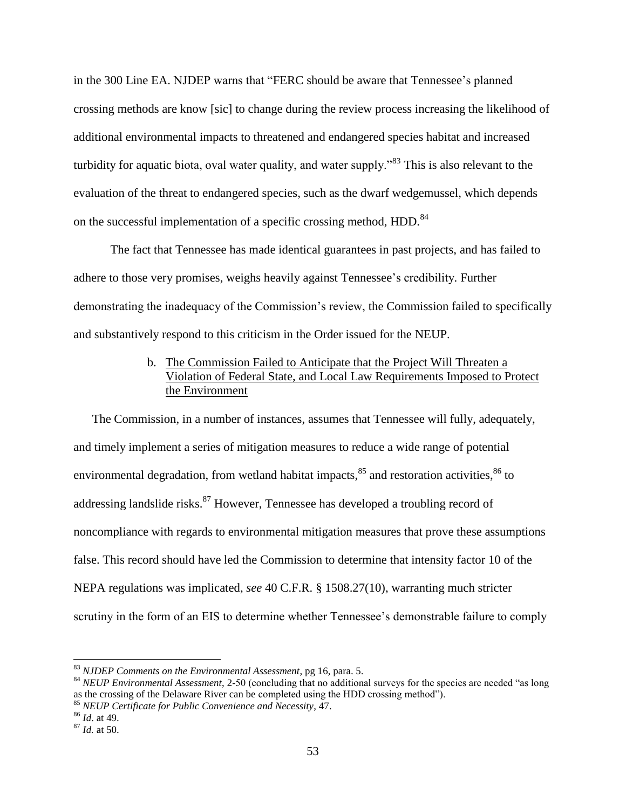in the 300 Line EA. NJDEP warns that "FERC should be aware that Tennessee's planned crossing methods are know [sic] to change during the review process increasing the likelihood of additional environmental impacts to threatened and endangered species habitat and increased turbidity for aquatic biota, oval water quality, and water supply.<sup>383</sup> This is also relevant to the evaluation of the threat to endangered species, such as the dwarf wedgemussel, which depends on the successful implementation of a specific crossing method, HDD.<sup>84</sup>

The fact that Tennessee has made identical guarantees in past projects, and has failed to adhere to those very promises, weighs heavily against Tennessee's credibility. Further demonstrating the inadequacy of the Commission's review, the Commission failed to specifically and substantively respond to this criticism in the Order issued for the NEUP.

# b. The Commission Failed to Anticipate that the Project Will Threaten a Violation of Federal State, and Local Law Requirements Imposed to Protect the Environment

The Commission, in a number of instances, assumes that Tennessee will fully, adequately, and timely implement a series of mitigation measures to reduce a wide range of potential environmental degradation, from wetland habitat impacts, <sup>85</sup> and restoration activities, <sup>86</sup> to addressing landslide risks.<sup>87</sup> However, Tennessee has developed a troubling record of noncompliance with regards to environmental mitigation measures that prove these assumptions false. This record should have led the Commission to determine that intensity factor 10 of the NEPA regulations was implicated, *see* 40 C.F.R. § 1508.27(10), warranting much stricter scrutiny in the form of an EIS to determine whether Tennessee's demonstrable failure to comply

<sup>83</sup> *NJDEP Comments on the Environmental Assessment*, pg 16, para. 5.

<sup>84</sup> *NEUP Environmental Assessment*, 2-50 (concluding that no additional surveys for the species are needed "as long as the crossing of the Delaware River can be completed using the HDD crossing method").

<sup>85</sup> *NEUP Certificate for Public Convenience and Necessity*, 47.

<sup>86</sup> *Id*. at 49.

<sup>87</sup> *Id.* at 50.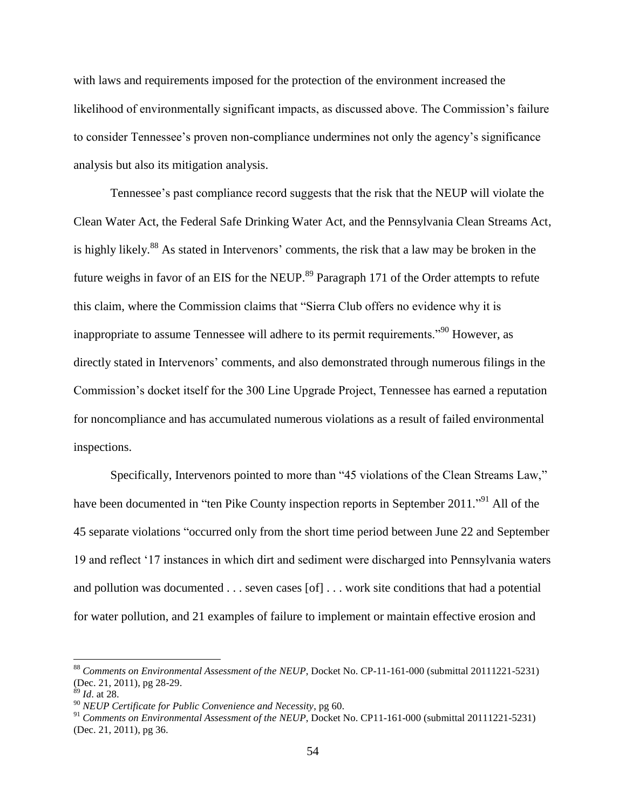with laws and requirements imposed for the protection of the environment increased the likelihood of environmentally significant impacts, as discussed above. The Commission's failure to consider Tennessee's proven non-compliance undermines not only the agency's significance analysis but also its mitigation analysis.

Tennessee's past compliance record suggests that the risk that the NEUP will violate the Clean Water Act, the Federal Safe Drinking Water Act, and the Pennsylvania Clean Streams Act, is highly likely.<sup>88</sup> As stated in Intervenors' comments, the risk that a law may be broken in the future weighs in favor of an EIS for the NEUP.<sup>89</sup> Paragraph 171 of the Order attempts to refute this claim, where the Commission claims that "Sierra Club offers no evidence why it is inappropriate to assume Tennessee will adhere to its permit requirements."<sup>90</sup> However, as directly stated in Intervenors' comments, and also demonstrated through numerous filings in the Commission's docket itself for the 300 Line Upgrade Project, Tennessee has earned a reputation for noncompliance and has accumulated numerous violations as a result of failed environmental inspections.

Specifically, Intervenors pointed to more than "45 violations of the Clean Streams Law," have been documented in "ten Pike County inspection reports in September 2011."<sup>91</sup> All of the 45 separate violations "occurred only from the short time period between June 22 and September 19 and reflect '17 instances in which dirt and sediment were discharged into Pennsylvania waters and pollution was documented . . . seven cases [of] . . . work site conditions that had a potential for water pollution, and 21 examples of failure to implement or maintain effective erosion and

<sup>88</sup> *Comments on Environmental Assessment of the NEUP*, Docket No. CP-11-161-000 (submittal 20111221-5231) (Dec. 21, 2011), pg 28-29.

<sup>89</sup> *Id*. at 28.

<sup>90</sup> *NEUP Certificate for Public Convenience and Necessity*, pg 60.

<sup>91</sup> *Comments on Environmental Assessment of the NEUP*, Docket No. CP11-161-000 (submittal 20111221-5231) (Dec. 21, 2011), pg 36.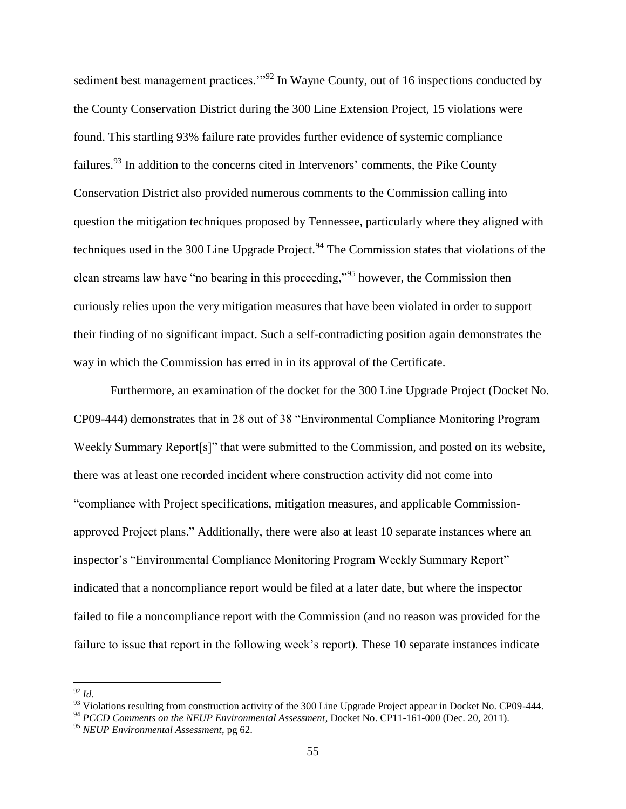sediment best management practices."<sup>92</sup> In Wayne County, out of 16 inspections conducted by the County Conservation District during the 300 Line Extension Project, 15 violations were found. This startling 93% failure rate provides further evidence of systemic compliance failures.<sup>93</sup> In addition to the concerns cited in Intervenors' comments, the Pike County Conservation District also provided numerous comments to the Commission calling into question the mitigation techniques proposed by Tennessee, particularly where they aligned with techniques used in the 300 Line Upgrade Project.<sup>94</sup> The Commission states that violations of the clean streams law have "no bearing in this proceeding,"<sup>95</sup> however, the Commission then curiously relies upon the very mitigation measures that have been violated in order to support their finding of no significant impact. Such a self-contradicting position again demonstrates the way in which the Commission has erred in in its approval of the Certificate.

Furthermore, an examination of the docket for the 300 Line Upgrade Project (Docket No. CP09-444) demonstrates that in 28 out of 38 "Environmental Compliance Monitoring Program Weekly Summary Report[s]" that were submitted to the Commission, and posted on its website, there was at least one recorded incident where construction activity did not come into "compliance with Project specifications, mitigation measures, and applicable Commissionapproved Project plans." Additionally, there were also at least 10 separate instances where an inspector's "Environmental Compliance Monitoring Program Weekly Summary Report" indicated that a noncompliance report would be filed at a later date, but where the inspector failed to file a noncompliance report with the Commission (and no reason was provided for the failure to issue that report in the following week's report). These 10 separate instances indicate

<sup>92</sup> *Id.*

<sup>&</sup>lt;sup>93</sup> Violations resulting from construction activity of the 300 Line Upgrade Project appear in Docket No. CP09-444.

<sup>&</sup>lt;sup>94</sup> *PCCD Comments on the NEUP Environmental Assessment*, Docket No. CP11-161-000 (Dec. 20, 2011).

<sup>95</sup> *NEUP Environmental Assessment*, pg 62.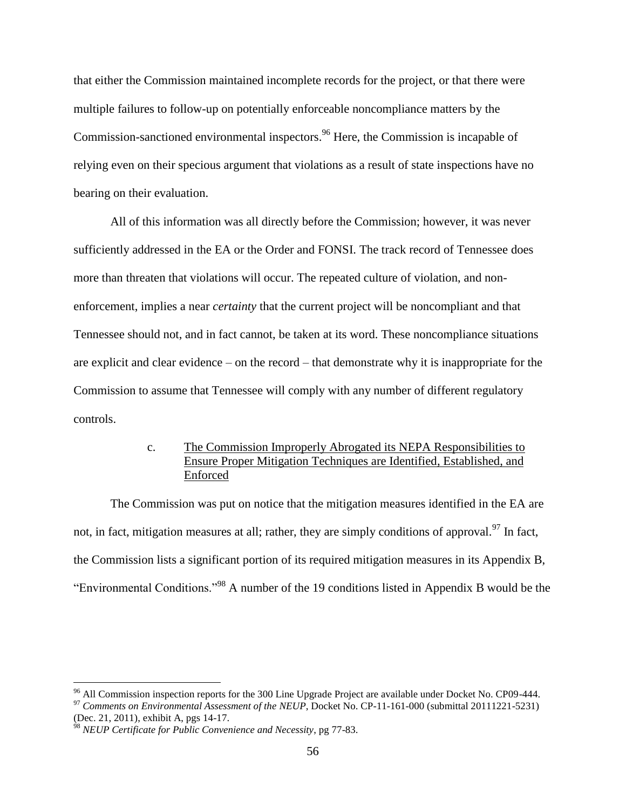that either the Commission maintained incomplete records for the project, or that there were multiple failures to follow-up on potentially enforceable noncompliance matters by the Commission-sanctioned environmental inspectors.<sup>96</sup> Here, the Commission is incapable of relying even on their specious argument that violations as a result of state inspections have no bearing on their evaluation.

All of this information was all directly before the Commission; however, it was never sufficiently addressed in the EA or the Order and FONSI. The track record of Tennessee does more than threaten that violations will occur. The repeated culture of violation, and nonenforcement, implies a near *certainty* that the current project will be noncompliant and that Tennessee should not, and in fact cannot, be taken at its word. These noncompliance situations are explicit and clear evidence – on the record – that demonstrate why it is inappropriate for the Commission to assume that Tennessee will comply with any number of different regulatory controls.

# c. The Commission Improperly Abrogated its NEPA Responsibilities to Ensure Proper Mitigation Techniques are Identified, Established, and Enforced

The Commission was put on notice that the mitigation measures identified in the EA are not, in fact, mitigation measures at all; rather, they are simply conditions of approval.<sup>97</sup> In fact, the Commission lists a significant portion of its required mitigation measures in its Appendix B, "Environmental Conditions."<sup>98</sup> A number of the 19 conditions listed in Appendix B would be the

<sup>&</sup>lt;sup>96</sup> All Commission inspection reports for the 300 Line Upgrade Project are available under Docket No. CP09-444.

<sup>&</sup>lt;sup>97</sup> Comments on Environmental Assessment of the NEUP, Docket No. CP-11-161-000 (submittal 20111221-5231) (Dec. 21, 2011), exhibit A, pgs 14-17.

<sup>98</sup> *NEUP Certificate for Public Convenience and Necessity*, pg 77-83.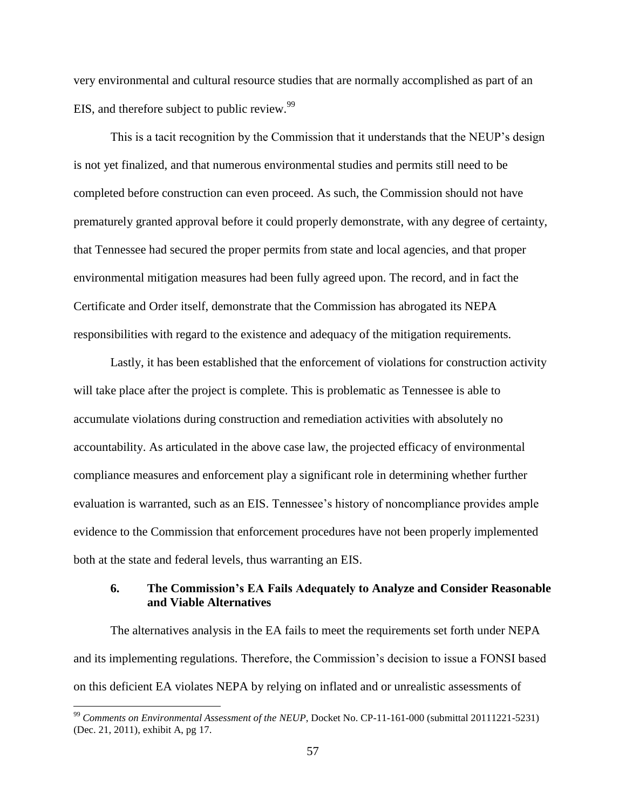very environmental and cultural resource studies that are normally accomplished as part of an EIS, and therefore subject to public review.<sup>99</sup>

This is a tacit recognition by the Commission that it understands that the NEUP's design is not yet finalized, and that numerous environmental studies and permits still need to be completed before construction can even proceed. As such, the Commission should not have prematurely granted approval before it could properly demonstrate, with any degree of certainty, that Tennessee had secured the proper permits from state and local agencies, and that proper environmental mitigation measures had been fully agreed upon. The record, and in fact the Certificate and Order itself, demonstrate that the Commission has abrogated its NEPA responsibilities with regard to the existence and adequacy of the mitigation requirements.

Lastly, it has been established that the enforcement of violations for construction activity will take place after the project is complete. This is problematic as Tennessee is able to accumulate violations during construction and remediation activities with absolutely no accountability. As articulated in the above case law, the projected efficacy of environmental compliance measures and enforcement play a significant role in determining whether further evaluation is warranted, such as an EIS. Tennessee's history of noncompliance provides ample evidence to the Commission that enforcement procedures have not been properly implemented both at the state and federal levels, thus warranting an EIS.

# **6. The Commission's EA Fails Adequately to Analyze and Consider Reasonable and Viable Alternatives**

The alternatives analysis in the EA fails to meet the requirements set forth under NEPA and its implementing regulations. Therefore, the Commission's decision to issue a FONSI based on this deficient EA violates NEPA by relying on inflated and or unrealistic assessments of

<sup>99</sup> *Comments on Environmental Assessment of the NEUP*, Docket No. CP-11-161-000 (submittal 20111221-5231) (Dec. 21, 2011), exhibit A, pg 17.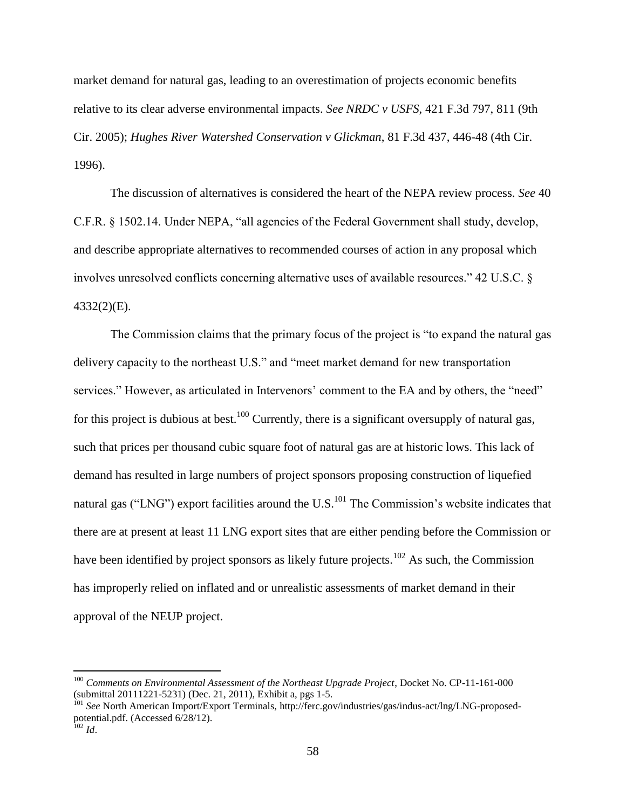market demand for natural gas, leading to an overestimation of projects economic benefits relative to its clear adverse environmental impacts. *See NRDC v USFS*, 421 F.3d 797, 811 (9th Cir. 2005); *Hughes River Watershed Conservation v Glickman*, 81 F.3d 437, 446-48 (4th Cir. 1996).

The discussion of alternatives is considered the heart of the NEPA review process. *See* 40 C.F.R. § 1502.14. Under NEPA, "all agencies of the Federal Government shall study, develop, and describe appropriate alternatives to recommended courses of action in any proposal which involves unresolved conflicts concerning alternative uses of available resources." 42 U.S.C. § 4332(2)(E).

The Commission claims that the primary focus of the project is "to expand the natural gas delivery capacity to the northeast U.S." and "meet market demand for new transportation services." However, as articulated in Intervenors' comment to the EA and by others, the "need" for this project is dubious at best.<sup>100</sup> Currently, there is a significant oversupply of natural gas, such that prices per thousand cubic square foot of natural gas are at historic lows. This lack of demand has resulted in large numbers of project sponsors proposing construction of liquefied natural gas ("LNG") export facilities around the U.S. $^{101}$  The Commission's website indicates that there are at present at least 11 LNG export sites that are either pending before the Commission or have been identified by project sponsors as likely future projects.<sup>102</sup> As such, the Commission has improperly relied on inflated and or unrealistic assessments of market demand in their approval of the NEUP project.

<sup>&</sup>lt;sup>100</sup> Comments on Environmental Assessment of the Northeast Upgrade Project, Docket No. CP-11-161-000 (submittal 20111221-5231) (Dec. 21, 2011), Exhibit a, pgs 1-5.

<sup>&</sup>lt;sup>101</sup> See North American Import/Export Terminals, http://ferc.gov/industries/gas/indus-act/lng/LNG-proposedpotential.pdf. (Accessed 6/28/12). <sup>102</sup> *Id*.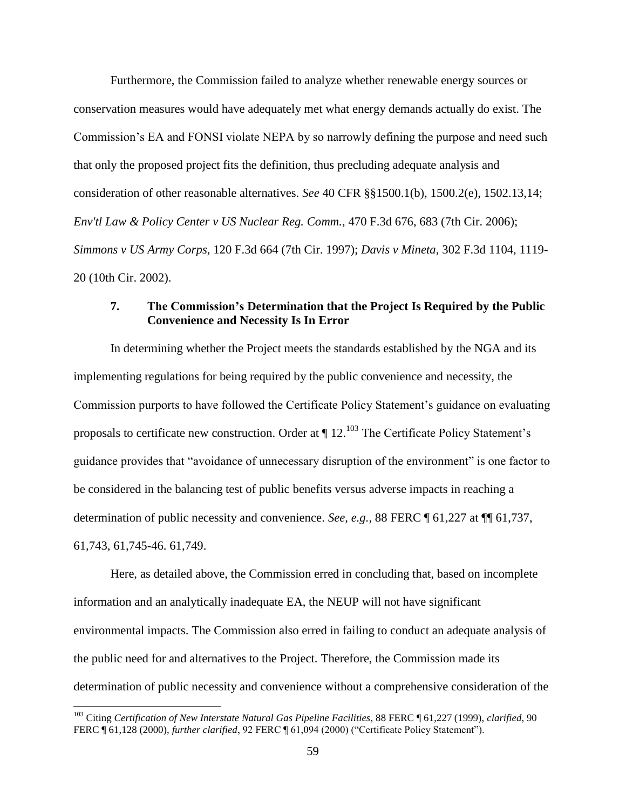Furthermore, the Commission failed to analyze whether renewable energy sources or conservation measures would have adequately met what energy demands actually do exist. The Commission's EA and FONSI violate NEPA by so narrowly defining the purpose and need such that only the proposed project fits the definition, thus precluding adequate analysis and consideration of other reasonable alternatives. *See* 40 CFR §§1500.1(b), 1500.2(e), 1502.13,14; *Env'tl Law & Policy Center v US Nuclear Reg. Comm.*, 470 F.3d 676, 683 (7th Cir. 2006); *Simmons v US Army Corps*, 120 F.3d 664 (7th Cir. 1997); *Davis v Mineta*, 302 F.3d 1104, 1119- 20 (10th Cir. 2002).

# **7. The Commission's Determination that the Project Is Required by the Public Convenience and Necessity Is In Error**

In determining whether the Project meets the standards established by the NGA and its implementing regulations for being required by the public convenience and necessity, the Commission purports to have followed the Certificate Policy Statement's guidance on evaluating proposals to certificate new construction. Order at  $\P$  12.<sup>103</sup> The Certificate Policy Statement's guidance provides that "avoidance of unnecessary disruption of the environment" is one factor to be considered in the balancing test of public benefits versus adverse impacts in reaching a determination of public necessity and convenience. *See, e.g.*, 88 FERC ¶ 61,227 at ¶¶ 61,737, 61,743, 61,745-46. 61,749.

Here, as detailed above, the Commission erred in concluding that, based on incomplete information and an analytically inadequate EA, the NEUP will not have significant environmental impacts. The Commission also erred in failing to conduct an adequate analysis of the public need for and alternatives to the Project. Therefore, the Commission made its determination of public necessity and convenience without a comprehensive consideration of the

<sup>103</sup> Citing *Certification of New Interstate Natural Gas Pipeline Facilities*, 88 FERC ¶ 61,227 (1999), *clarified*, 90 FERC ¶ 61,128 (2000), *further clarified*, 92 FERC ¶ 61,094 (2000) ("Certificate Policy Statement").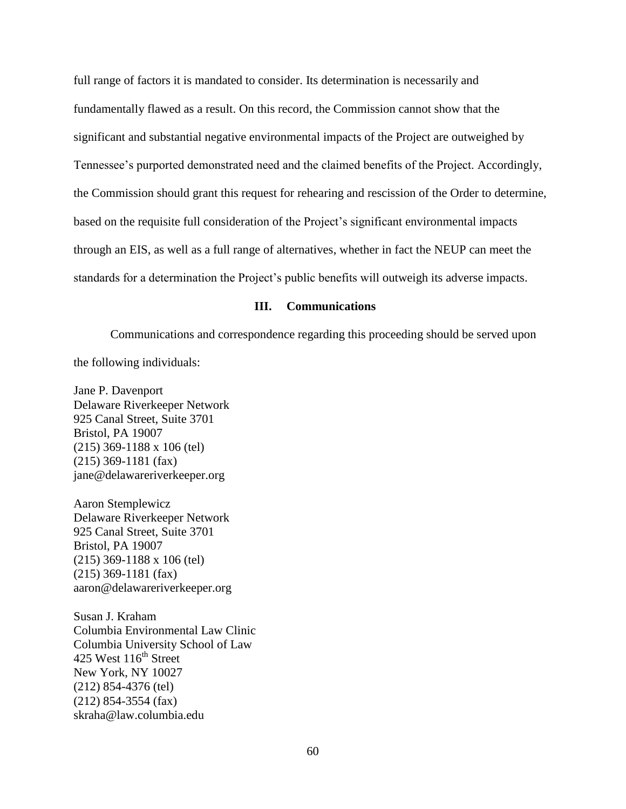full range of factors it is mandated to consider. Its determination is necessarily and fundamentally flawed as a result. On this record, the Commission cannot show that the significant and substantial negative environmental impacts of the Project are outweighed by Tennessee's purported demonstrated need and the claimed benefits of the Project. Accordingly, the Commission should grant this request for rehearing and rescission of the Order to determine, based on the requisite full consideration of the Project's significant environmental impacts through an EIS, as well as a full range of alternatives, whether in fact the NEUP can meet the standards for a determination the Project's public benefits will outweigh its adverse impacts.

### **III. Communications**

Communications and correspondence regarding this proceeding should be served upon the following individuals:

Jane P. Davenport Delaware Riverkeeper Network 925 Canal Street, Suite 3701 Bristol, PA 19007 (215) 369-1188 x 106 (tel) (215) 369-1181 (fax) jane@delawareriverkeeper.org

Aaron Stemplewicz Delaware Riverkeeper Network 925 Canal Street, Suite 3701 Bristol, PA 19007 (215) 369-1188 x 106 (tel) (215) 369-1181 (fax) aaron@delawareriverkeeper.org

Susan J. Kraham Columbia Environmental Law Clinic Columbia University School of Law 425 West  $116<sup>th</sup>$  Street New York, NY 10027 (212) 854-4376 (tel) (212) 854-3554 (fax) skraha@law.columbia.edu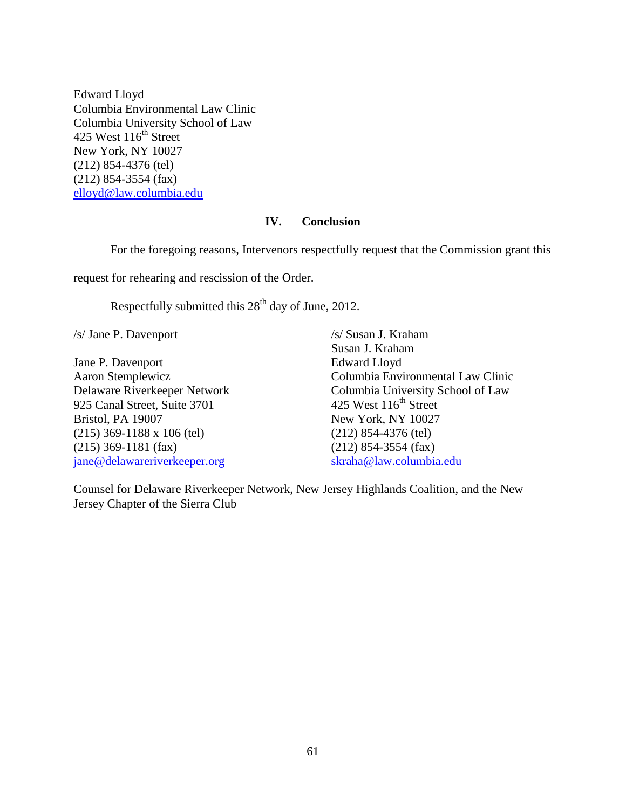Edward Lloyd Columbia Environmental Law Clinic Columbia University School of Law 425 West  $116^{\text{th}}$  Street New York, NY 10027 (212) 854-4376 (tel) (212) 854-3554 (fax) [elloyd@law.columbia.edu](mailto:elloyd@law.columbia.edu)

### **IV. Conclusion**

For the foregoing reasons, Intervenors respectfully request that the Commission grant this

request for rehearing and rescission of the Order.

Respectfully submitted this  $28<sup>th</sup>$  day of June, 2012.

/s/ Jane P. Davenport

Jane P. Davenport Aaron Stemplewicz Delaware Riverkeeper Network 925 Canal Street, Suite 3701 Bristol, PA 19007 (215) 369-1188 x 106 (tel) (215) 369-1181 (fax) [jane@delawareriverkeeper.org](mailto:jane@delawareriverkeeper.org)

/s/ Susan J. Kraham Susan J. Kraham Edward Lloyd Columbia Environmental Law Clinic Columbia University School of Law 425 West  $116<sup>th</sup>$  Street New York, NY 10027 (212) 854-4376 (tel) (212) 854-3554 (fax) [skraha@law.columbia.edu](mailto:skraha@law.columbia.edu)

Counsel for Delaware Riverkeeper Network, New Jersey Highlands Coalition, and the New Jersey Chapter of the Sierra Club